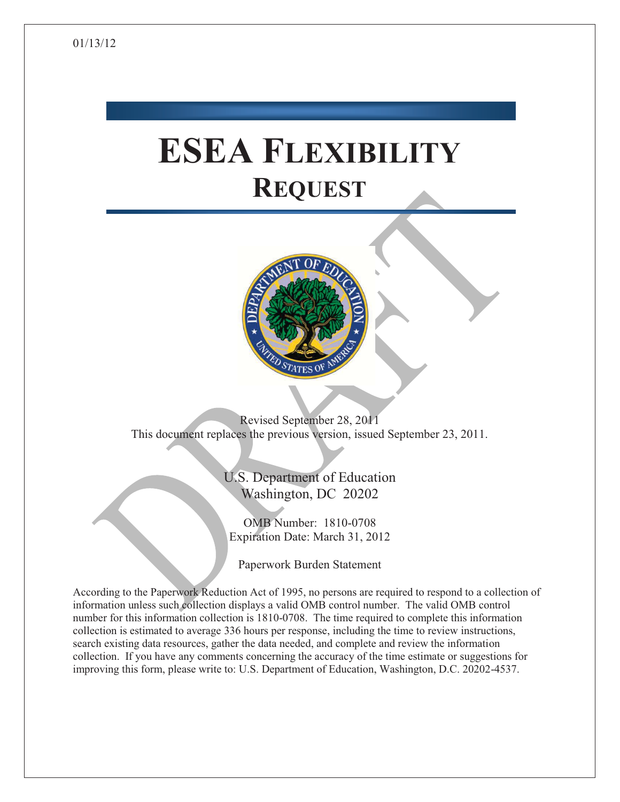# **ESEA FLEXIBILITY REQUEST**



Revised September 28, 2011 This document replaces the previous version, issued September 23, 2011.

> U.S. Department of Education Washington, DC 20202

OMB Number: 1810-0708 Expiration Date: March 31, 2012

Paperwork Burden Statement

According to the Paperwork Reduction Act of 1995, no persons are required to respond to a collection of information unless such collection displays a valid OMB control number. The valid OMB control number for this information collection is 1810-0708. The time required to complete this information collection is estimated to average 336 hours per response, including the time to review instructions, search existing data resources, gather the data needed, and complete and review the information collection. If you have any comments concerning the accuracy of the time estimate or suggestions for improving this form, please write to: U.S. Department of Education, Washington, D.C. 20202-4537.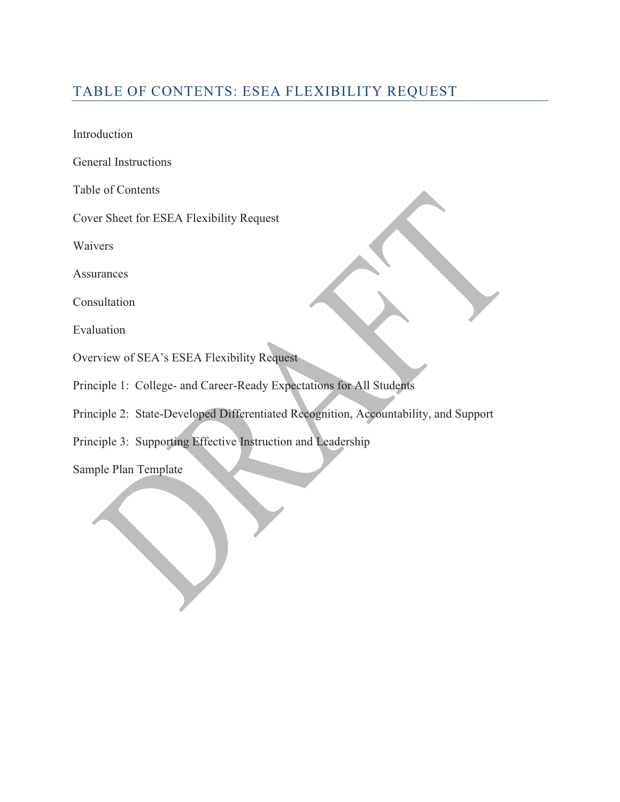### TABLE OF CONTENTS: ESEA FLEXIBILITY REQUEST

Introduction

General Instructions

Table of Contents

Cover Sheet for ESEA Flexibility Request

Waivers

Assurances

Consultation

Evaluation

- Overview of SEA's ESEA Flexibility Request
- Principle 1: College- and Career-Ready Expectations for All Students
- Principle 2: State-Developed Differentiated Recognition, Accountability, and Support
- Principle 3: Supporting Effective Instruction and Leadership

Sample Plan Template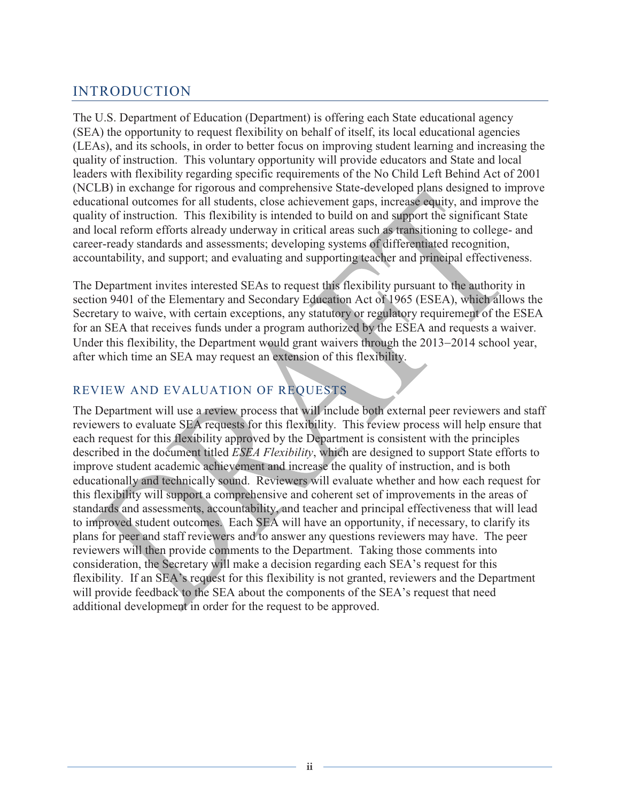### INTRODUCTION

The U.S. Department of Education (Department) is offering each State educational agency (SEA) the opportunity to request flexibility on behalf of itself, its local educational agencies (LEAs), and its schools, in order to better focus on improving student learning and increasing the quality of instruction. This voluntary opportunity will provide educators and State and local leaders with flexibility regarding specific requirements of the No Child Left Behind Act of 2001 (NCLB) in exchange for rigorous and comprehensive State-developed plans designed to improve educational outcomes for all students, close achievement gaps, increase equity, and improve the quality of instruction. This flexibility is intended to build on and support the significant State and local reform efforts already underway in critical areas such as transitioning to college- and career-ready standards and assessments; developing systems of differentiated recognition, accountability, and support; and evaluating and supporting teacher and principal effectiveness.

The Department invites interested SEAs to request this flexibility pursuant to the authority in section 9401 of the Elementary and Secondary Education Act of 1965 (ESEA), which allows the Secretary to waive, with certain exceptions, any statutory or regulatory requirement of the ESEA for an SEA that receives funds under a program authorized by the ESEA and requests a waiver. Under this flexibility, the Department would grant waivers through the 2013-2014 school year, after which time an SEA may request an extension of this flexibility.

### REVIEW AND EVALUATION OF REQUESTS

The Department will use a review process that will include both external peer reviewers and staff reviewers to evaluate SEA requests for this flexibility. This review process will help ensure that each request for this flexibility approved by the Department is consistent with the principles described in the document titled *ESEA Flexibility*, which are designed to support State efforts to improve student academic achievement and increase the quality of instruction, and is both educationally and technically sound. Reviewers will evaluate whether and how each request for this flexibility will support a comprehensive and coherent set of improvements in the areas of standards and assessments, accountability, and teacher and principal effectiveness that will lead to improved student outcomes. Each SEA will have an opportunity, if necessary, to clarify its plans for peer and staff reviewers and to answer any questions reviewers may have. The peer reviewers will then provide comments to the Department. Taking those comments into consideration, the Secretary will make a decision regarding each SEA's request for this flexibility. If an SEA's request for this flexibility is not granted, reviewers and the Department will provide feedback to the SEA about the components of the SEA's request that need additional development in order for the request to be approved.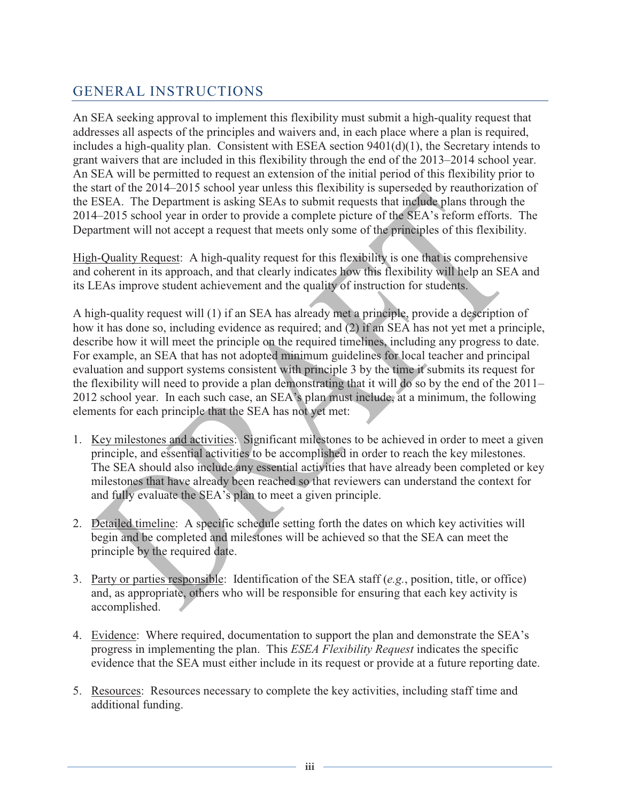### GENERAL INSTRUCTIONS

An SEA seeking approval to implement this flexibility must submit a high-quality request that addresses all aspects of the principles and waivers and, in each place where a plan is required, includes a high-quality plan. Consistent with ESEA section 9401(d)(1), the Secretary intends to grant waivers that are included in this flexibility through the end of the 2013–2014 school year. An SEA will be permitted to request an extension of the initial period of this flexibility prior to the start of the 2014–2015 school year unless this flexibility is superseded by reauthorization of the ESEA. The Department is asking SEAs to submit requests that include plans through the 2014–2015 school year in order to provide a complete picture of the SEA's reform efforts. The Department will not accept a request that meets only some of the principles of this flexibility.

High-Quality Request: A high-quality request for this flexibility is one that is comprehensive and coherent in its approach, and that clearly indicates how this flexibility will help an SEA and its LEAs improve student achievement and the quality of instruction for students.

A high-quality request will (1) if an SEA has already met a principle, provide a description of how it has done so, including evidence as required; and (2) if an SEA has not yet met a principle, describe how it will meet the principle on the required timelines, including any progress to date. For example, an SEA that has not adopted minimum guidelines for local teacher and principal evaluation and support systems consistent with principle 3 by the time it submits its request for the flexibility will need to provide a plan demonstrating that it will do so by the end of the 2011– 2012 school year. In each such case, an SEA's plan must include, at a minimum, the following elements for each principle that the SEA has not yet met:

- 1. Key milestones and activities: Significant milestones to be achieved in order to meet a given principle, and essential activities to be accomplished in order to reach the key milestones. The SEA should also include any essential activities that have already been completed or key milestones that have already been reached so that reviewers can understand the context for and fully evaluate the SEA's plan to meet a given principle.
- 2. Detailed timeline: A specific schedule setting forth the dates on which key activities will begin and be completed and milestones will be achieved so that the SEA can meet the principle by the required date.
- 3. Party or parties responsible: Identification of the SEA staff (*e.g.*, position, title, or office) and, as appropriate, others who will be responsible for ensuring that each key activity is accomplished.
- 4. Evidence: Where required, documentation to support the plan and demonstrate the SEA's progress in implementing the plan. This *ESEA Flexibility Request* indicates the specific evidence that the SEA must either include in its request or provide at a future reporting date.
- 5. Resources: Resources necessary to complete the key activities, including staff time and additional funding.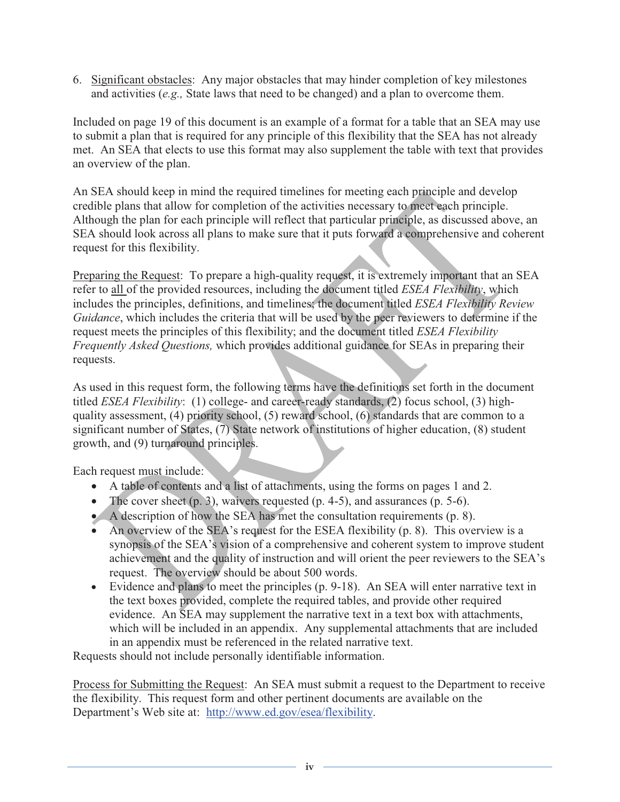6. Significant obstacles: Any major obstacles that may hinder completion of key milestones and activities (*e.g.,* State laws that need to be changed) and a plan to overcome them.

Included on page 19 of this document is an example of a format for a table that an SEA may use to submit a plan that is required for any principle of this flexibility that the SEA has not already met. An SEA that elects to use this format may also supplement the table with text that provides an overview of the plan.

An SEA should keep in mind the required timelines for meeting each principle and develop credible plans that allow for completion of the activities necessary to meet each principle. Although the plan for each principle will reflect that particular principle, as discussed above, an SEA should look across all plans to make sure that it puts forward a comprehensive and coherent request for this flexibility.

Preparing the Request: To prepare a high-quality request, it is extremely important that an SEA refer to all of the provided resources, including the document titled *ESEA Flexibility*, which includes the principles, definitions, and timelines; the document titled *ESEA Flexibility Review Guidance*, which includes the criteria that will be used by the peer reviewers to determine if the request meets the principles of this flexibility; and the document titled *ESEA Flexibility Frequently Asked Questions,* which provides additional guidance for SEAs in preparing their requests.

As used in this request form, the following terms have the definitions set forth in the document titled *ESEA Flexibility*: (1) college- and career-ready standards, (2) focus school, (3) highquality assessment, (4) priority school, (5) reward school, (6) standards that are common to a significant number of States, (7) State network of institutions of higher education, (8) student growth, and (9) turnaround principles.

Each request must include:

- A table of contents and a list of attachments, using the forms on pages 1 and 2.
- The cover sheet  $(p, 3)$ , waivers requested  $(p, 4-5)$ , and assurances  $(p, 5-6)$ .
- $\blacklozenge$  A description of how the SEA has met the consultation requirements (p. 8).
- An overview of the SEA's request for the ESEA flexibility  $(p, 8)$ . This overview is a synopsis of the SEA's vision of a comprehensive and coherent system to improve student achievement and the quality of instruction and will orient the peer reviewers to the SEA's request. The overview should be about 500 words.
- Evidence and plans to meet the principles (p. 9-18). An SEA will enter narrative text in the text boxes provided, complete the required tables, and provide other required evidence. An SEA may supplement the narrative text in a text box with attachments, which will be included in an appendix. Any supplemental attachments that are included in an appendix must be referenced in the related narrative text.

Requests should not include personally identifiable information.

Process for Submitting the Request: An SEA must submit a request to the Department to receive the flexibility. This request form and other pertinent documents are available on the Department's Web site at: http://www.ed.gov/esea/flexibility.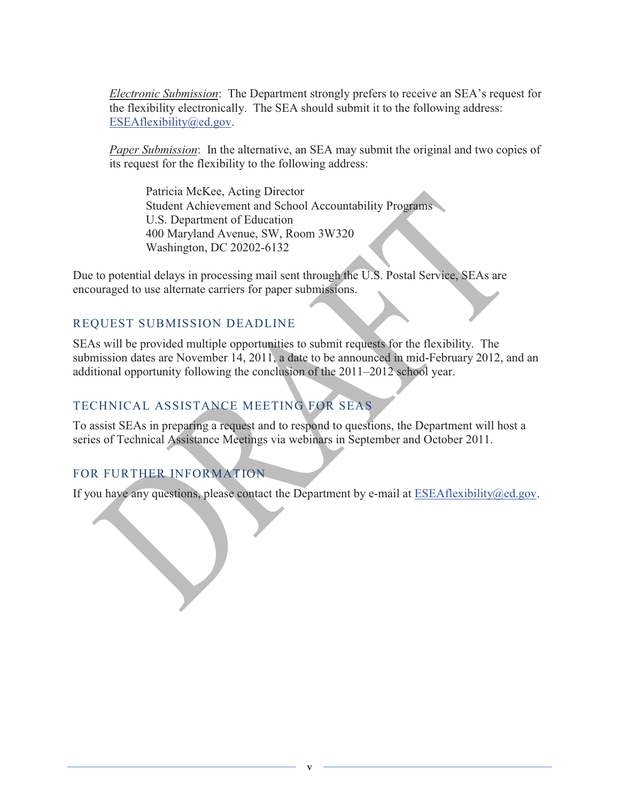*Electronic Submission*:The Department strongly prefers to receive an SEA's request for the flexibility electronically. The SEA should submit it to the following address: ESEAflexibility@ed.gov.

*Paper Submission*: In the alternative, an SEA may submit the original and two copies of its request for the flexibility to the following address:

 Patricia McKee, Acting Director Student Achievement and School Accountability Programs U.S. Department of Education 400 Maryland Avenue, SW, Room 3W320 Washington, DC 20202-6132

Due to potential delays in processing mail sent through the U.S. Postal Service, SEAs are encouraged to use alternate carriers for paper submissions.

#### REQUEST SUBMISSION DEADLINE

SEAs will be provided multiple opportunities to submit requests for the flexibility. The submission dates are November 14, 2011, a date to be announced in mid-February 2012, and an additional opportunity following the conclusion of the 2011–2012 school year.

### TECHNICAL ASSISTANCE MEETING FOR SEAS

To assist SEAs in preparing a request and to respond to questions, the Department will host a series of Technical Assistance Meetings via webinars in September and October 2011.

#### FOR FURTHER INFORMATION

If you have any questions, please contact the Department by e-mail at ESEAflexibility@ed.gov.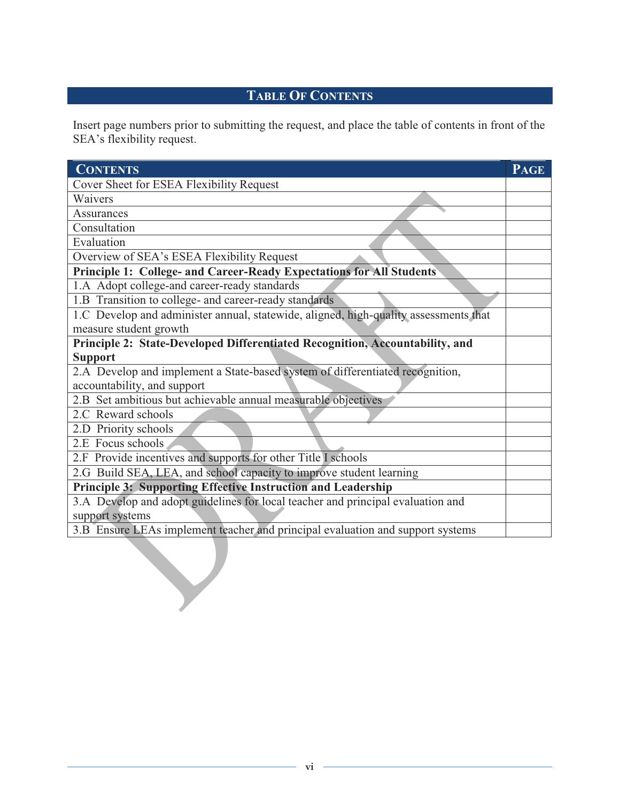### **TABLE OF CONTENTS**

Insert page numbers prior to submitting the request, and place the table of contents in front of the SEA's flexibility request.

| Cover Sheet for ESEA Flexibility Request<br>Waivers<br>Assurances<br>Consultation<br>Evaluation<br>Overview of SEA's ESEA Flexibility Request<br>Principle 1: College- and Career-Ready Expectations for All Students<br>1.A Adopt college-and career-ready standards<br>1.B Transition to college- and career-ready standards<br>1.C Develop and administer annual, statewide, aligned, high-quality assessments that<br>measure student growth<br>Principle 2: State-Developed Differentiated Recognition, Accountability, and<br><b>Support</b><br>2.A Develop and implement a State-based system of differentiated recognition,<br>accountability, and support<br>2.B Set ambitious but achievable annual measurable objectives<br>2.C Reward schools | <b>PAGE</b> |
|-----------------------------------------------------------------------------------------------------------------------------------------------------------------------------------------------------------------------------------------------------------------------------------------------------------------------------------------------------------------------------------------------------------------------------------------------------------------------------------------------------------------------------------------------------------------------------------------------------------------------------------------------------------------------------------------------------------------------------------------------------------|-------------|
|                                                                                                                                                                                                                                                                                                                                                                                                                                                                                                                                                                                                                                                                                                                                                           |             |
|                                                                                                                                                                                                                                                                                                                                                                                                                                                                                                                                                                                                                                                                                                                                                           |             |
|                                                                                                                                                                                                                                                                                                                                                                                                                                                                                                                                                                                                                                                                                                                                                           |             |
|                                                                                                                                                                                                                                                                                                                                                                                                                                                                                                                                                                                                                                                                                                                                                           |             |
|                                                                                                                                                                                                                                                                                                                                                                                                                                                                                                                                                                                                                                                                                                                                                           |             |
|                                                                                                                                                                                                                                                                                                                                                                                                                                                                                                                                                                                                                                                                                                                                                           |             |
|                                                                                                                                                                                                                                                                                                                                                                                                                                                                                                                                                                                                                                                                                                                                                           |             |
|                                                                                                                                                                                                                                                                                                                                                                                                                                                                                                                                                                                                                                                                                                                                                           |             |
|                                                                                                                                                                                                                                                                                                                                                                                                                                                                                                                                                                                                                                                                                                                                                           |             |
|                                                                                                                                                                                                                                                                                                                                                                                                                                                                                                                                                                                                                                                                                                                                                           |             |
|                                                                                                                                                                                                                                                                                                                                                                                                                                                                                                                                                                                                                                                                                                                                                           |             |
|                                                                                                                                                                                                                                                                                                                                                                                                                                                                                                                                                                                                                                                                                                                                                           |             |
|                                                                                                                                                                                                                                                                                                                                                                                                                                                                                                                                                                                                                                                                                                                                                           |             |
|                                                                                                                                                                                                                                                                                                                                                                                                                                                                                                                                                                                                                                                                                                                                                           |             |
|                                                                                                                                                                                                                                                                                                                                                                                                                                                                                                                                                                                                                                                                                                                                                           |             |
|                                                                                                                                                                                                                                                                                                                                                                                                                                                                                                                                                                                                                                                                                                                                                           |             |
|                                                                                                                                                                                                                                                                                                                                                                                                                                                                                                                                                                                                                                                                                                                                                           |             |
| 2.D Priority schools                                                                                                                                                                                                                                                                                                                                                                                                                                                                                                                                                                                                                                                                                                                                      |             |
| 2.E Focus schools                                                                                                                                                                                                                                                                                                                                                                                                                                                                                                                                                                                                                                                                                                                                         |             |
| 2.F Provide incentives and supports for other Title I schools                                                                                                                                                                                                                                                                                                                                                                                                                                                                                                                                                                                                                                                                                             |             |
| 2.G Build SEA, LEA, and school capacity to improve student learning                                                                                                                                                                                                                                                                                                                                                                                                                                                                                                                                                                                                                                                                                       |             |
| Principle 3: Supporting Effective Instruction and Leadership                                                                                                                                                                                                                                                                                                                                                                                                                                                                                                                                                                                                                                                                                              |             |
| 3.A Develop and adopt guidelines for local teacher and principal evaluation and                                                                                                                                                                                                                                                                                                                                                                                                                                                                                                                                                                                                                                                                           |             |
| support systems                                                                                                                                                                                                                                                                                                                                                                                                                                                                                                                                                                                                                                                                                                                                           |             |
| 3.B Ensure LEAs implement teacher and principal evaluation and support systems                                                                                                                                                                                                                                                                                                                                                                                                                                                                                                                                                                                                                                                                            |             |
|                                                                                                                                                                                                                                                                                                                                                                                                                                                                                                                                                                                                                                                                                                                                                           |             |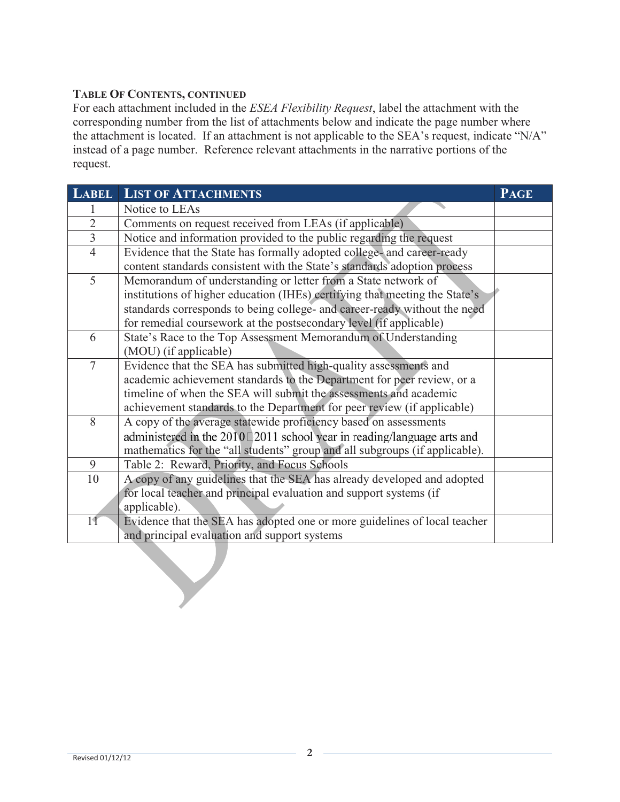#### **TABLE OF CONTENTS, CONTINUED**

For each attachment included in the *ESEA Flexibility Request*, label the attachment with the corresponding number from the list of attachments below and indicate the page number where the attachment is located. If an attachment is not applicable to the SEA's request, indicate "N/A" instead of a page number. Reference relevant attachments in the narrative portions of the request.

| <b>LABEL</b>   | <b>LIST OF ATTACHMENTS</b>                                                    | <b>PAGE</b> |  |  |  |  |  |
|----------------|-------------------------------------------------------------------------------|-------------|--|--|--|--|--|
|                | Notice to LEAs                                                                |             |  |  |  |  |  |
| $\overline{2}$ | Comments on request received from LEAs (if applicable)                        |             |  |  |  |  |  |
| $\overline{3}$ | Notice and information provided to the public regarding the request           |             |  |  |  |  |  |
| $\overline{4}$ | Evidence that the State has formally adopted college- and career-ready        |             |  |  |  |  |  |
|                | content standards consistent with the State's standards adoption process      |             |  |  |  |  |  |
| 5              | Memorandum of understanding or letter from a State network of                 |             |  |  |  |  |  |
|                | institutions of higher education (IHEs) certifying that meeting the State's   |             |  |  |  |  |  |
|                | standards corresponds to being college- and career-ready without the need     |             |  |  |  |  |  |
|                | for remedial coursework at the postsecondary level (if applicable)            |             |  |  |  |  |  |
| 6              | State's Race to the Top Assessment Memorandum of Understanding                |             |  |  |  |  |  |
|                | (MOU) (if applicable)                                                         |             |  |  |  |  |  |
| $\overline{7}$ | Evidence that the SEA has submitted high-quality assessments and              |             |  |  |  |  |  |
|                | academic achievement standards to the Department for peer review, or a        |             |  |  |  |  |  |
|                | timeline of when the SEA will submit the assessments and academic             |             |  |  |  |  |  |
|                | achievement standards to the Department for peer review (if applicable)       |             |  |  |  |  |  |
| 8              | A copy of the average statewide proficiency based on assessments              |             |  |  |  |  |  |
|                | administered in the $2010$ 2011 school year in reading/language arts and      |             |  |  |  |  |  |
|                | mathematics for the "all students" group and all subgroups (if applicable).   |             |  |  |  |  |  |
| 9              | Table 2: Reward, Priority, and Focus Schools                                  |             |  |  |  |  |  |
|                | A copy of any guidelines that the SEA has already developed and adopted<br>10 |             |  |  |  |  |  |
|                | for local teacher and principal evaluation and support systems (if            |             |  |  |  |  |  |
|                | applicable).                                                                  |             |  |  |  |  |  |
| 11             | Evidence that the SEA has adopted one or more guidelines of local teacher     |             |  |  |  |  |  |
|                | and principal evaluation and support systems                                  |             |  |  |  |  |  |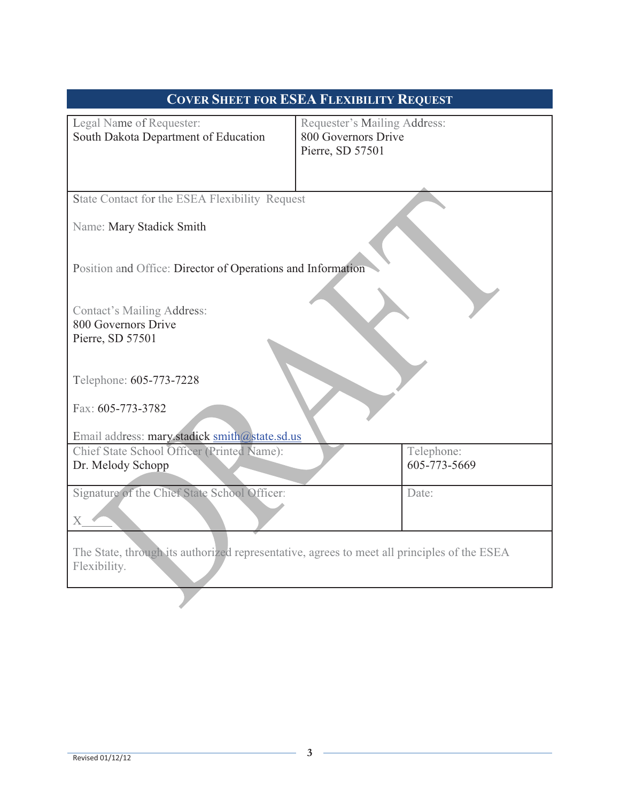| <b>COVER SHEET FOR ESEA FLEXIBILITY REQUEST</b>                                                             |                                                                         |  |  |  |  |
|-------------------------------------------------------------------------------------------------------------|-------------------------------------------------------------------------|--|--|--|--|
| Legal Name of Requester:<br>South Dakota Department of Education                                            | Requester's Mailing Address:<br>800 Governors Drive<br>Pierre, SD 57501 |  |  |  |  |
| State Contact for the ESEA Flexibility Request                                                              |                                                                         |  |  |  |  |
| Name: Mary Stadick Smith                                                                                    |                                                                         |  |  |  |  |
| Position and Office: Director of Operations and Information                                                 |                                                                         |  |  |  |  |
| <b>Contact's Mailing Address:</b><br>800 Governors Drive<br>Pierre, SD 57501                                |                                                                         |  |  |  |  |
| Telephone: 605-773-7228                                                                                     |                                                                         |  |  |  |  |
| Fax: 605-773-3782<br>Email address: mary.stadick smith@state.sd.us                                          |                                                                         |  |  |  |  |
| Chief State School Officer (Printed Name):<br>Dr. Melody Schopp                                             | Telephone:<br>605-773-5669                                              |  |  |  |  |
| Signature of the Chief State School Officer:<br>$\boldsymbol{\mathrm{X}}$                                   | Date:                                                                   |  |  |  |  |
| The State, through its authorized representative, agrees to meet all principles of the ESEA<br>Flexibility. |                                                                         |  |  |  |  |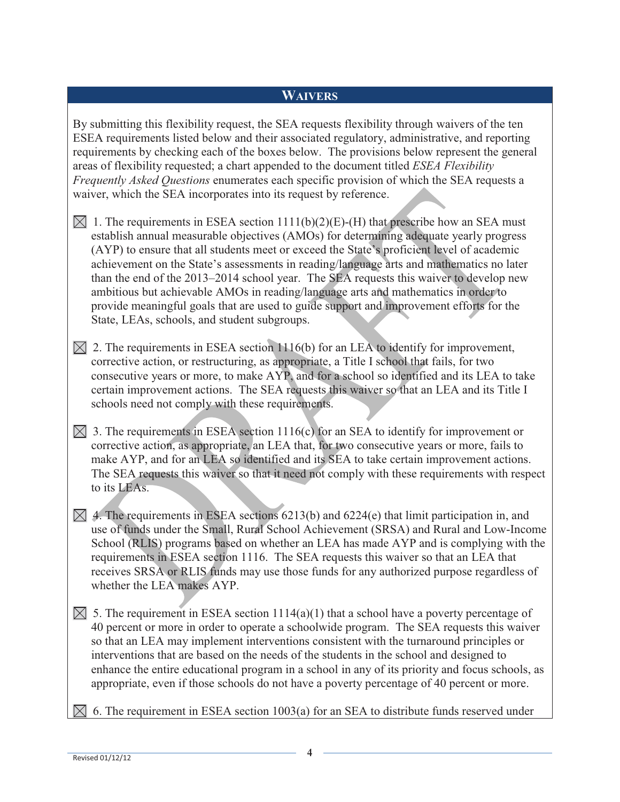#### **WAIVERS**

By submitting this flexibility request, the SEA requests flexibility through waivers of the ten ESEA requirements listed below and their associated regulatory, administrative, and reporting requirements by checking each of the boxes below. The provisions below represent the general areas of flexibility requested; a chart appended to the document titled *ESEA Flexibility Frequently Asked Questions* enumerates each specific provision of which the SEA requests a waiver, which the SEA incorporates into its request by reference.

- $\boxtimes$  1. The requirements in ESEA section 1111(b)(2)(E)-(H) that prescribe how an SEA must establish annual measurable objectives (AMOs) for determining adequate yearly progress (AYP) to ensure that all students meet or exceed the State's proficient level of academic achievement on the State's assessments in reading/language arts and mathematics no later than the end of the 2013–2014 school year. The SEA requests this waiver to develop new ambitious but achievable AMOs in reading/language arts and mathematics in order to provide meaningful goals that are used to guide support and improvement efforts for the State, LEAs, schools, and student subgroups.
- $\boxtimes$  2. The requirements in ESEA section 1116(b) for an LEA to identify for improvement, corrective action, or restructuring, as appropriate, a Title I school that fails, for two consecutive years or more, to make AYP, and for a school so identified and its LEA to take certain improvement actions. The SEA requests this waiver so that an LEA and its Title I schools need not comply with these requirements.
- $\boxtimes$  3. The requirements in ESEA section 1116(c) for an SEA to identify for improvement or corrective action, as appropriate, an LEA that, for two consecutive years or more, fails to make AYP, and for an LEA so identified and its SEA to take certain improvement actions. The SEA requests this waiver so that it need not comply with these requirements with respect to its LEAs.
- $\boxtimes$  4. The requirements in ESEA sections 6213(b) and 6224(e) that limit participation in, and use of funds under the Small, Rural School Achievement (SRSA) and Rural and Low-Income School (RLIS) programs based on whether an LEA has made AYP and is complying with the requirements in ESEA section 1116. The SEA requests this waiver so that an LEA that receives SRSA or RLIS funds may use those funds for any authorized purpose regardless of whether the LEA makes AYP.
- $\boxtimes$  5. The requirement in ESEA section 1114(a)(1) that a school have a poverty percentage of 40 percent or more in order to operate a schoolwide program. The SEA requests this waiver so that an LEA may implement interventions consistent with the turnaround principles or interventions that are based on the needs of the students in the school and designed to enhance the entire educational program in a school in any of its priority and focus schools, as appropriate, even if those schools do not have a poverty percentage of 40 percent or more.
- $\boxtimes$  6. The requirement in ESEA section 1003(a) for an SEA to distribute funds reserved under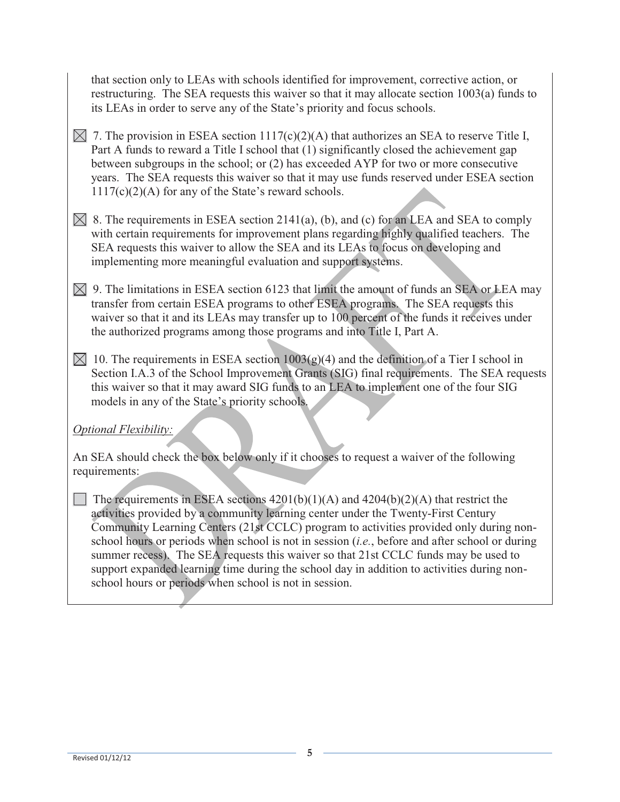that section only to LEAs with schools identified for improvement, corrective action, or restructuring. The SEA requests this waiver so that it may allocate section 1003(a) funds to its LEAs in order to serve any of the State's priority and focus schools.

- $\boxtimes$  7. The provision in ESEA section 1117(c)(2)(A) that authorizes an SEA to reserve Title I, Part A funds to reward a Title I school that (1) significantly closed the achievement gap between subgroups in the school; or (2) has exceeded AYP for two or more consecutive years. The SEA requests this waiver so that it may use funds reserved under ESEA section 1117(c)(2)(A) for any of the State's reward schools.
- $\boxtimes$  8. The requirements in ESEA section 2141(a), (b), and (c) for an LEA and SEA to comply with certain requirements for improvement plans regarding highly qualified teachers. The SEA requests this waiver to allow the SEA and its LEAs to focus on developing and implementing more meaningful evaluation and support systems.
- $\boxtimes$  9. The limitations in ESEA section 6123 that limit the amount of funds an SEA or LEA may transfer from certain ESEA programs to other ESEA programs. The SEA requests this waiver so that it and its LEAs may transfer up to 100 percent of the funds it receives under the authorized programs among those programs and into Title I, Part A.
- $\boxtimes$  10. The requirements in ESEA section 1003(g)(4) and the definition of a Tier I school in Section I.A.3 of the School Improvement Grants (SIG) final requirements. The SEA requests this waiver so that it may award SIG funds to an LEA to implement one of the four SIG models in any of the State's priority schools.

### *Optional Flexibility:*

An SEA should check the box below only if it chooses to request a waiver of the following requirements:

 The requirements in ESEA sections 4201(b)(1)(A) and 4204(b)(2)(A) that restrict the activities provided by a community learning center under the Twenty-First Century Community Learning Centers (21st CCLC) program to activities provided only during nonschool hours or periods when school is not in session (*i.e.*, before and after school or during summer recess). The SEA requests this waiver so that 21st CCLC funds may be used to support expanded learning time during the school day in addition to activities during nonschool hours or periods when school is not in session.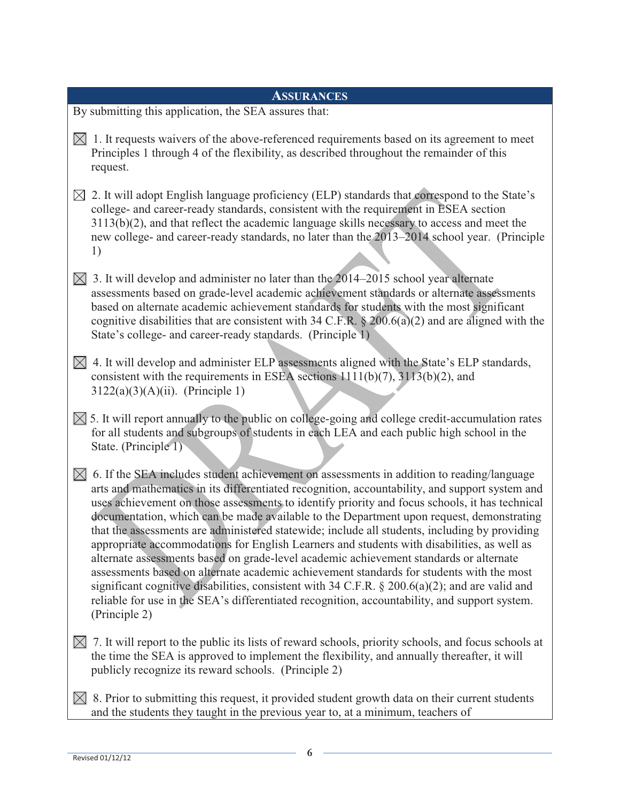| <b>ASSURANCES</b>                                                                                                                                                                                                                                                                                                                                                                                                                                                                                                                                                                                                                                                                                                                                                                                                                                                                                                                                                                                                   |  |  |  |  |  |  |
|---------------------------------------------------------------------------------------------------------------------------------------------------------------------------------------------------------------------------------------------------------------------------------------------------------------------------------------------------------------------------------------------------------------------------------------------------------------------------------------------------------------------------------------------------------------------------------------------------------------------------------------------------------------------------------------------------------------------------------------------------------------------------------------------------------------------------------------------------------------------------------------------------------------------------------------------------------------------------------------------------------------------|--|--|--|--|--|--|
| By submitting this application, the SEA assures that:                                                                                                                                                                                                                                                                                                                                                                                                                                                                                                                                                                                                                                                                                                                                                                                                                                                                                                                                                               |  |  |  |  |  |  |
| $\boxtimes$ 1. It requests waivers of the above-referenced requirements based on its agreement to meet<br>Principles 1 through 4 of the flexibility, as described throughout the remainder of this<br>request.                                                                                                                                                                                                                                                                                                                                                                                                                                                                                                                                                                                                                                                                                                                                                                                                      |  |  |  |  |  |  |
| $\boxtimes$ 2. It will adopt English language proficiency (ELP) standards that correspond to the State's<br>college- and career-ready standards, consistent with the requirement in ESEA section<br>3113(b)(2), and that reflect the academic language skills necessary to access and meet the<br>new college- and career-ready standards, no later than the 2013–2014 school year. (Principle<br>1)                                                                                                                                                                                                                                                                                                                                                                                                                                                                                                                                                                                                                |  |  |  |  |  |  |
| $\boxtimes$ 3. It will develop and administer no later than the 2014–2015 school year alternate<br>assessments based on grade-level academic achievement standards or alternate assessments<br>based on alternate academic achievement standards for students with the most significant<br>cognitive disabilities that are consistent with 34 C.F.R. $\S 200.6(a)(2)$ and are aligned with the<br>State's college- and career-ready standards. (Principle 1)                                                                                                                                                                                                                                                                                                                                                                                                                                                                                                                                                        |  |  |  |  |  |  |
| $\boxtimes$ 4. It will develop and administer ELP assessments aligned with the State's ELP standards,<br>consistent with the requirements in ESEA sections $1111(b)(7)$ , $3113(b)(2)$ , and<br>$3122(a)(3)(A)(ii)$ . (Principle 1)                                                                                                                                                                                                                                                                                                                                                                                                                                                                                                                                                                                                                                                                                                                                                                                 |  |  |  |  |  |  |
| $\boxtimes$ 5. It will report annually to the public on college-going and college credit-accumulation rates<br>for all students and subgroups of students in each LEA and each public high school in the<br>State. (Principle 1)                                                                                                                                                                                                                                                                                                                                                                                                                                                                                                                                                                                                                                                                                                                                                                                    |  |  |  |  |  |  |
| 6. If the SEA includes student achievement on assessments in addition to reading/language<br>$\bowtie$<br>arts and mathematics in its differentiated recognition, accountability, and support system and<br>uses achievement on those assessments to identify priority and focus schools, it has technical<br>documentation, which can be made available to the Department upon request, demonstrating<br>that the assessments are administered statewide; include all students, including by providing<br>appropriate accommodations for English Learners and students with disabilities, as well as<br>alternate assessments based on grade-level academic achievement standards or alternate<br>assessments based on alternate academic achievement standards for students with the most<br>significant cognitive disabilities, consistent with 34 C.F.R. $\S 200.6(a)(2)$ ; and are valid and<br>reliable for use in the SEA's differentiated recognition, accountability, and support system.<br>(Principle 2) |  |  |  |  |  |  |
| 7. It will report to the public its lists of reward schools, priority schools, and focus schools at<br>$\boxtimes$<br>the time the SEA is approved to implement the flexibility, and annually thereafter, it will<br>publicly recognize its reward schools. (Principle 2)                                                                                                                                                                                                                                                                                                                                                                                                                                                                                                                                                                                                                                                                                                                                           |  |  |  |  |  |  |
| 8. Prior to submitting this request, it provided student growth data on their current students<br>$\bowtie$<br>and the students they taught in the previous year to, at a minimum, teachers of                                                                                                                                                                                                                                                                                                                                                                                                                                                                                                                                                                                                                                                                                                                                                                                                                      |  |  |  |  |  |  |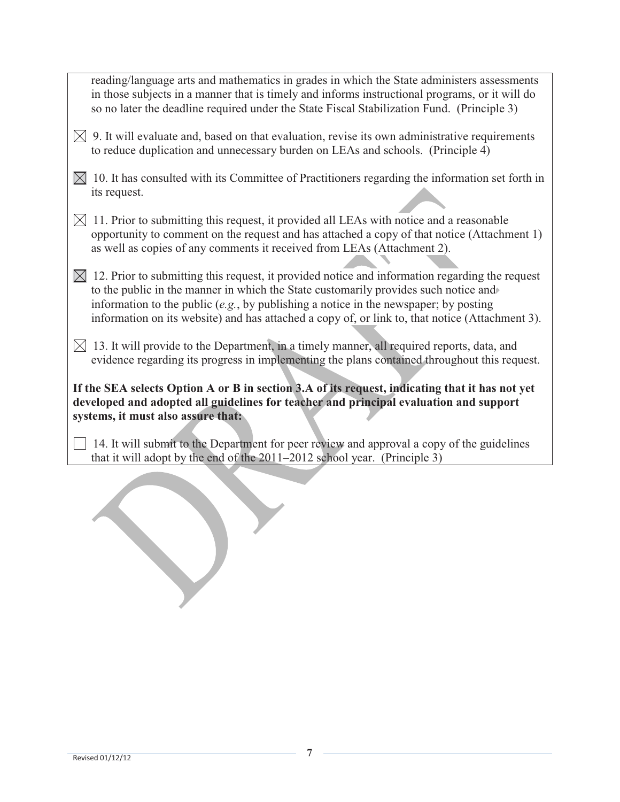| reading/language arts and mathematics in grades in which the State administers assessments<br>in those subjects in a manner that is timely and informs instructional programs, or it will do<br>so no later the deadline required under the State Fiscal Stabilization Fund. (Principle 3)                                                                                                     |
|------------------------------------------------------------------------------------------------------------------------------------------------------------------------------------------------------------------------------------------------------------------------------------------------------------------------------------------------------------------------------------------------|
| $\boxtimes$ 9. It will evaluate and, based on that evaluation, revise its own administrative requirements<br>to reduce duplication and unnecessary burden on LEAs and schools. (Principle 4)                                                                                                                                                                                                   |
| 10. It has consulted with its Committee of Practitioners regarding the information set forth in<br>$\bowtie$<br>its request.                                                                                                                                                                                                                                                                   |
| 11. Prior to submitting this request, it provided all LEAs with notice and a reasonable<br>$\bowtie$<br>opportunity to comment on the request and has attached a copy of that notice (Attachment 1)<br>as well as copies of any comments it received from LEAs (Attachment 2).                                                                                                                 |
| $\boxtimes$ 12. Prior to submitting this request, it provided notice and information regarding the request<br>to the public in the manner in which the State customarily provides such notice and<br>information to the public $(e.g., by publishing a notice in the newspaper; by posting$<br>information on its website) and has attached a copy of, or link to, that notice (Attachment 3). |
| $\boxtimes$ 13. It will provide to the Department, in a timely manner, all required reports, data, and<br>evidence regarding its progress in implementing the plans contained throughout this request.                                                                                                                                                                                         |
| If the SEA selects Option A or B in section 3.A of its request, indicating that it has not yet<br>developed and adopted all guidelines for teacher and principal evaluation and support<br>systems, it must also assure that:                                                                                                                                                                  |
| 14. It will submit to the Department for peer review and approval a copy of the guidelines<br>that it will adopt by the end of the 2011-2012 school year. (Principle 3)                                                                                                                                                                                                                        |
|                                                                                                                                                                                                                                                                                                                                                                                                |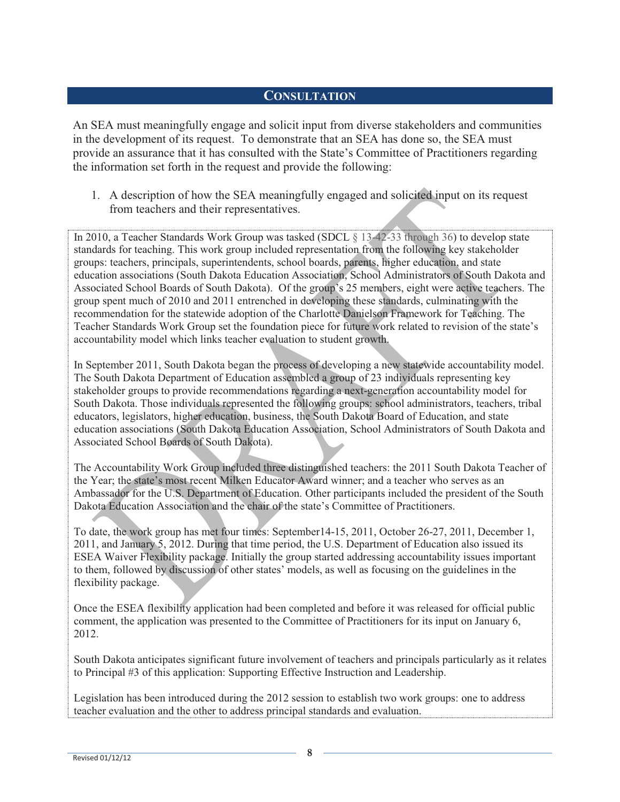### **CONSULTATION**

An SEA must meaningfully engage and solicit input from diverse stakeholders and communities in the development of its request. To demonstrate that an SEA has done so, the SEA must provide an assurance that it has consulted with the State's Committee of Practitioners regarding the information set forth in the request and provide the following:

1. A description of how the SEA meaningfully engaged and solicited input on its request from teachers and their representatives.

In 2010, a Teacher Standards Work Group was tasked (SDCL § 13-42-33 through 36) to develop state standards for teaching. This work group included representation from the following key stakeholder groups: teachers, principals, superintendents, school boards, parents, higher education, and state education associations (South Dakota Education Association, School Administrators of South Dakota and Associated School Boards of South Dakota). Of the group's 25 members, eight were active teachers. The group spent much of 2010 and 2011 entrenched in developing these standards, culminating with the recommendation for the statewide adoption of the Charlotte Danielson Framework for Teaching. The Teacher Standards Work Group set the foundation piece for future work related to revision of the state's accountability model which links teacher evaluation to student growth.

In September 2011, South Dakota began the process of developing a new statewide accountability model. The South Dakota Department of Education assembled a group of 23 individuals representing key stakeholder groups to provide recommendations regarding a next-generation accountability model for South Dakota. Those individuals represented the following groups: school administrators, teachers, tribal educators, legislators, higher education, business, the South Dakota Board of Education, and state education associations (South Dakota Education Association, School Administrators of South Dakota and Associated School Boards of South Dakota).

The Accountability Work Group included three distinguished teachers: the 2011 South Dakota Teacher of the Year; the state's most recent Milken Educator Award winner; and a teacher who serves as an Ambassador for the U.S. Department of Education. Other participants included the president of the South Dakota Education Association and the chair of the state's Committee of Practitioners.

To date, the work group has met four times: September14-15, 2011, October 26-27, 2011, December 1, 2011, and January 5, 2012. During that time period, the U.S. Department of Education also issued its ESEA Waiver Flexibility package. Initially the group started addressing accountability issues important to them, followed by discussion of other states' models, as well as focusing on the guidelines in the flexibility package.

Once the ESEA flexibility application had been completed and before it was released for official public comment, the application was presented to the Committee of Practitioners for its input on January 6, 2012.

South Dakota anticipates significant future involvement of teachers and principals particularly as it relates to Principal #3 of this application: Supporting Effective Instruction and Leadership.

Legislation has been introduced during the 2012 session to establish two work groups: one to address teacher evaluation and the other to address principal standards and evaluation.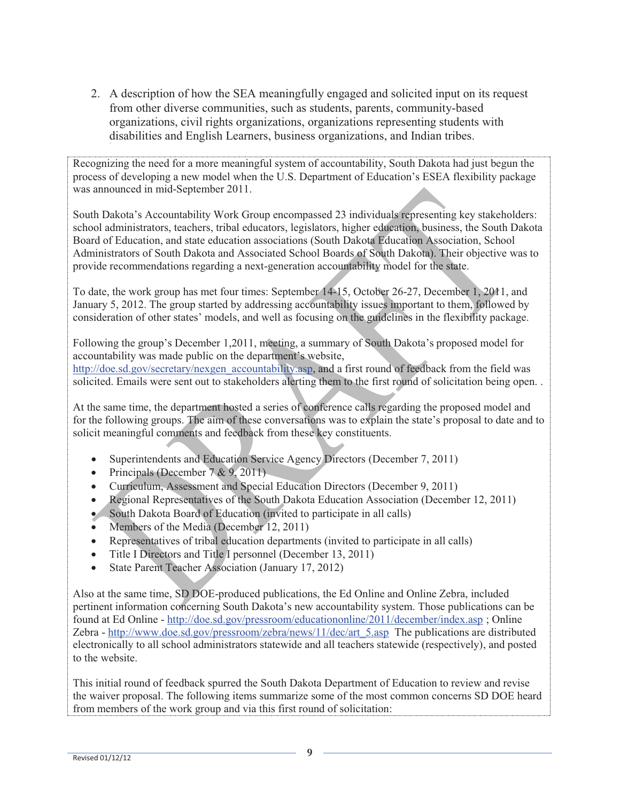2. A description of how the SEA meaningfully engaged and solicited input on its request from other diverse communities, such as students, parents, community-based organizations, civil rights organizations, organizations representing students with disabilities and English Learners, business organizations, and Indian tribes.

Recognizing the need for a more meaningful system of accountability, South Dakota had just begun the process of developing a new model when the U.S. Department of Education's ESEA flexibility package was announced in mid-September 2011.

South Dakota's Accountability Work Group encompassed 23 individuals representing key stakeholders: school administrators, teachers, tribal educators, legislators, higher education, business, the South Dakota Board of Education, and state education associations (South Dakota Education Association, School Administrators of South Dakota and Associated School Boards of South Dakota). Their objective was to provide recommendations regarding a next-generation accountability model for the state.

To date, the work group has met four times: September 14-15, October 26-27, December 1, 2011, and January 5, 2012. The group started by addressing accountability issues important to them, followed by consideration of other states' models, and well as focusing on the guidelines in the flexibility package.

Following the group's December 1,2011, meeting, a summary of South Dakota's proposed model for accountability was made public on the department's website, http://doe.sd.gov/secretary/nexgen\_accountability.asp, and a first round of feedback from the field was solicited. Emails were sent out to stakeholders alerting them to the first round of solicitation being open. .

At the same time, the department hosted a series of conference calls regarding the proposed model and for the following groups. The aim of these conversations was to explain the state's proposal to date and to solicit meaningful comments and feedback from these key constituents.

- Superintendents and Education Service Agency Directors (December 7, 2011)
- Principals (December  $7 & 9, 2011$ )
- Curriculum, Assessment and Special Education Directors (December 9, 2011)
- Regional Representatives of the South Dakota Education Association (December 12, 2011)
- South Dakota Board of Education (invited to participate in all calls)
- Members of the Media (December 12, 2011)
- Representatives of tribal education departments (invited to participate in all calls)
- Title I Directors and Title I personnel (December 13, 2011)
- State Parent Teacher Association (January 17, 2012)

Also at the same time, SD DOE-produced publications, the Ed Online and Online Zebra, included pertinent information concerning South Dakota's new accountability system. Those publications can be found at Ed Online - http://doe.sd.gov/pressroom/educationonline/2011/december/index.asp ; Online Zebra - http://www.doe.sd.gov/pressroom/zebra/news/11/dec/art\_5.asp The publications are distributed electronically to all school administrators statewide and all teachers statewide (respectively), and posted to the website.

This initial round of feedback spurred the South Dakota Department of Education to review and revise the waiver proposal. The following items summarize some of the most common concerns SD DOE heard from members of the work group and via this first round of solicitation: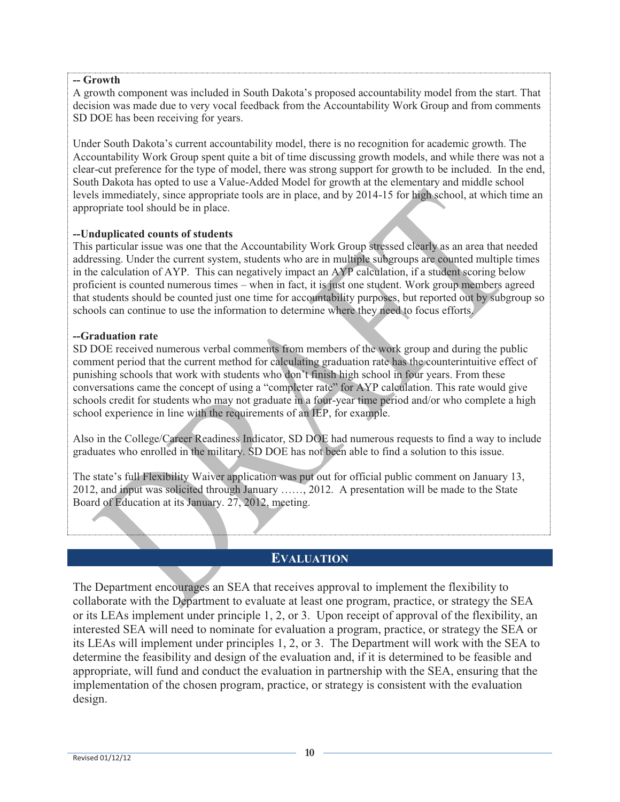#### **-- Growth**

A growth component was included in South Dakota's proposed accountability model from the start. That decision was made due to very vocal feedback from the Accountability Work Group and from comments SD DOE has been receiving for years.

Under South Dakota's current accountability model, there is no recognition for academic growth. The Accountability Work Group spent quite a bit of time discussing growth models, and while there was not a clear-cut preference for the type of model, there was strong support for growth to be included. In the end, South Dakota has opted to use a Value-Added Model for growth at the elementary and middle school levels immediately, since appropriate tools are in place, and by 2014-15 for high school, at which time an appropriate tool should be in place.

#### **--Unduplicated counts of students**

This particular issue was one that the Accountability Work Group stressed clearly as an area that needed addressing. Under the current system, students who are in multiple subgroups are counted multiple times in the calculation of AYP. This can negatively impact an AYP calculation, if a student scoring below proficient is counted numerous times – when in fact, it is just one student. Work group members agreed that students should be counted just one time for accountability purposes, but reported out by subgroup so schools can continue to use the information to determine where they need to focus efforts.

#### **--Graduation rate**

SD DOE received numerous verbal comments from members of the work group and during the public comment period that the current method for calculating graduation rate has the counterintuitive effect of punishing schools that work with students who don't finish high school in four years. From these conversations came the concept of using a "completer rate" for AYP calculation. This rate would give schools credit for students who may not graduate in a four-year time period and/or who complete a high school experience in line with the requirements of an IEP, for example.

Also in the College/Career Readiness Indicator, SD DOE had numerous requests to find a way to include graduates who enrolled in the military. SD DOE has not been able to find a solution to this issue.

The state's full Flexibility Waiver application was put out for official public comment on January 13, 2012, and input was solicited through January ……, 2012. A presentation will be made to the State Board of Education at its January. 27, 2012, meeting.

#### **EVALUATION**

The Department encourages an SEA that receives approval to implement the flexibility to collaborate with the Department to evaluate at least one program, practice, or strategy the SEA or its LEAs implement under principle 1, 2, or 3. Upon receipt of approval of the flexibility, an interested SEA will need to nominate for evaluation a program, practice, or strategy the SEA or its LEAs will implement under principles 1, 2, or 3. The Department will work with the SEA to determine the feasibility and design of the evaluation and, if it is determined to be feasible and appropriate, will fund and conduct the evaluation in partnership with the SEA, ensuring that the implementation of the chosen program, practice, or strategy is consistent with the evaluation design.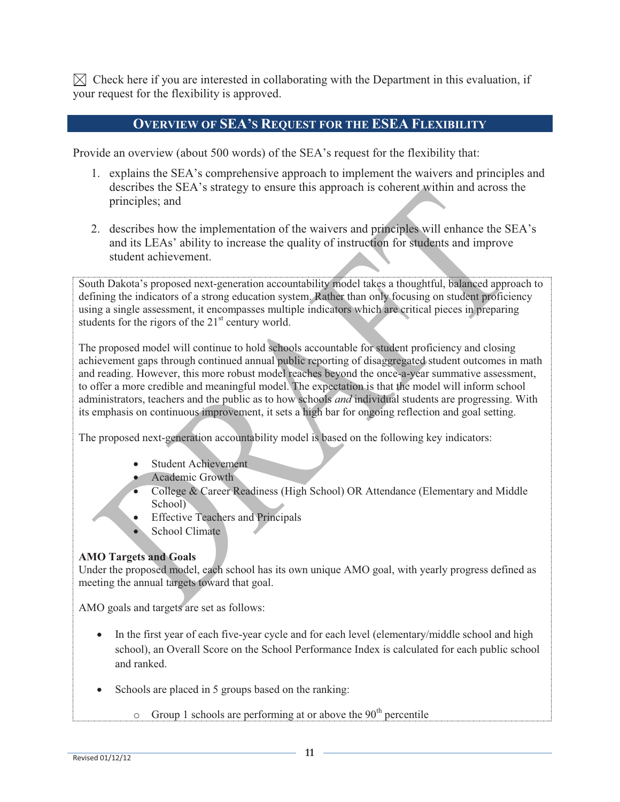$\boxtimes$  Check here if you are interested in collaborating with the Department in this evaluation, if your request for the flexibility is approved.

#### **OVERVIEW OF SEA'S REQUEST FOR THE ESEA FLEXIBILITY**

Provide an overview (about 500 words) of the SEA's request for the flexibility that:

- 1. explains the SEA's comprehensive approach to implement the waivers and principles and describes the SEA's strategy to ensure this approach is coherent within and across the principles; and
- 2. describes how the implementation of the waivers and principles will enhance the SEA's and its LEAs' ability to increase the quality of instruction for students and improve student achievement.

South Dakota's proposed next-generation accountability model takes a thoughtful, balanced approach to defining the indicators of a strong education system. Rather than only focusing on student proficiency using a single assessment, it encompasses multiple indicators which are critical pieces in preparing students for the rigors of the  $21<sup>st</sup>$  century world.

The proposed model will continue to hold schools accountable for student proficiency and closing achievement gaps through continued annual public reporting of disaggregated student outcomes in math and reading. However, this more robust model reaches beyond the once-a-year summative assessment, to offer a more credible and meaningful model. The expectation is that the model will inform school administrators, teachers and the public as to how schools *and* individual students are progressing. With its emphasis on continuous improvement, it sets a high bar for ongoing reflection and goal setting.

The proposed next-generation accountability model is based on the following key indicators:

- Student Achievement
- Academic Growth
- College & Career Readiness (High School) OR Attendance (Elementary and Middle School)
- Effective Teachers and Principals
- School Climate

#### **AMO Targets and Goals**

Under the proposed model, each school has its own unique AMO goal, with yearly progress defined as meeting the annual targets toward that goal.

AMO goals and targets are set as follows:

- In the first year of each five-year cycle and for each level (elementary/middle school and high school), an Overall Score on the School Performance Index is calculated for each public school and ranked.
- Schools are placed in 5 groups based on the ranking:
	- $\circ$  Group 1 schools are performing at or above the 90<sup>th</sup> percentile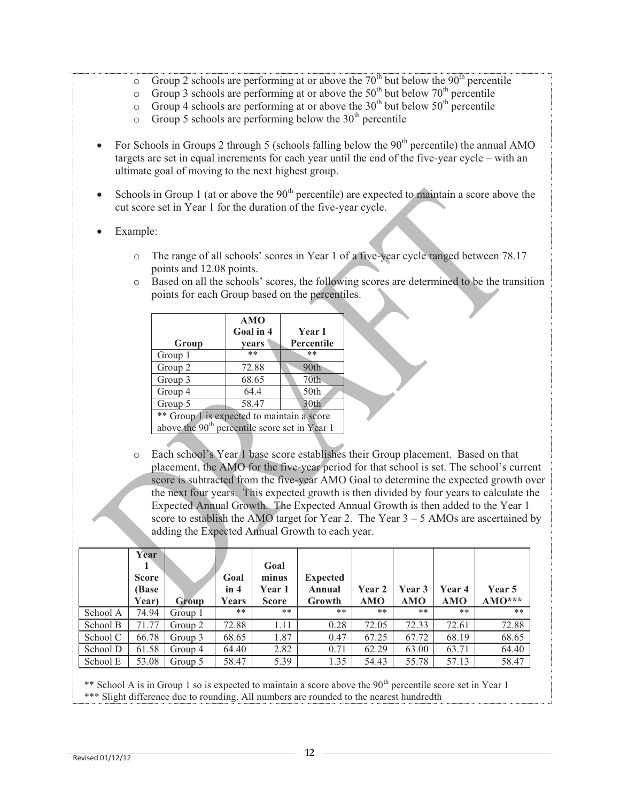- Group 2 schools are performing at or above the  $70<sup>th</sup>$  but below the  $90<sup>th</sup>$  percentile
- $\circ$  Group 3 schools are performing at or above the 50<sup>th</sup> but below 70<sup>th</sup> percentile
- $\circ$  Group 4 schools are performing at or above the 30<sup>th</sup> but below 50<sup>th</sup> percentile
- $\circ$  Group 5 schools are performing below the 30<sup>th</sup> percentile
- For Schools in Groups 2 through 5 (schools falling below the  $90<sup>th</sup>$  percentile) the annual AMO targets are set in equal increments for each year until the end of the five-year cycle – with an ultimate goal of moving to the next highest group.
- Schools in Group 1 (at or above the  $90<sup>th</sup>$  percentile) are expected to maintain a score above the cut score set in Year 1 for the duration of the five-year cycle.
- Example:
	- o The range of all schools' scores in Year 1 of a five-year cycle ranged between 78.17 points and 12.08 points.
	- o Based on all the schools' scores, the following scores are determined to be the transition points for each Group based on the percentiles.

| Group                                                     | <b>AMO</b><br>Goal in 4<br>years | <b>Year I</b><br>Percentile |  |  |  |
|-----------------------------------------------------------|----------------------------------|-----------------------------|--|--|--|
| Group 1                                                   | $**$                             | **                          |  |  |  |
| Group 2                                                   | 72.88                            | 90th                        |  |  |  |
| Group 3                                                   | 68.65                            | 70 <sub>th</sub>            |  |  |  |
| Group 4                                                   | 64.4                             | 50th                        |  |  |  |
| Group 5                                                   | 58.47                            | 30th                        |  |  |  |
| ** Group 1 is expected to maintain a score                |                                  |                             |  |  |  |
| above the 90 <sup>th</sup> percentile score set in Year 1 |                                  |                             |  |  |  |

o Each school's Year 1 base score establishes their Group placement. Based on that placement, the AMO for the five-year period for that school is set. The school's current score is subtracted from the five-year AMO Goal to determine the expected growth over the next four years. This expected growth is then divided by four years to calculate the Expected Annual Growth. The Expected Annual Growth is then added to the Year 1 score to establish the AMO target for Year 2. The Year  $3 - 5$  AMOs are ascertained by adding the Expected Annual Growth to each year.

|          | Year<br><b>Score</b><br>(Base)<br>Year) | Group   | Goal<br>in 4<br>Years | Goal<br>minus<br><b>Year 1</b><br><b>Score</b> | <b>Expected</b><br>Annual<br>Growth | Year 2<br>AMO | Year 3<br><b>AMO</b> | <b>Year 4</b><br><b>AMO</b> | Year 5<br>$AMO***$ |
|----------|-----------------------------------------|---------|-----------------------|------------------------------------------------|-------------------------------------|---------------|----------------------|-----------------------------|--------------------|
| School A | 74.94                                   | Group 1 | **                    | **                                             | $***$                               | **            | **                   | $***$                       | $***$              |
| School B | 71.77                                   | Group 2 | 72.88                 | 1.11                                           | 0.28                                | 72.05         | 72.33                | 72.61                       | 72.88              |
| School C | 66.78                                   | Group 3 | 68.65                 | 1.87                                           | 0.47                                | 67.25         | 67.72                | 68.19                       | 68.65              |
| School D | 61.58                                   | Group 4 | 64.40                 | 2.82                                           | 0.71                                | 62.29         | 63.00                | 63.71                       | 64.40              |
| School E | 53.08                                   | Group 5 | 58.47                 | 5.39                                           | 1.35                                | 54.43         | 55.78                | 57.13                       | 58.47              |

\*\* School A is in Group 1 so is expected to maintain a score above the  $90<sup>th</sup>$  percentile score set in Year 1 \*\*\* Slight difference due to rounding. All numbers are rounded to the nearest hundredth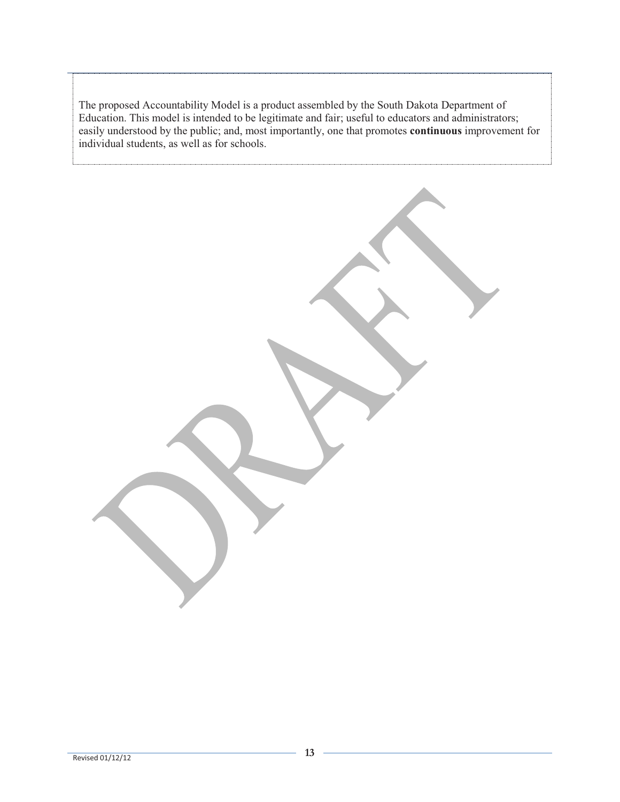The proposed Accountability Model is a product assembled by the South Dakota Department of Education. This model is intended to be legitimate and fair; useful to educators and administrators; easily understood by the public; and, most importantly, one that promotes **continuous** improvement for individual students, as well as for schools.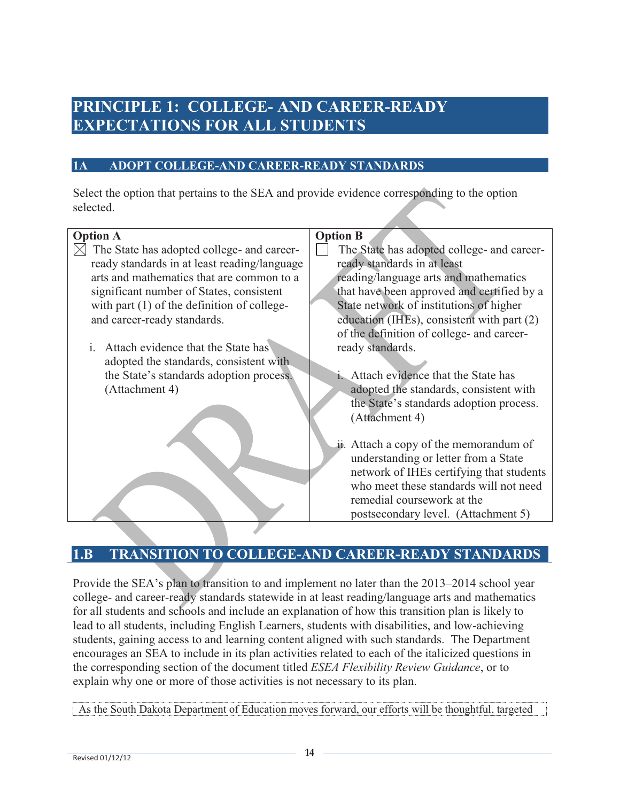### **PRINCIPLE 1: COLLEGE- AND CAREER-READY EXPECTATIONS FOR ALL STUDENTS**

#### **1A ADOPT COLLEGE-AND CAREER-READY STANDARDS**

Select the option that pertains to the SEA and provide evidence corresponding to the option selected.

#### **Option A**   $\boxtimes$  The State has adopted college- and careerready standards in at least reading/language arts and mathematics that are common to a significant number of States, consistent with part  $(1)$  of the definition of collegeand career-ready standards. i. Attach evidence that the State has adopted the standards, consistent with the State's standards adoption process. (Attachment 4) **Option B**  The State has adopted college- and careerready standards in at least reading/language arts and mathematics that have been approved and certified by a State network of institutions of higher education (IHEs), consistent with part (2) of the definition of college- and careerready standards. i. Attach evidence that the State has adopted the standards, consistent with the State's standards adoption process. (Attachment 4) ii. Attach a copy of the memorandum of understanding or letter from a State network of IHEs certifying that students who meet these standards will not need remedial coursework at the postsecondary level. (Attachment 5)

### **1.B TRANSITION TO COLLEGE-AND CAREER-READY STANDARDS**

Provide the SEA's plan to transition to and implement no later than the 2013–2014 school year college- and career-ready standards statewide in at least reading/language arts and mathematics for all students and schools and include an explanation of how this transition plan is likely to lead to all students, including English Learners, students with disabilities, and low-achieving students, gaining access to and learning content aligned with such standards. The Department encourages an SEA to include in its plan activities related to each of the italicized questions in the corresponding section of the document titled *ESEA Flexibility Review Guidance*, or to explain why one or more of those activities is not necessary to its plan.

As the South Dakota Department of Education moves forward, our efforts will be thoughtful, targeted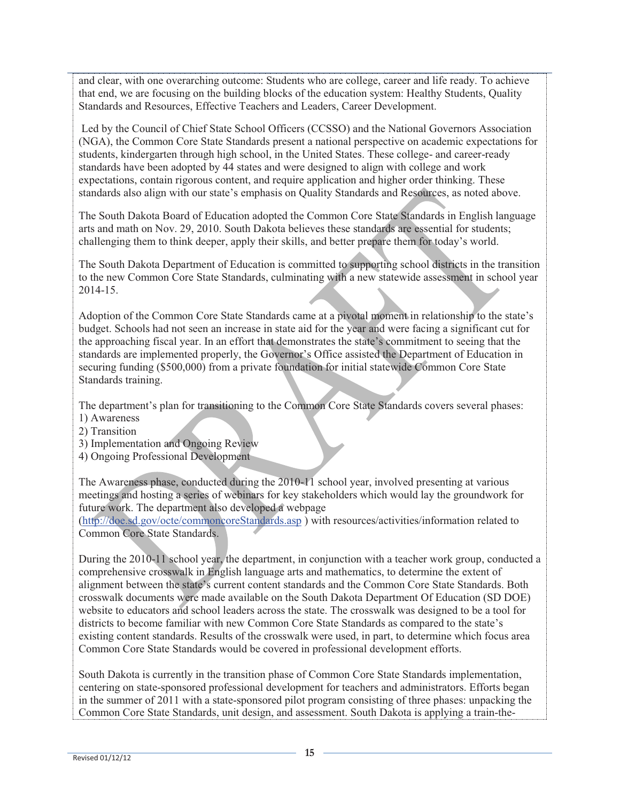and clear, with one overarching outcome: Students who are college, career and life ready. To achieve that end, we are focusing on the building blocks of the education system: Healthy Students, Quality Standards and Resources, Effective Teachers and Leaders, Career Development.

 Led by the Council of Chief State School Officers (CCSSO) and the National Governors Association (NGA), the Common Core State Standards present a national perspective on academic expectations for students, kindergarten through high school, in the United States. These college- and career-ready standards have been adopted by 44 states and were designed to align with college and work expectations, contain rigorous content, and require application and higher order thinking. These standards also align with our state's emphasis on Quality Standards and Resources, as noted above.

The South Dakota Board of Education adopted the Common Core State Standards in English language arts and math on Nov. 29, 2010. South Dakota believes these standards are essential for students; challenging them to think deeper, apply their skills, and better prepare them for today's world.

The South Dakota Department of Education is committed to supporting school districts in the transition to the new Common Core State Standards, culminating with a new statewide assessment in school year 2014-15.

Adoption of the Common Core State Standards came at a pivotal moment in relationship to the state's budget. Schools had not seen an increase in state aid for the year and were facing a significant cut for the approaching fiscal year. In an effort that demonstrates the state's commitment to seeing that the standards are implemented properly, the Governor's Office assisted the Department of Education in securing funding (\$500,000) from a private foundation for initial statewide Common Core State Standards training.

The department's plan for transitioning to the Common Core State Standards covers several phases:

- 1) Awareness
- 2) Transition
- 3) Implementation and Ongoing Review
- 4) Ongoing Professional Development

The Awareness phase, conducted during the 2010-11 school year, involved presenting at various meetings and hosting a series of webinars for key stakeholders which would lay the groundwork for future work. The department also developed a webpage

(http://doe.sd.gov/octe/commoncoreStandards.asp ) with resources/activities/information related to Common Core State Standards.

During the 2010-11 school year, the department, in conjunction with a teacher work group, conducted a comprehensive crosswalk in English language arts and mathematics, to determine the extent of alignment between the state's current content standards and the Common Core State Standards. Both crosswalk documents were made available on the South Dakota Department Of Education (SD DOE) website to educators and school leaders across the state. The crosswalk was designed to be a tool for districts to become familiar with new Common Core State Standards as compared to the state's existing content standards. Results of the crosswalk were used, in part, to determine which focus area Common Core State Standards would be covered in professional development efforts.

South Dakota is currently in the transition phase of Common Core State Standards implementation, centering on state-sponsored professional development for teachers and administrators. Efforts began in the summer of 2011 with a state-sponsored pilot program consisting of three phases: unpacking the Common Core State Standards, unit design, and assessment. South Dakota is applying a train-the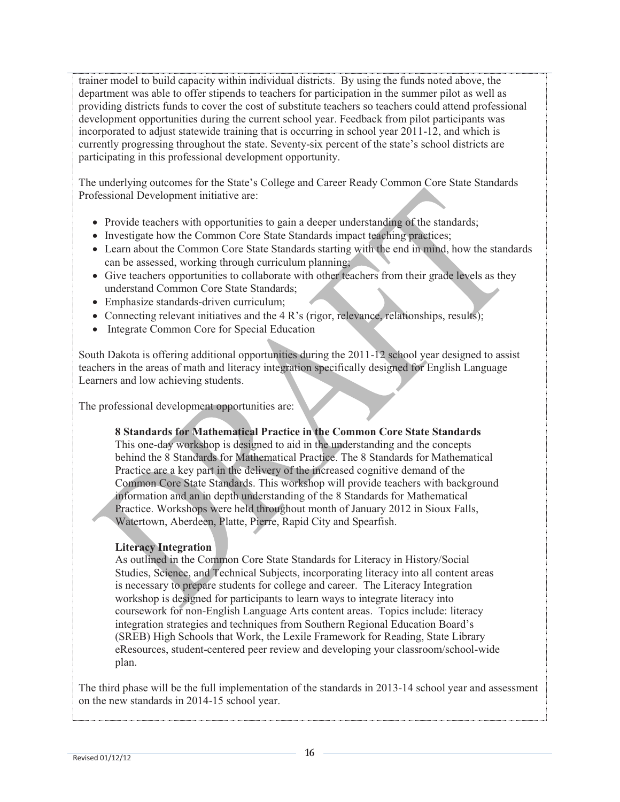trainer model to build capacity within individual districts. By using the funds noted above, the department was able to offer stipends to teachers for participation in the summer pilot as well as providing districts funds to cover the cost of substitute teachers so teachers could attend professional development opportunities during the current school year. Feedback from pilot participants was incorporated to adjust statewide training that is occurring in school year 2011-12, and which is currently progressing throughout the state. Seventy-six percent of the state's school districts are participating in this professional development opportunity.

The underlying outcomes for the State's College and Career Ready Common Core State Standards Professional Development initiative are:

- Provide teachers with opportunities to gain a deeper understanding of the standards;
- Investigate how the Common Core State Standards impact teaching practices;
- Learn about the Common Core State Standards starting with the end in mind, how the standards can be assessed, working through curriculum planning;
- Give teachers opportunities to collaborate with other teachers from their grade levels as they understand Common Core State Standards;
- Emphasize standards-driven curriculum;
- Connecting relevant initiatives and the 4 R's (rigor, relevance, relationships, results);
- Integrate Common Core for Special Education

South Dakota is offering additional opportunities during the 2011-12 school year designed to assist teachers in the areas of math and literacy integration specifically designed for English Language Learners and low achieving students.

The professional development opportunities are:

#### **8 Standards for Mathematical Practice in the Common Core State Standards**

This one-day workshop is designed to aid in the understanding and the concepts behind the 8 Standards for Mathematical Practice. The 8 Standards for Mathematical Practice are a key part in the delivery of the increased cognitive demand of the Common Core State Standards. This workshop will provide teachers with background information and an in depth understanding of the 8 Standards for Mathematical Practice. Workshops were held throughout month of January 2012 in Sioux Falls, Watertown, Aberdeen, Platte, Pierre, Rapid City and Spearfish.

#### **Literacy Integration**

As outlined in the Common Core State Standards for Literacy in History/Social Studies, Science, and Technical Subjects, incorporating literacy into all content areas is necessary to prepare students for college and career. The Literacy Integration workshop is designed for participants to learn ways to integrate literacy into coursework for non-English Language Arts content areas. Topics include: literacy integration strategies and techniques from Southern Regional Education Board's (SREB) High Schools that Work, the Lexile Framework for Reading, State Library eResources, student-centered peer review and developing your classroom/school-wide plan.

The third phase will be the full implementation of the standards in 2013-14 school year and assessment on the new standards in 2014-15 school year.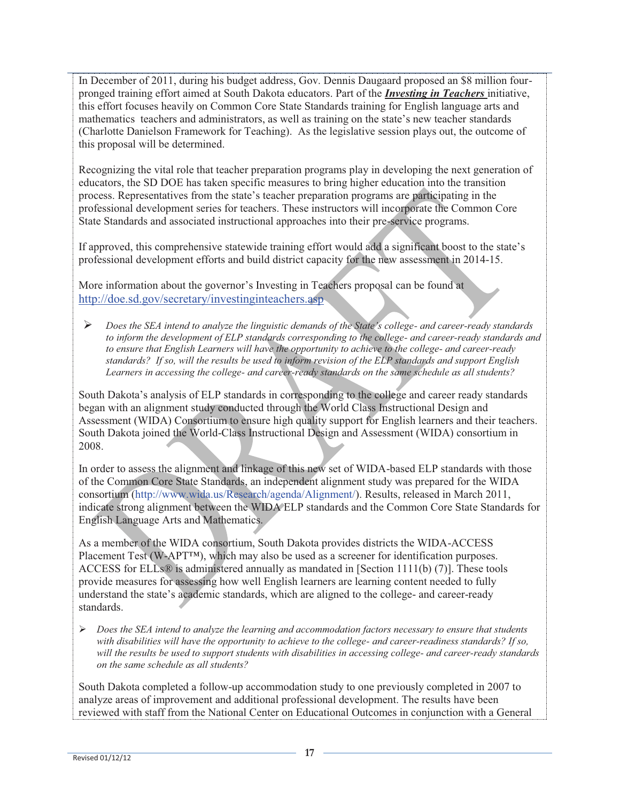In December of 2011, during his budget address, Gov. Dennis Daugaard proposed an \$8 million fourpronged training effort aimed at South Dakota educators. Part of the *Investing in Teachers* initiative, this effort focuses heavily on Common Core State Standards training for English language arts and mathematics teachers and administrators, as well as training on the state's new teacher standards (Charlotte Danielson Framework for Teaching). As the legislative session plays out, the outcome of this proposal will be determined.

Recognizing the vital role that teacher preparation programs play in developing the next generation of educators, the SD DOE has taken specific measures to bring higher education into the transition process. Representatives from the state's teacher preparation programs are participating in the professional development series for teachers. These instructors will incorporate the Common Core State Standards and associated instructional approaches into their pre-service programs.

If approved, this comprehensive statewide training effort would add a significant boost to the state's professional development efforts and build district capacity for the new assessment in 2014-15.

More information about the governor's Investing in Teachers proposal can be found at http://doe.sd.gov/secretary/investinginteachers.asp

 $\blacktriangleright$  *Does the SEA intend to analyze the linguistic demands of the State's college- and career-ready standards to inform the development of ELP standards corresponding to the college- and career-ready standards and to ensure that English Learners will have the opportunity to achieve to the college- and career-ready standards? If so, will the results be used to inform revision of the ELP standards and support English Learners in accessing the college- and career-ready standards on the same schedule as all students?*

South Dakota's analysis of ELP standards in corresponding to the college and career ready standards began with an alignment study conducted through the World Class Instructional Design and Assessment (WIDA) Consortium to ensure high quality support for English learners and their teachers. South Dakota joined the World-Class Instructional Design and Assessment (WIDA) consortium in 2008.

In order to assess the alignment and linkage of this new set of WIDA-based ELP standards with those of the Common Core State Standards, an independent alignment study was prepared for the WIDA consortium (http://www.wida.us/Research/agenda/Alignment/). Results, released in March 2011, indicate strong alignment between the WIDA ELP standards and the Common Core State Standards for English Language Arts and Mathematics.

As a member of the WIDA consortium, South Dakota provides districts the WIDA-ACCESS Placement Test (W-APT<sup>™</sup>), which may also be used as a screener for identification purposes. ACCESS for ELLs® is administered annually as mandated in [Section 1111(b) (7)]. These tools provide measures for assessing how well English learners are learning content needed to fully understand the state's academic standards, which are aligned to the college- and career-ready standards.

- *Does the SEA intend to analyze the learning and accommodation factors necessary to ensure that students with disabilities will have the opportunity to achieve to the college- and career-readiness standards? If so, will the results be used to support students with disabilities in accessing college- and career-ready standards on the same schedule as all students?* 

South Dakota completed a follow-up accommodation study to one previously completed in 2007 to analyze areas of improvement and additional professional development. The results have been reviewed with staff from the National Center on Educational Outcomes in conjunction with a General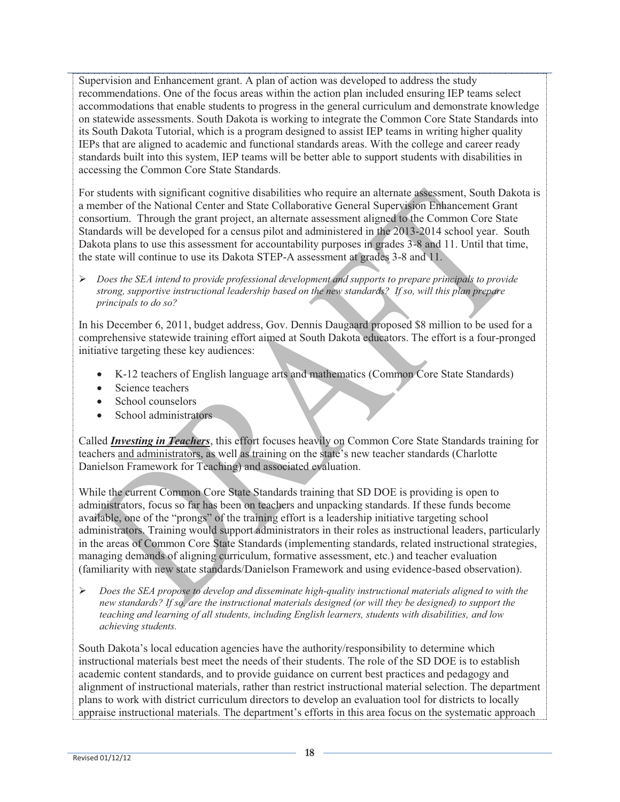Supervision and Enhancement grant. A plan of action was developed to address the study recommendations. One of the focus areas within the action plan included ensuring IEP teams select accommodations that enable students to progress in the general curriculum and demonstrate knowledge on statewide assessments. South Dakota is working to integrate the Common Core State Standards into its South Dakota Tutorial, which is a program designed to assist IEP teams in writing higher quality IEPs that are aligned to academic and functional standards areas. With the college and career ready standards built into this system, IEP teams will be better able to support students with disabilities in accessing the Common Core State Standards.

For students with significant cognitive disabilities who require an alternate assessment, South Dakota is a member of the National Center and State Collaborative General Supervision Enhancement Grant consortium. Through the grant project, an alternate assessment aligned to the Common Core State Standards will be developed for a census pilot and administered in the 2013-2014 school year. South Dakota plans to use this assessment for accountability purposes in grades 3-8 and 11. Until that time, the state will continue to use its Dakota STEP-A assessment at grades 3-8 and 11.

- *Does the SEA intend to provide professional development and supports to prepare principals to provide strong, supportive instructional leadership based on the new standards? If so, will this plan prepare principals to do so?*

In his December 6, 2011, budget address, Gov. Dennis Daugaard proposed \$8 million to be used for a comprehensive statewide training effort aimed at South Dakota educators. The effort is a four-pronged initiative targeting these key audiences:

- K-12 teachers of English language arts and mathematics (Common Core State Standards)
- Science teachers
- School counselors
- School administrators

Called *Investing in Teachers*, this effort focuses heavily on Common Core State Standards training for teachers and administrators, as well as training on the state's new teacher standards (Charlotte Danielson Framework for Teaching) and associated evaluation.

While the current Common Core State Standards training that SD DOE is providing is open to administrators, focus so far has been on teachers and unpacking standards. If these funds become available, one of the "prongs" of the training effort is a leadership initiative targeting school administrators. Training would support administrators in their roles as instructional leaders, particularly in the areas of Common Core State Standards (implementing standards, related instructional strategies, managing demands of aligning curriculum, formative assessment, etc.) and teacher evaluation (familiarity with new state standards/Danielson Framework and using evidence-based observation).

 $\blacktriangleright$  *Does the SEA propose to develop and disseminate high-quality instructional materials aligned to with the new standards? If so, are the instructional materials designed (or will they be designed) to support the teaching and learning of all students, including English learners, students with disabilities, and low achieving students.* 

South Dakota's local education agencies have the authority/responsibility to determine which instructional materials best meet the needs of their students. The role of the SD DOE is to establish academic content standards, and to provide guidance on current best practices and pedagogy and alignment of instructional materials, rather than restrict instructional material selection. The department plans to work with district curriculum directors to develop an evaluation tool for districts to locally appraise instructional materials. The department's efforts in this area focus on the systematic approach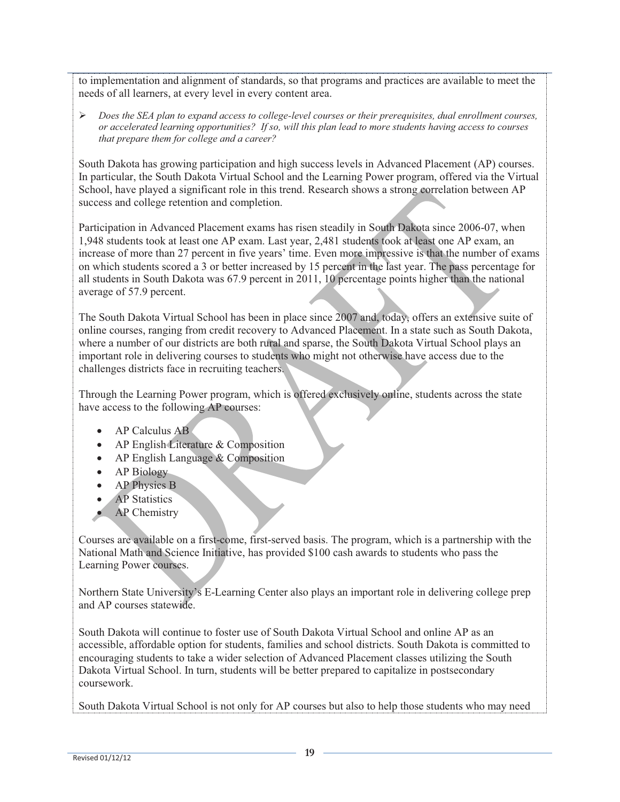to implementation and alignment of standards, so that programs and practices are available to meet the needs of all learners, at every level in every content area.

- *Does the SEA plan to expand access to college-level courses or their prerequisites, dual enrollment courses, or accelerated learning opportunities? If so, will this plan lead to more students having access to courses that prepare them for college and a career?*

South Dakota has growing participation and high success levels in Advanced Placement (AP) courses. In particular, the South Dakota Virtual School and the Learning Power program, offered via the Virtual School, have played a significant role in this trend. Research shows a strong correlation between AP success and college retention and completion.

Participation in Advanced Placement exams has risen steadily in South Dakota since 2006-07, when 1,948 students took at least one AP exam. Last year, 2,481 students took at least one AP exam, an increase of more than 27 percent in five years' time. Even more impressive is that the number of exams on which students scored a 3 or better increased by 15 percent in the last year. The pass percentage for all students in South Dakota was 67.9 percent in 2011, 10 percentage points higher than the national average of 57.9 percent.

The South Dakota Virtual School has been in place since 2007 and, today, offers an extensive suite of online courses, ranging from credit recovery to Advanced Placement. In a state such as South Dakota, where a number of our districts are both rural and sparse, the South Dakota Virtual School plays an important role in delivering courses to students who might not otherwise have access due to the challenges districts face in recruiting teachers.

Through the Learning Power program, which is offered exclusively online, students across the state have access to the following AP courses:

- AP Calculus AB
- AP English Literature & Composition
- AP English Language & Composition
- AP Biology
- AP Physics B
- AP Statistics
- AP Chemistry

Courses are available on a first-come, first-served basis. The program, which is a partnership with the National Math and Science Initiative, has provided \$100 cash awards to students who pass the Learning Power courses.

Northern State University's E-Learning Center also plays an important role in delivering college prep and AP courses statewide.

South Dakota will continue to foster use of South Dakota Virtual School and online AP as an accessible, affordable option for students, families and school districts. South Dakota is committed to encouraging students to take a wider selection of Advanced Placement classes utilizing the South Dakota Virtual School. In turn, students will be better prepared to capitalize in postsecondary coursework.

South Dakota Virtual School is not only for AP courses but also to help those students who may need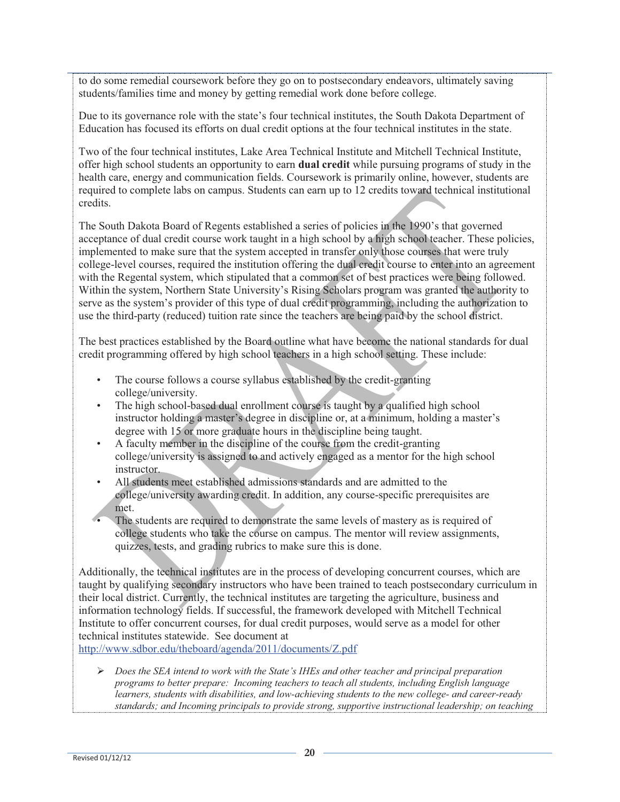to do some remedial coursework before they go on to postsecondary endeavors, ultimately saving students/families time and money by getting remedial work done before college.

Due to its governance role with the state's four technical institutes, the South Dakota Department of Education has focused its efforts on dual credit options at the four technical institutes in the state.

Two of the four technical institutes, Lake Area Technical Institute and Mitchell Technical Institute, offer high school students an opportunity to earn **dual credit** while pursuing programs of study in the health care, energy and communication fields. Coursework is primarily online, however, students are required to complete labs on campus. Students can earn up to 12 credits toward technical institutional credits.

The South Dakota Board of Regents established a series of policies in the 1990's that governed acceptance of dual credit course work taught in a high school by a high school teacher. These policies, implemented to make sure that the system accepted in transfer only those courses that were truly college-level courses, required the institution offering the dual credit course to enter into an agreement with the Regental system, which stipulated that a common set of best practices were being followed. Within the system, Northern State University's Rising Scholars program was granted the authority to serve as the system's provider of this type of dual credit programming, including the authorization to use the third-party (reduced) tuition rate since the teachers are being paid by the school district.

The best practices established by the Board outline what have become the national standards for dual credit programming offered by high school teachers in a high school setting. These include:

- The course follows a course syllabus established by the credit-granting college/university.
- The high school-based dual enrollment course is taught by a qualified high school instructor holding a master's degree in discipline or, at a minimum, holding a master's degree with 15 or more graduate hours in the discipline being taught.
- A faculty member in the discipline of the course from the credit-granting college/university is assigned to and actively engaged as a mentor for the high school instructor.
- All students meet established admissions standards and are admitted to the college/university awarding credit. In addition, any course-specific prerequisites are met.
- The students are required to demonstrate the same levels of mastery as is required of college students who take the course on campus. The mentor will review assignments, quizzes, tests, and grading rubrics to make sure this is done.

Additionally, the technical institutes are in the process of developing concurrent courses, which are taught by qualifying secondary instructors who have been trained to teach postsecondary curriculum in their local district. Currently, the technical institutes are targeting the agriculture, business and information technology fields. If successful, the framework developed with Mitchell Technical Institute to offer concurrent courses, for dual credit purposes, would serve as a model for other technical institutes statewide. See document at

http://www.sdbor.edu/theboard/agenda/2011/documents/Z.pdf

- *Does the SEA intend to work with the State's IHEs and other teacher and principal preparation programs to better prepare: Incoming teachers to teach all students, including English language learners, students with disabilities, and low-achieving students to the new college- and career-ready standards; and Incoming principals to provide strong, supportive instructional leadership; on teaching*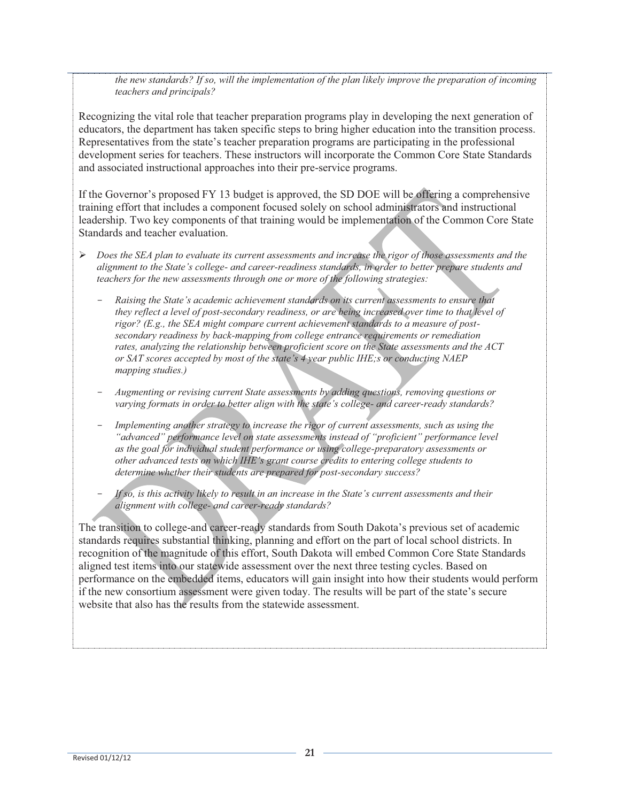*the new standards? If so, will the implementation of the plan likely improve the preparation of incoming teachers and principals?*

Recognizing the vital role that teacher preparation programs play in developing the next generation of educators, the department has taken specific steps to bring higher education into the transition process. Representatives from the state's teacher preparation programs are participating in the professional development series for teachers. These instructors will incorporate the Common Core State Standards and associated instructional approaches into their pre-service programs.

If the Governor's proposed FY 13 budget is approved, the SD DOE will be offering a comprehensive training effort that includes a component focused solely on school administrators and instructional leadership. Two key components of that training would be implementation of the Common Core State Standards and teacher evaluation.

- *Does the SEA plan to evaluate its current assessments and increase the rigor of those assessments and the alignment to the State's college- and career-readiness standards, in order to better prepare students and teachers for the new assessments through one or more of the following strategies:* 
	- *Raising the State's academic achievement standards on its current assessments to ensure that they reflect a level of post-secondary readiness, or are being increased over time to that level of rigor? (E.g., the SEA might compare current achievement standards to a measure of postsecondary readiness by back-mapping from college entrance requirements or remediation rates, analyzing the relationship between proficient score on the State assessments and the ACT or SAT scores accepted by most of the state's 4 year public IHE;s or conducting NAEP mapping studies.)*
	- *Augmenting or revising current State assessments by adding questions, removing questions or varying formats in order to better align with the state's college- and career-ready standards?*
	- *Implementing another strategy to increase the rigor of current assessments, such as using the "advanced" performance level on state assessments instead of "proficient" performance level as the goal for individual student performance or using college-preparatory assessments or other advanced tests on which IHE's grant course credits to entering college students to determine whether their students are prepared for post-secondary success?*
	- If so, is this activity likely to result in an increase in the State's current assessments and their *alignment with college- and career-ready standards?*

The transition to college-and career-ready standards from South Dakota's previous set of academic standards requires substantial thinking, planning and effort on the part of local school districts. In recognition of the magnitude of this effort, South Dakota will embed Common Core State Standards aligned test items into our statewide assessment over the next three testing cycles. Based on performance on the embedded items, educators will gain insight into how their students would perform if the new consortium assessment were given today. The results will be part of the state's secure website that also has the results from the statewide assessment.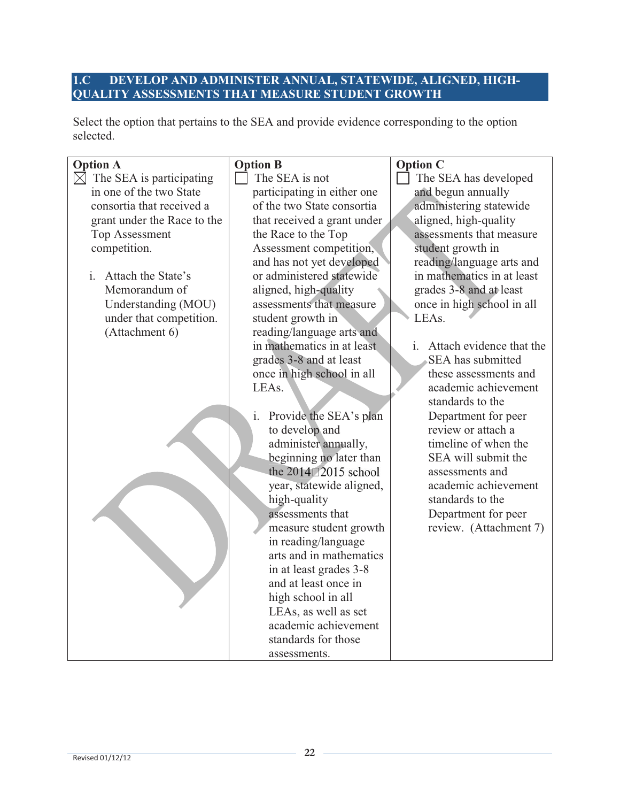### **1.C DEVELOP AND ADMINISTER ANNUAL, STATEWIDE, ALIGNED, HIGH-QUALITY ASSESSMENTS THAT MEASURE STUDENT GROWTH**

Select the option that pertains to the SEA and provide evidence corresponding to the option selected.

| <b>Option A</b>                         | <b>Option B</b>                          | <b>Option C</b>             |
|-----------------------------------------|------------------------------------------|-----------------------------|
| $\boxtimes$<br>The SEA is participating | The SEA is not                           | The SEA has developed       |
| in one of the two State                 | participating in either one              | and begun annually          |
| consortia that received a               | of the two State consortia               | administering statewide     |
| grant under the Race to the             | that received a grant under              | aligned, high-quality       |
| <b>Top Assessment</b>                   | the Race to the Top                      | assessments that measure    |
| competition.                            | Assessment competition,                  | student growth in           |
|                                         | and has not yet developed                | reading/language arts and   |
| Attach the State's<br>i.                | or administered statewide                | in mathematics in at least  |
| Memorandum of                           | aligned, high-quality                    | grades 3-8 and at least     |
| Understanding (MOU)                     | assessments that measure                 | once in high school in all  |
| under that competition.                 | student growth in                        | LEAs.                       |
| (Attachment 6)                          | reading/language arts and                |                             |
|                                         | in mathematics in at least               | i. Attach evidence that the |
|                                         | grades 3-8 and at least                  | SEA has submitted           |
|                                         | once in high school in all               | these assessments and       |
|                                         | LEAs.                                    | academic achievement        |
|                                         |                                          | standards to the            |
|                                         | Provide the SEA's plan<br>$\mathbf{i}$ . | Department for peer         |
|                                         | to develop and                           | review or attach a          |
|                                         | administer annually,                     | timeline of when the        |
|                                         | beginning no later than                  | SEA will submit the         |
|                                         | the 2014 2015 school                     | assessments and             |
|                                         | year, statewide aligned,                 | academic achievement        |
|                                         | high-quality                             | standards to the            |
|                                         | assessments that                         | Department for peer         |
|                                         | measure student growth                   | review. (Attachment 7)      |
|                                         | in reading/language                      |                             |
|                                         | arts and in mathematics                  |                             |
|                                         | in at least grades 3-8                   |                             |
|                                         | and at least once in                     |                             |
|                                         | high school in all                       |                             |
|                                         | LEAs, as well as set                     |                             |
|                                         | academic achievement                     |                             |
|                                         | standards for those                      |                             |
|                                         | assessments.                             |                             |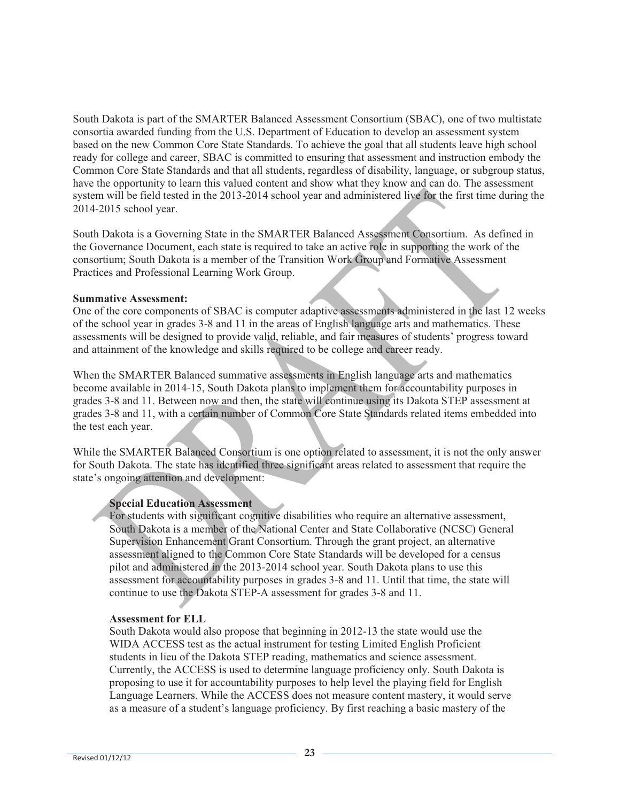South Dakota is part of the SMARTER Balanced Assessment Consortium (SBAC), one of two multistate consortia awarded funding from the U.S. Department of Education to develop an assessment system based on the new Common Core State Standards. To achieve the goal that all students leave high school ready for college and career, SBAC is committed to ensuring that assessment and instruction embody the Common Core State Standards and that all students, regardless of disability, language, or subgroup status, have the opportunity to learn this valued content and show what they know and can do. The assessment system will be field tested in the 2013-2014 school year and administered live for the first time during the 2014-2015 school year.

South Dakota is a Governing State in the SMARTER Balanced Assessment Consortium. As defined in the Governance Document, each state is required to take an active role in supporting the work of the consortium; South Dakota is a member of the Transition Work Group and Formative Assessment Practices and Professional Learning Work Group.

#### **Summative Assessment:**

One of the core components of SBAC is computer adaptive assessments administered in the last 12 weeks of the school year in grades 3-8 and 11 in the areas of English language arts and mathematics. These assessments will be designed to provide valid, reliable, and fair measures of students' progress toward and attainment of the knowledge and skills required to be college and career ready.

When the SMARTER Balanced summative assessments in English language arts and mathematics become available in 2014-15, South Dakota plans to implement them for accountability purposes in grades 3-8 and 11. Between now and then, the state will continue using its Dakota STEP assessment at grades 3-8 and 11, with a certain number of Common Core State Standards related items embedded into the test each year.

While the SMARTER Balanced Consortium is one option related to assessment, it is not the only answer for South Dakota. The state has identified three significant areas related to assessment that require the state's ongoing attention and development:

#### **Special Education Assessment**

For students with significant cognitive disabilities who require an alternative assessment, South Dakota is a member of the National Center and State Collaborative (NCSC) General Supervision Enhancement Grant Consortium. Through the grant project, an alternative assessment aligned to the Common Core State Standards will be developed for a census pilot and administered in the 2013-2014 school year. South Dakota plans to use this assessment for accountability purposes in grades 3-8 and 11. Until that time, the state will continue to use the Dakota STEP-A assessment for grades 3-8 and 11.

#### **Assessment for ELL**

South Dakota would also propose that beginning in 2012-13 the state would use the WIDA ACCESS test as the actual instrument for testing Limited English Proficient students in lieu of the Dakota STEP reading, mathematics and science assessment. Currently, the ACCESS is used to determine language proficiency only. South Dakota is proposing to use it for accountability purposes to help level the playing field for English Language Learners. While the ACCESS does not measure content mastery, it would serve as a measure of a student's language proficiency. By first reaching a basic mastery of the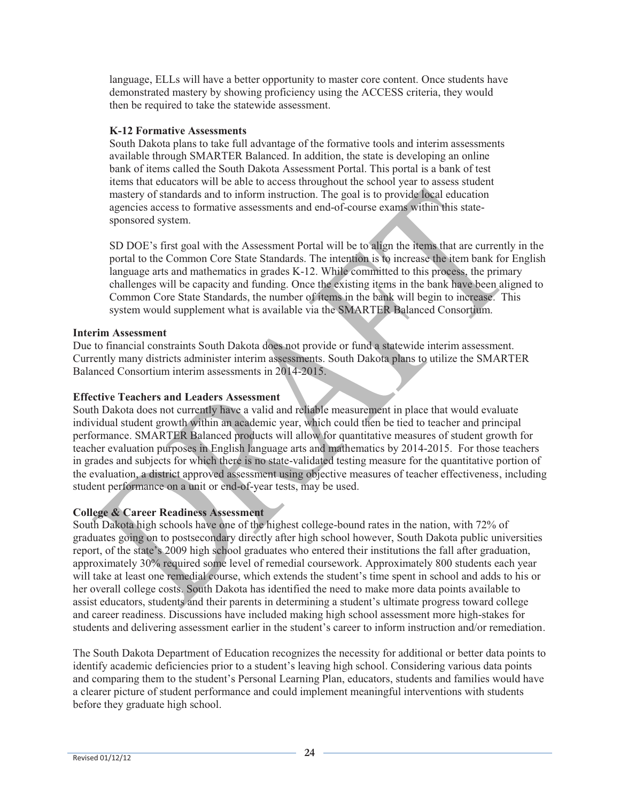language, ELLs will have a better opportunity to master core content. Once students have demonstrated mastery by showing proficiency using the ACCESS criteria, they would then be required to take the statewide assessment.

#### **K-12 Formative Assessments**

South Dakota plans to take full advantage of the formative tools and interim assessments available through SMARTER Balanced. In addition, the state is developing an online bank of items called the South Dakota Assessment Portal. This portal is a bank of test items that educators will be able to access throughout the school year to assess student mastery of standards and to inform instruction. The goal is to provide local education agencies access to formative assessments and end-of-course exams within this statesponsored system.

SD DOE's first goal with the Assessment Portal will be to align the items that are currently in the portal to the Common Core State Standards. The intention is to increase the item bank for English language arts and mathematics in grades K-12. While committed to this process, the primary challenges will be capacity and funding. Once the existing items in the bank have been aligned to Common Core State Standards, the number of items in the bank will begin to increase. This system would supplement what is available via the SMARTER Balanced Consortium.

#### **Interim Assessment**

Due to financial constraints South Dakota does not provide or fund a statewide interim assessment. Currently many districts administer interim assessments. South Dakota plans to utilize the SMARTER Balanced Consortium interim assessments in 2014-2015.

#### **Effective Teachers and Leaders Assessment**

South Dakota does not currently have a valid and reliable measurement in place that would evaluate individual student growth within an academic year, which could then be tied to teacher and principal performance. SMARTER Balanced products will allow for quantitative measures of student growth for teacher evaluation purposes in English language arts and mathematics by 2014-2015. For those teachers in grades and subjects for which there is no state-validated testing measure for the quantitative portion of the evaluation, a district approved assessment using objective measures of teacher effectiveness, including student performance on a unit or end-of-year tests, may be used.

#### **College & Career Readiness Assessment**

South Dakota high schools have one of the highest college-bound rates in the nation, with 72% of graduates going on to postsecondary directly after high school however, South Dakota public universities report, of the state's 2009 high school graduates who entered their institutions the fall after graduation, approximately 30% required some level of remedial coursework. Approximately 800 students each year will take at least one remedial course, which extends the student's time spent in school and adds to his or her overall college costs. South Dakota has identified the need to make more data points available to assist educators, students and their parents in determining a student's ultimate progress toward college and career readiness. Discussions have included making high school assessment more high-stakes for students and delivering assessment earlier in the student's career to inform instruction and/or remediation.

The South Dakota Department of Education recognizes the necessity for additional or better data points to identify academic deficiencies prior to a student's leaving high school. Considering various data points and comparing them to the student's Personal Learning Plan, educators, students and families would have a clearer picture of student performance and could implement meaningful interventions with students before they graduate high school.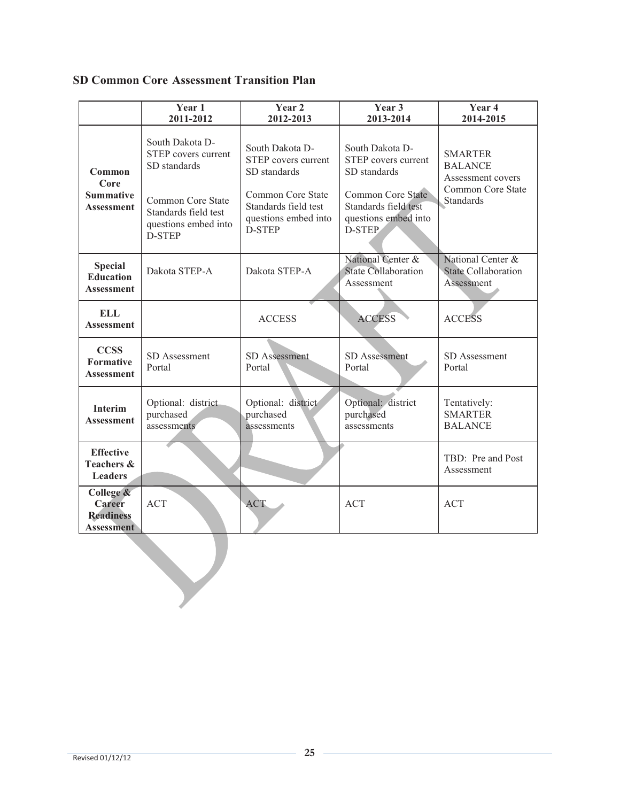### **SD Common Core Assessment Transition Plan**

|                                                                     | Year 1<br>2011-2012                                                                                                              | Year 2<br>2012-2013                                                         | Year 3<br>2013-2014                                                                | Year 4<br>2014-2015                                                        |  |
|---------------------------------------------------------------------|----------------------------------------------------------------------------------------------------------------------------------|-----------------------------------------------------------------------------|------------------------------------------------------------------------------------|----------------------------------------------------------------------------|--|
| Common<br>Core                                                      | South Dakota D-<br>South Dakota D-<br>STEP covers current<br>STEP covers current<br>SD standards<br>SD standards<br>SD standards |                                                                             | South Dakota D-<br>STEP covers current                                             | <b>SMARTER</b><br><b>BALANCE</b><br>Assessment covers<br>Common Core State |  |
| <b>Summative</b><br><b>Assessment</b>                               | Common Core State<br>Standards field test<br>questions embed into<br>D-STEP                                                      | Common Core State<br>Standards field test<br>questions embed into<br>D-STEP | <b>Common Core State</b><br>Standards field test<br>questions embed into<br>D-STEP | Standards                                                                  |  |
| <b>Special</b><br><b>Education</b><br><b>Assessment</b>             | Dakota STEP-A                                                                                                                    | Dakota STEP-A                                                               | National Center &<br><b>State Collaboration</b><br>Assessment                      | National Center &<br><b>State Collaboration</b><br>Assessment              |  |
| <b>ELL</b><br><b>Assessment</b>                                     |                                                                                                                                  | <b>ACCESS</b>                                                               | <b>ACCESS</b>                                                                      | <b>ACCESS</b>                                                              |  |
| <b>CCSS</b><br>Formative<br><b>Assessment</b>                       | <b>SD</b> Assessment<br>Portal                                                                                                   | SD Assessment<br>Portal                                                     | SD Assessment<br>Portal                                                            | SD Assessment<br>Portal                                                    |  |
| Interim<br><b>Assessment</b>                                        | Optional: district<br>purchased<br>assessments                                                                                   | Optional: district<br>purchased<br>assessments                              | Optional: district<br>purchased<br>assessments                                     | Tentatively:<br><b>SMARTER</b><br><b>BALANCE</b>                           |  |
| <b>Effective</b><br><b>Teachers &amp;</b><br><b>Leaders</b>         |                                                                                                                                  |                                                                             |                                                                                    | TBD: Pre and Post<br>Assessment                                            |  |
| College &<br><b>Career</b><br><b>Readiness</b><br><b>Assessment</b> | <b>ACT</b>                                                                                                                       | <b>ACT</b>                                                                  | <b>ACT</b>                                                                         | <b>ACT</b>                                                                 |  |
|                                                                     |                                                                                                                                  |                                                                             |                                                                                    |                                                                            |  |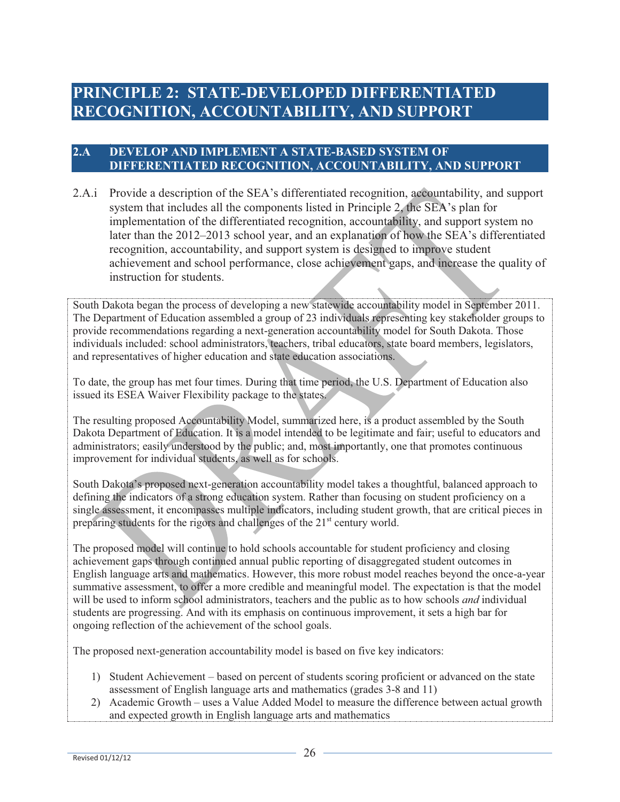## **PRINCIPLE 2: STATE-DEVELOPED DIFFERENTIATED RECOGNITION, ACCOUNTABILITY, AND SUPPORT**

#### **2.A DEVELOP AND IMPLEMENT A STATE-BASED SYSTEM OF DIFFERENTIATED RECOGNITION, ACCOUNTABILITY, AND SUPPORT**

2.A.i Provide a description of the SEA's differentiated recognition, accountability, and support system that includes all the components listed in Principle 2, the SEA's plan for implementation of the differentiated recognition, accountability, and support system no later than the 2012–2013 school year, and an explanation of how the SEA's differentiated recognition, accountability, and support system is designed to improve student achievement and school performance, close achievement gaps, and increase the quality of instruction for students.

South Dakota began the process of developing a new statewide accountability model in September 2011. The Department of Education assembled a group of 23 individuals representing key stakeholder groups to provide recommendations regarding a next-generation accountability model for South Dakota. Those individuals included: school administrators, teachers, tribal educators, state board members, legislators, and representatives of higher education and state education associations.

To date, the group has met four times. During that time period, the U.S. Department of Education also issued its ESEA Waiver Flexibility package to the states.

The resulting proposed Accountability Model, summarized here, is a product assembled by the South Dakota Department of Education. It is a model intended to be legitimate and fair; useful to educators and administrators; easily understood by the public; and, most importantly, one that promotes continuous improvement for individual students, as well as for schools.

South Dakota's proposed next-generation accountability model takes a thoughtful, balanced approach to defining the indicators of a strong education system. Rather than focusing on student proficiency on a single assessment, it encompasses multiple indicators, including student growth, that are critical pieces in preparing students for the rigors and challenges of the 21<sup>st</sup> century world.

The proposed model will continue to hold schools accountable for student proficiency and closing achievement gaps through continued annual public reporting of disaggregated student outcomes in English language arts and mathematics. However, this more robust model reaches beyond the once-a-year summative assessment, to offer a more credible and meaningful model. The expectation is that the model will be used to inform school administrators, teachers and the public as to how schools *and* individual students are progressing. And with its emphasis on continuous improvement, it sets a high bar for ongoing reflection of the achievement of the school goals.

The proposed next-generation accountability model is based on five key indicators:

- 1) Student Achievement based on percent of students scoring proficient or advanced on the state assessment of English language arts and mathematics (grades 3-8 and 11)
- 2) Academic Growth uses a Value Added Model to measure the difference between actual growth and expected growth in English language arts and mathematics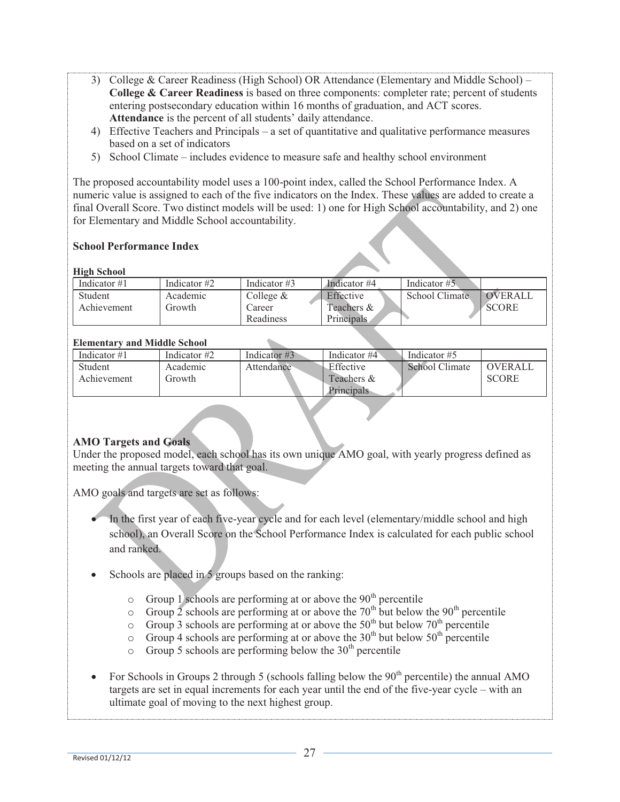- 3) College & Career Readiness (High School) OR Attendance (Elementary and Middle School) **College & Career Readiness** is based on three components: completer rate; percent of students entering postsecondary education within 16 months of graduation, and ACT scores. **Attendance** is the percent of all students' daily attendance.
- 4) Effective Teachers and Principals a set of quantitative and qualitative performance measures based on a set of indicators
- 5) School Climate includes evidence to measure safe and healthy school environment

The proposed accountability model uses a 100-point index, called the School Performance Index. A numeric value is assigned to each of the five indicators on the Index. These values are added to create a final Overall Score. Two distinct models will be used: 1) one for High School accountability, and 2) one for Elementary and Middle School accountability.

#### **School Performance Index**

#### **High School**

| Indicator #1 | Indicator $#2$ | Indicator #3 | Indicator #4      | Indicator #5   |                |
|--------------|----------------|--------------|-------------------|----------------|----------------|
| Student      | Academic       | College $&$  | Effective         | School Climate | <b>OVERALL</b> |
| Achievement  | Growth         | Career       | Teachers $&$      |                | <b>SCORE</b>   |
|              |                | Readiness    | <b>Principals</b> |                |                |

#### **Elementary and Middle School**

| Indicator #1 | Indicator #2 | Indicator $\#3$ | Indicator #4 | Indicator #5   |              |
|--------------|--------------|-----------------|--------------|----------------|--------------|
| Student      | Academic     | Attendance      | Effective    | School Climate | OVERALL      |
| Achievement  | Growth       |                 | Teachers &   |                | <b>SCORE</b> |
|              |              |                 | Principals   |                |              |

#### **AMO Targets and Goals**

Under the proposed model, each school has its own unique AMO goal, with yearly progress defined as meeting the annual targets toward that goal.

AMO goals and targets are set as follows:

- In the first year of each five-year cycle and for each level (elementary/middle school and high school), an Overall Score on the School Performance Index is calculated for each public school and ranked.
- Schools are placed in 5 groups based on the ranking:
	- $\circ$  Group 1 schools are performing at or above the 90<sup>th</sup> percentile
	- $\circ$  Group 2 schools are performing at or above the 70<sup>th</sup> but below the 90<sup>th</sup> percentile
	- $\circ$  Group 3 schools are performing at or above the 50<sup>th</sup> but below 70<sup>th</sup> percentile
	- $\circ$  Group 4 schools are performing at or above the 30<sup>th</sup> but below 50<sup>th</sup> percentile
	- $\circ$  Group 5 schools are performing below the 30<sup>th</sup> percentile
- For Schools in Groups 2 through 5 (schools falling below the  $90<sup>th</sup>$  percentile) the annual AMO targets are set in equal increments for each year until the end of the five-year cycle – with an ultimate goal of moving to the next highest group.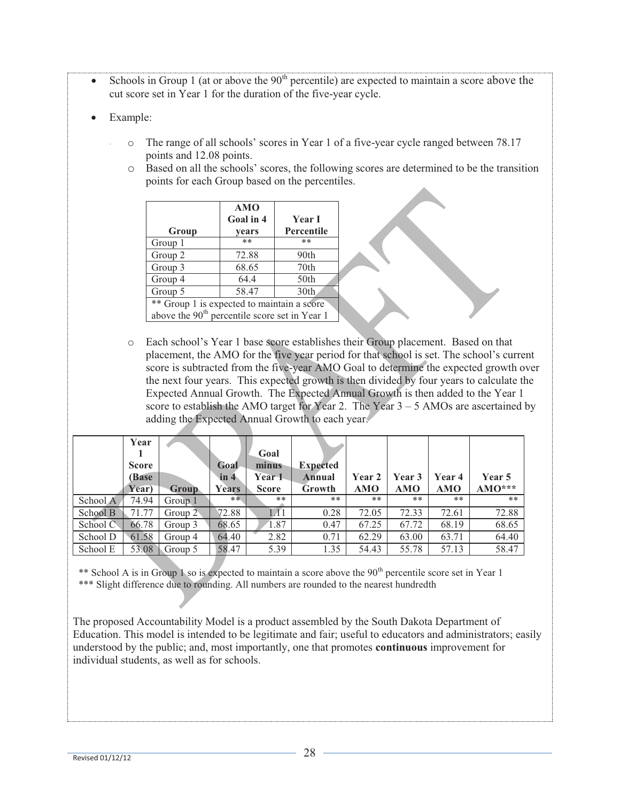- Schools in Group 1 (at or above the  $90<sup>th</sup>$  percentile) are expected to maintain a score above the cut score set in Year 1 for the duration of the five-year cycle.
- Example:
	- o The range of all schools' scores in Year 1 of a five-year cycle ranged between 78.17 points and 12.08 points.
	- o Based on all the schools' scores, the following scores are determined to be the transition points for each Group based on the percentiles.

|                                            | <b>AMO</b><br>Goal in 4                                   | <b>Year I</b>     |  |  |  |
|--------------------------------------------|-----------------------------------------------------------|-------------------|--|--|--|
| Group                                      | years                                                     | <b>Percentile</b> |  |  |  |
| Group 1                                    | **                                                        | **                |  |  |  |
| Group 2                                    | 72.88                                                     | 90th              |  |  |  |
| Group 3                                    | 68.65                                                     | 70 <sub>th</sub>  |  |  |  |
| Group 4                                    | 64.4                                                      | 50th              |  |  |  |
| Group 5                                    | 58.47                                                     | 30 <sub>th</sub>  |  |  |  |
| ** Group 1 is expected to maintain a score |                                                           |                   |  |  |  |
|                                            | above the 90 <sup>th</sup> percentile score set in Year 1 |                   |  |  |  |

o Each school's Year 1 base score establishes their Group placement. Based on that placement, the AMO for the five year period for that school is set. The school's current score is subtracted from the five-year AMO Goal to determine the expected growth over the next four years. This expected growth is then divided by four years to calculate the Expected Annual Growth. The Expected Annual Growth is then added to the Year 1 score to establish the AMO target for Year 2. The Year  $3 - 5$  AMOs are ascertained by adding the Expected Annual Growth to each year.

|          | Year<br><b>Score</b><br><b>(Base)</b><br>Year) | <b>Group</b>       | Goal<br>in 4<br>Years | Goal<br>minus<br>Year 1<br><b>Score</b> | <b>Expected</b><br>Annual<br>Growth | Year 2<br><b>AMO</b> | Year 3<br><b>AMO</b> | Year 4<br><b>AMO</b> | Year 5<br>$AMO***$ |
|----------|------------------------------------------------|--------------------|-----------------------|-----------------------------------------|-------------------------------------|----------------------|----------------------|----------------------|--------------------|
| School A | 74.94                                          | Group 1            | **                    | **                                      | $***$                               | **                   | **                   | **                   | **                 |
| School B | 71.77                                          | Group $2^{\circ}$  | 72.88                 | $\overline{A1}$                         | 0.28                                | 72.05                | 72.33                | 72.61                | 72.88              |
| School C | 66.78                                          | Group 3            | 68.65                 | 1.87                                    | 0.47                                | 67.25                | 67.72                | 68.19                | 68.65              |
| School D | 61.58                                          | Group 4            | 64.40                 | 2.82                                    | 0.71                                | 62.29                | 63.00                | 63.71                | 64.40              |
| School E | 53.08                                          | $\sqrt{1}$ Group 5 | 58.47                 | 5.39                                    | 1.35                                | 54.43                | 55.78                | 57.13                | 58.47              |

\*\* School A is in Group 1 so is expected to maintain a score above the 90<sup>th</sup> percentile score set in Year 1 \*\*\* Slight difference due to rounding. All numbers are rounded to the nearest hundredth

The proposed Accountability Model is a product assembled by the South Dakota Department of Education. This model is intended to be legitimate and fair; useful to educators and administrators; easily understood by the public; and, most importantly, one that promotes **continuous** improvement for individual students, as well as for schools.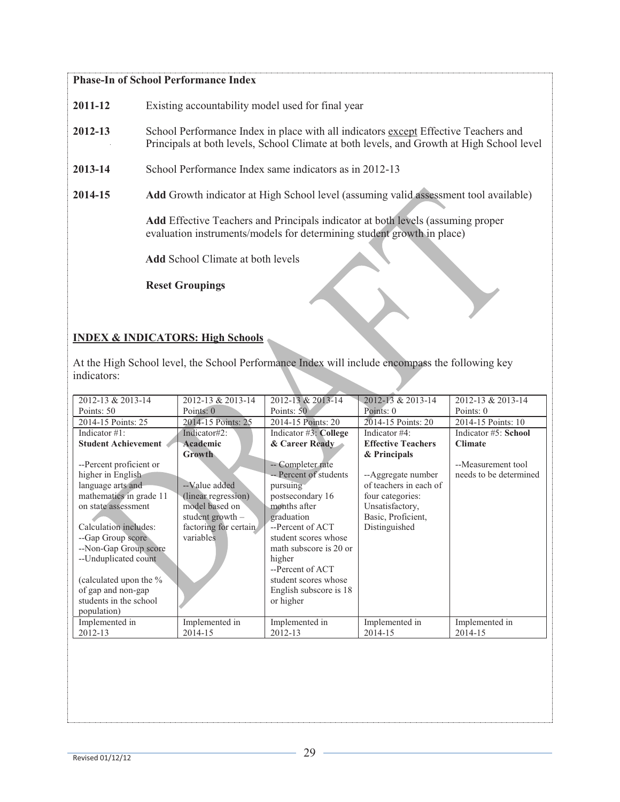#### **Phase-In of School Performance Index**

- **2011-12** Existing accountability model used for final year
- **2012-13** School Performance Index in place with all indicators except Effective Teachers and Principals at both levels, School Climate at both levels, and Growth at High School level
- **2013-14** School Performance Index same indicators as in 2012-13
- **2014-15 Add** Growth indicator at High School level (assuming valid assessment tool available)

**Add** Effective Teachers and Principals indicator at both levels (assuming proper evaluation instruments/models for determining student growth in place)

 **Add** School Climate at both levels

**Reset Groupings** 

#### **INDEX & INDICATORS: High Schools**

At the High School level, the School Performance Index will include encompass the following key indicators:

| 2012-13 & 2013-14          | 2012-13 & 2013-14     | 2012-13 & 2013-14      | 2012-13 & 2013-14         | 2012-13 & 2013-14      |
|----------------------------|-----------------------|------------------------|---------------------------|------------------------|
| Points: 50                 | Points: 0             | Points: 50             | Points: 0                 | Points: 0              |
| 2014-15 Points: 25         | 2014-15 Points: 25    | 2014-15 Points: 20     | 2014-15 Points: 20        | 2014-15 Points: 10     |
| Indicator #1:              | Indicator#2:          | Indicator #3: College  | Indicator #4:             | Indicator #5: School   |
| <b>Student Achievement</b> | Academic              | & Career Ready         | <b>Effective Teachers</b> | <b>Climate</b>         |
|                            | <b>Growth</b>         |                        | & Principals              |                        |
| --Percent proficient or    |                       | -- Completer rate      |                           | --Measurement tool     |
| higher in English          |                       | -- Percent of students | --Aggregate number        | needs to be determined |
| language arts and          | --Value added         | pursuing               | of teachers in each of    |                        |
| mathematics in grade 11    | (linear regression)   | postsecondary 16       | four categories:          |                        |
| on state assessment        | model based on        | months after           | Unsatisfactory,           |                        |
|                            | student growth $-$    | graduation             | Basic, Proficient,        |                        |
| Calculation includes:      | factoring for certain | --Percent of ACT       | Distinguished             |                        |
| --Gap Group score          | variables             | student scores whose   |                           |                        |
| --Non-Gap Group score      |                       | math subscore is 20 or |                           |                        |
| --Unduplicated count       |                       | higher                 |                           |                        |
|                            |                       | --Percent of ACT       |                           |                        |
| (calculated upon the %     |                       | student scores whose   |                           |                        |
| of gap and non-gap         |                       | English subscore is 18 |                           |                        |
| students in the school     |                       | or higher              |                           |                        |
| population)                |                       |                        |                           |                        |
| Implemented in             | Implemented in        | Implemented in         | Implemented in            | Implemented in         |
| 2012-13                    | 2014-15               | 2012-13                | 2014-15                   | 2014-15                |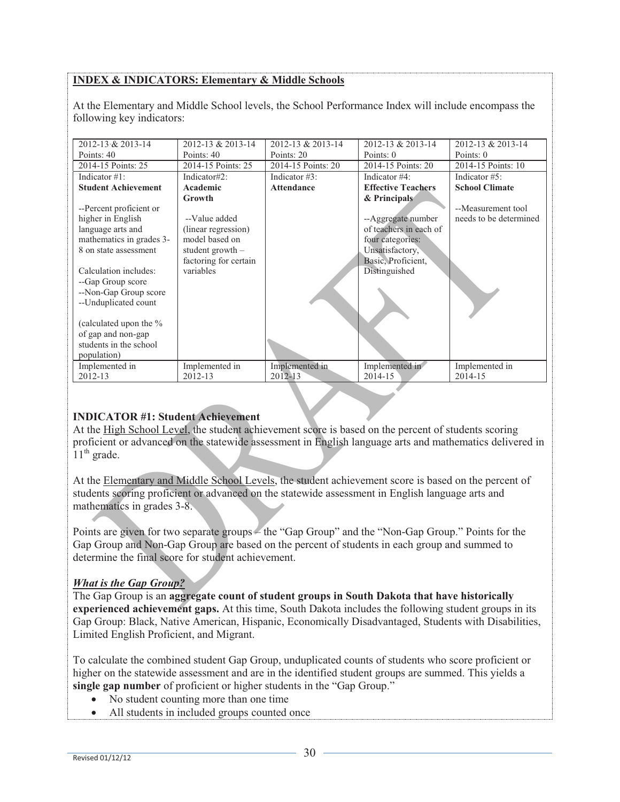#### **INDEX & INDICATORS: Elementary & Middle Schools**

At the Elementary and Middle School levels, the School Performance Index will include encompass the following key indicators:

| 2012-13 & 2013-14          | 2012-13 & 2013-14     | 2012-13 & 2013-14  | 2012-13 & 2013-14         | 2012-13 & 2013-14      |
|----------------------------|-----------------------|--------------------|---------------------------|------------------------|
| Points: 40                 | Points: 40            | Points: 20         | Points: 0                 | Points: 0              |
| 2014-15 Points: 25         | 2014-15 Points: 25    | 2014-15 Points: 20 | 2014-15 Points: 20        | 2014-15 Points: 10     |
| Indicator $#1$ :           | Indicator#2:          | Indicator $#3$ :   | Indicator #4:             | Indicator $#5$ :       |
| <b>Student Achievement</b> | Academic              | <b>Attendance</b>  | <b>Effective Teachers</b> | <b>School Climate</b>  |
|                            | Growth                |                    | & Principals              |                        |
| --Percent proficient or    |                       |                    |                           | --Measurement tool     |
| higher in English          | --Value added         |                    | --Aggregate number        | needs to be determined |
| language arts and          | (linear regression)   |                    | of teachers in each of    |                        |
| mathematics in grades 3-   | model based on        |                    | four categories:          |                        |
| 8 on state assessment      | student growth $-$    |                    | Unsatisfactory,           |                        |
|                            | factoring for certain |                    | Basic, Proficient,        |                        |
| Calculation includes:      | variables             |                    | Distinguished             |                        |
| -- Gap Group score         |                       |                    |                           |                        |
| --Non-Gap Group score      |                       |                    |                           |                        |
| --Unduplicated count       |                       |                    |                           |                        |
|                            |                       |                    |                           |                        |
| (calculated upon the %     |                       |                    |                           |                        |
| of gap and non-gap         |                       |                    |                           |                        |
| students in the school     |                       |                    |                           |                        |
| population)                |                       |                    |                           |                        |
| Implemented in             | Implemented in        | Implemented in     | Implemented in            | Implemented in         |
| 2012-13                    | 2012-13               | 2012-13            | 2014-15                   | 2014-15                |

#### **INDICATOR #1: Student Achievement**

At the High School Level, the student achievement score is based on the percent of students scoring proficient or advanced on the statewide assessment in English language arts and mathematics delivered in  $11<sup>th</sup>$  grade.

At the Elementary and Middle School Levels, the student achievement score is based on the percent of students scoring proficient or advanced on the statewide assessment in English language arts and mathematics in grades 3-8.

Points are given for two separate groups – the "Gap Group" and the "Non-Gap Group." Points for the Gap Group and Non-Gap Group are based on the percent of students in each group and summed to determine the final score for student achievement.

*What is the Gap Group?*  The Gap Group is an **aggregate count of student groups in South Dakota that have historically experienced achievement gaps.** At this time, South Dakota includes the following student groups in its Gap Group: Black, Native American, Hispanic, Economically Disadvantaged, Students with Disabilities, Limited English Proficient, and Migrant.

To calculate the combined student Gap Group, unduplicated counts of students who score proficient or higher on the statewide assessment and are in the identified student groups are summed. This yields a **single gap number** of proficient or higher students in the "Gap Group."

- No student counting more than one time
- All students in included groups counted once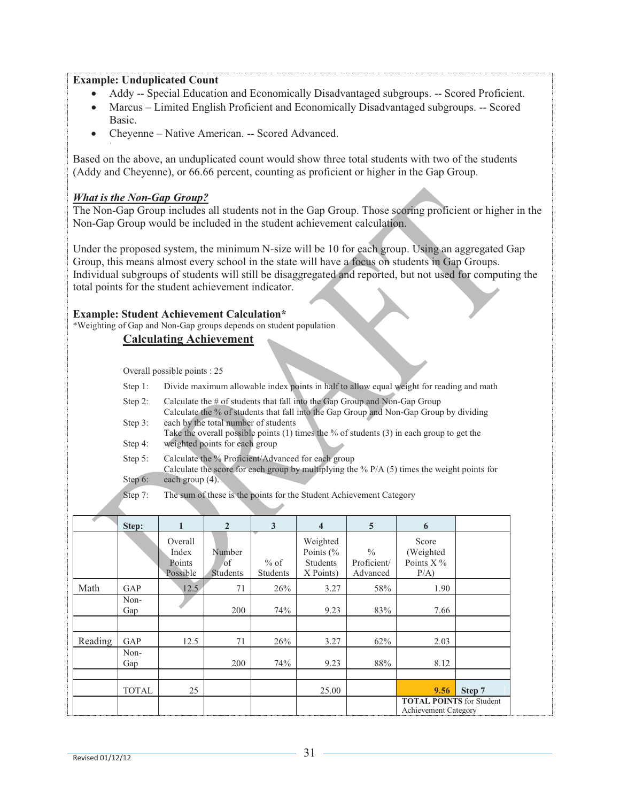#### **Example: Unduplicated Count**

- Addy -- Special Education and Economically Disadvantaged subgroups. -- Scored Proficient.
- Marcus Limited English Proficient and Economically Disadvantaged subgroups. -- Scored Basic.
- Cheyenne Native American. -- Scored Advanced.

Based on the above, an unduplicated count would show three total students with two of the students (Addy and Cheyenne), or 66.66 percent, counting as proficient or higher in the Gap Group.

**The Non-Gap Group includes all students not in the Gap Group. Those scoring proficient or higher in the** Non-Gap Group would be included in the student achievement calculation.

Under the proposed system, the minimum N-size will be 10 for each group. Using an aggregated Gap Group, this means almost every school in the state will have a focus on students in Gap Groups. Individual subgroups of students will still be disaggregated and reported, but not used for computing the total points for the student achievement indicator.

#### **Example: Student Achievement Calculation\***

\*Weighting of Gap and Non-Gap groups depends on student population

## **Calculating Achievement**

Overall possible points : 25

- Step 1: Divide maximum allowable index points in half to allow equal weight for reading and math
- Step 2: Calculate the # of students that fall into the Gap Group and Non-Gap Group Calculate the % of students that fall into the Gap Group and Non-Gap Group by dividing
- Step 3: each by the total number of students Take the overall possible points (1) times the % of students (3) in each group to get the
- Step 4: weighted points for each group
- Step 5: Calculate the % Proficient/Advanced for each group
- Step 6: Calculate the score for each group by multiplying the  $%$  P/A (5) times the weight points for each group (4).
- Step 7: The sum of these is the points for the Student Achievement Category

|         | Step:        | $\mathbf{1}$                           | $\overline{2}$                             | 3                         | $\overline{\mathbf{4}}$                                   | $\overline{5}$                           | 6                                                       |        |
|---------|--------------|----------------------------------------|--------------------------------------------|---------------------------|-----------------------------------------------------------|------------------------------------------|---------------------------------------------------------|--------|
|         |              | Overall<br>Index<br>Points<br>Possible | Number<br><sup>of</sup><br><b>Students</b> | $%$ of<br><b>Students</b> | Weighted<br>Points $\frac{6}{6}$<br>Students<br>X Points) | $\frac{0}{0}$<br>Proficient/<br>Advanced | Score<br>(Weighted<br>Points $X\%$<br>$P/A$ )           |        |
| Math    | GAP          | 12.5                                   | 71                                         | 26%                       | 3.27                                                      | 58%                                      | 1.90                                                    |        |
|         | Non-<br>Gap  |                                        | 200                                        | 74%                       | 9.23                                                      | 83%                                      | 7.66                                                    |        |
| Reading | GAP          | 12.5                                   | 71                                         | 26%                       | 3.27                                                      | 62%                                      | 2.03                                                    |        |
|         | Non-<br>Gap  |                                        | 200                                        | 74%                       | 9.23                                                      | 88%                                      | 8.12                                                    |        |
|         | <b>TOTAL</b> | 25                                     |                                            |                           | 25.00                                                     |                                          | 9.56                                                    | Step 7 |
|         |              |                                        |                                            |                           |                                                           |                                          | <b>TOTAL POINTS</b> for Student<br>Achievement Category |        |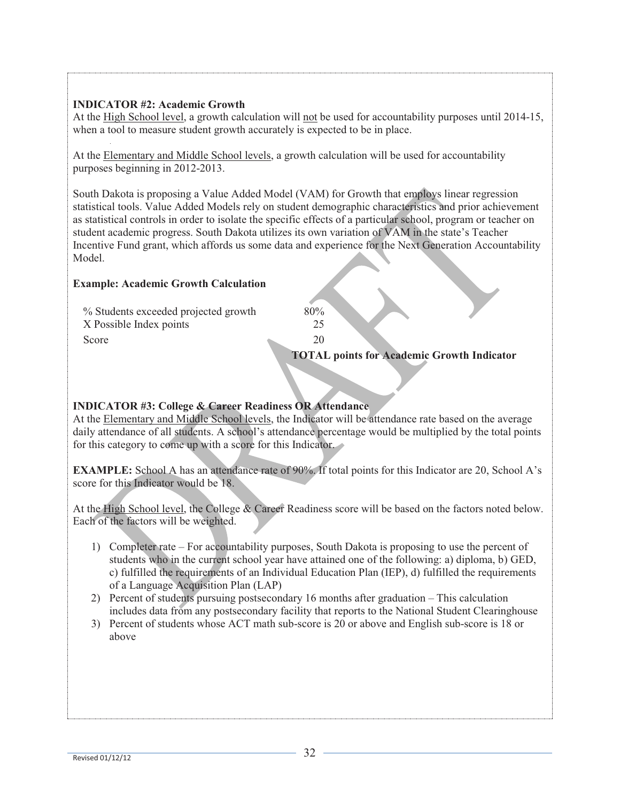## **INDICATOR #2: Academic Growth**

At the High School level, a growth calculation will not be used for accountability purposes until 2014-15, when a tool to measure student growth accurately is expected to be in place.

At the Elementary and Middle School levels, a growth calculation will be used for accountability purposes beginning in 2012-2013.

South Dakota is proposing a Value Added Model (VAM) for Growth that employs linear regression statistical tools. Value Added Models rely on student demographic characteristics and prior achievement as statistical controls in order to isolate the specific effects of a particular school, program or teacher on student academic progress. South Dakota utilizes its own variation of VAM in the state's Teacher Incentive Fund grant, which affords us some data and experience for the Next Generation Accountability Model.

## **Example: Academic Growth Calculation**

| Score                                | 20<br><b>TOTAL points for Academic Growth Indicator</b> |
|--------------------------------------|---------------------------------------------------------|
| X Possible Index points              |                                                         |
| % Students exceeded projected growth | 80%                                                     |

# **INDICATOR #3: College & Career Readiness OR Attendance**

At the Elementary and Middle School levels, the Indicator will be attendance rate based on the average daily attendance of all students. A school's attendance percentage would be multiplied by the total points for this category to come up with a score for this Indicator.

**EXAMPLE:** School A has an attendance rate of 90%. If total points for this Indicator are 20, School A's score for this Indicator would be 18.

At the High School level, the College & Career Readiness score will be based on the factors noted below. Each of the factors will be weighted.

- 1) Completer rate For accountability purposes, South Dakota is proposing to use the percent of students who in the current school year have attained one of the following: a) diploma, b) GED, c) fulfilled the requirements of an Individual Education Plan (IEP), d) fulfilled the requirements of a Language Acquisition Plan (LAP)
- 2) Percent of students pursuing postsecondary 16 months after graduation This calculation includes data from any postsecondary facility that reports to the National Student Clearinghouse
- 3) Percent of students whose ACT math sub-score is 20 or above and English sub-score is 18 or above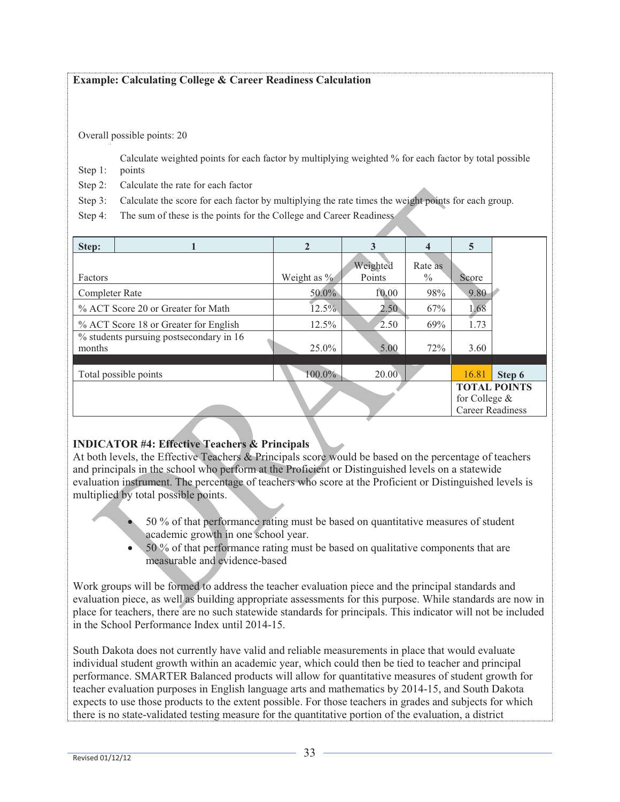## **Example: Calculating College & Career Readiness Calculation**

Overall possible points: 20

Step 1: Calculate weighted points for each factor by multiplying weighted % for each factor by total possible points

Step 2: Calculate the rate for each factor

Step 3: Calculate the score for each factor by multiplying the rate times the weight points for each group.

Step 4: The sum of these is the points for the College and Career Readiness

| Step:          |                                         | $\mathbf{2}$   |          | 4             | $\overline{5}$          |                     |
|----------------|-----------------------------------------|----------------|----------|---------------|-------------------------|---------------------|
|                |                                         |                | Weighted | Rate as       |                         |                     |
| Factors        |                                         | Weight as $\%$ | Points   | $\frac{0}{0}$ | Score                   |                     |
| Completer Rate |                                         | 50.0%          | 10.00    | 98%           | 9.80                    |                     |
|                | % ACT Score 20 or Greater for Math      | 12.5%          | 2.50     | 67%           | 1.68                    |                     |
|                | % ACT Score 18 or Greater for English   | $12.5\%$       | 2.50     | 69%           | 1.73                    |                     |
| months         | % students pursuing postsecondary in 16 | 25.0%          | 5.00     | 72%           | 3.60                    |                     |
|                |                                         |                |          |               |                         |                     |
|                | Total possible points                   | $100.0\%$      | 20.00    |               | 16.81                   | Step 6              |
|                |                                         |                |          |               | for College $&$         | <b>TOTAL POINTS</b> |
|                |                                         |                |          |               | <b>Career Readiness</b> |                     |

### **INDICATOR #4: Effective Teachers & Principals**

At both levels, the Effective Teachers & Principals score would be based on the percentage of teachers and principals in the school who perform at the Proficient or Distinguished levels on a statewide evaluation instrument. The percentage of teachers who score at the Proficient or Distinguished levels is multiplied by total possible points.

- 50 % of that performance rating must be based on quantitative measures of student academic growth in one school year.
- 50 % of that performance rating must be based on qualitative components that are measurable and evidence-based

Work groups will be formed to address the teacher evaluation piece and the principal standards and evaluation piece, as well as building appropriate assessments for this purpose. While standards are now in place for teachers, there are no such statewide standards for principals. This indicator will not be included in the School Performance Index until 2014-15.

South Dakota does not currently have valid and reliable measurements in place that would evaluate individual student growth within an academic year, which could then be tied to teacher and principal performance. SMARTER Balanced products will allow for quantitative measures of student growth for teacher evaluation purposes in English language arts and mathematics by 2014-15, and South Dakota expects to use those products to the extent possible. For those teachers in grades and subjects for which there is no state-validated testing measure for the quantitative portion of the evaluation, a district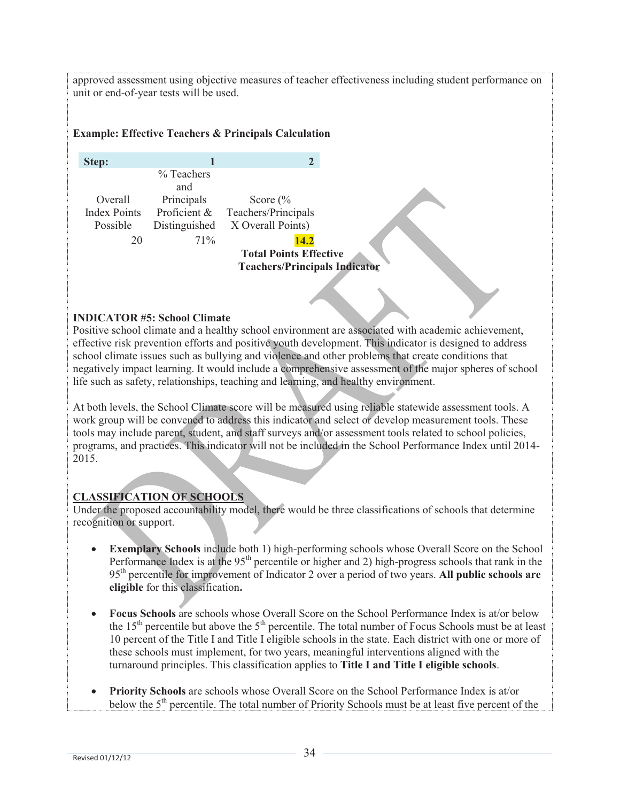approved assessment using objective measures of teacher effectiveness including student performance on unit or end-of-year tests will be used.

## **Example: Effective Teachers & Principals Calculation**

| Step:               |               | 2                                    |
|---------------------|---------------|--------------------------------------|
|                     | $\%$ Teachers |                                      |
|                     | and           |                                      |
| Overall             | Principals    | Score $\frac{6}{6}$                  |
| <b>Index Points</b> | Proficient &  | Teachers/Principals                  |
| Possible            | Distinguished | X Overall Points)                    |
| 20                  | $71\%$        | 14.2                                 |
|                     |               | <b>Total Points Effective</b>        |
|                     |               | <b>Teachers/Principals Indicator</b> |

### **INDICATOR #5: School Climate**

Positive school climate and a healthy school environment are associated with academic achievement, effective risk prevention efforts and positive youth development. This indicator is designed to address school climate issues such as bullying and violence and other problems that create conditions that negatively impact learning. It would include a comprehensive assessment of the major spheres of school life such as safety, relationships, teaching and learning, and healthy environment.

At both levels, the School Climate score will be measured using reliable statewide assessment tools. A work group will be convened to address this indicator and select or develop measurement tools. These tools may include parent, student, and staff surveys and/or assessment tools related to school policies, programs, and practices. This indicator will not be included in the School Performance Index until 2014- 2015.

# **CLASSIFICATION OF SCHOOLS**

Under the proposed accountability model, there would be three classifications of schools that determine recognition or support.

- **Exemplary Schools** include both 1) high-performing schools whose Overall Score on the School Performance Index is at the  $95<sup>th</sup>$  percentile or higher and 2) high-progress schools that rank in the 95th percentile for improvement of Indicator 2 over a period of two years. **All public schools are eligible** for this classification**.**
- **Focus Schools** are schools whose Overall Score on the School Performance Index is at/or below the  $15<sup>th</sup>$  percentile but above the  $5<sup>th</sup>$  percentile. The total number of Focus Schools must be at least 10 percent of the Title I and Title I eligible schools in the state. Each district with one or more of these schools must implement, for two years, meaningful interventions aligned with the turnaround principles. This classification applies to **Title I and Title I eligible schools**.
- **Priority Schools** are schools whose Overall Score on the School Performance Index is at/or below the 5<sup>th</sup> percentile. The total number of Priority Schools must be at least five percent of the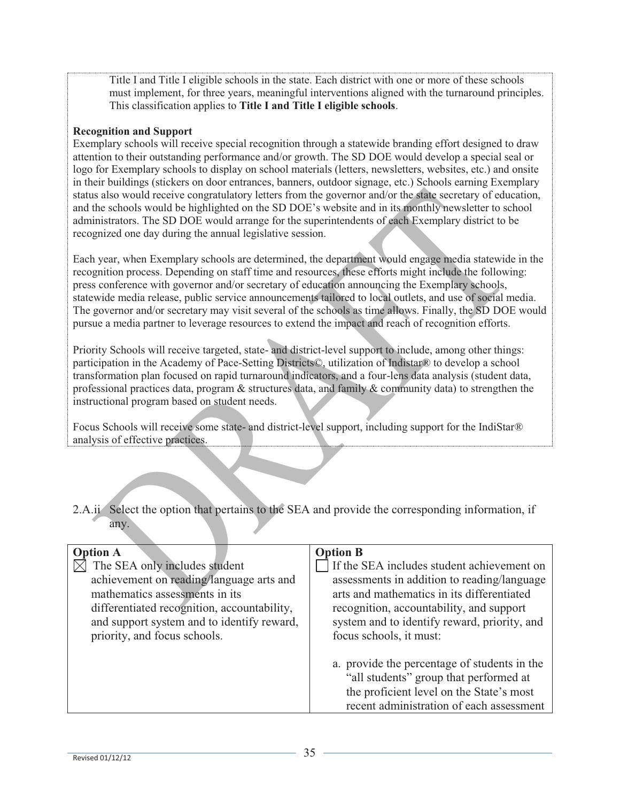Title I and Title I eligible schools in the state. Each district with one or more of these schools must implement, for three years, meaningful interventions aligned with the turnaround principles. This classification applies to **Title I and Title I eligible schools**.

#### **Recognition and Support**

Exemplary schools will receive special recognition through a statewide branding effort designed to draw attention to their outstanding performance and/or growth. The SD DOE would develop a special seal or logo for Exemplary schools to display on school materials (letters, newsletters, websites, etc.) and onsite in their buildings (stickers on door entrances, banners, outdoor signage, etc.) Schools earning Exemplary status also would receive congratulatory letters from the governor and/or the state secretary of education, and the schools would be highlighted on the SD DOE's website and in its monthly newsletter to school administrators. The SD DOE would arrange for the superintendents of each Exemplary district to be recognized one day during the annual legislative session.

Each year, when Exemplary schools are determined, the department would engage media statewide in the recognition process. Depending on staff time and resources, these efforts might include the following: press conference with governor and/or secretary of education announcing the Exemplary schools, statewide media release, public service announcements tailored to local outlets, and use of social media. The governor and/or secretary may visit several of the schools as time allows. Finally, the SD DOE would pursue a media partner to leverage resources to extend the impact and reach of recognition efforts.

Priority Schools will receive targeted, state- and district-level support to include, among other things: participation in the Academy of Pace-Setting Districts©, utilization of Indistar® to develop a school transformation plan focused on rapid turnaround indicators, and a four-lens data analysis (student data, professional practices data, program & structures data, and family & community data) to strengthen the instructional program based on student needs.

Focus Schools will receive some state- and district-level support, including support for the IndiStar® analysis of effective practices.

2.A.ii Select the option that pertains to the SEA and provide the corresponding information, if any.

| <b>Option A</b>                                                                                                                                                                                                                          | <b>Option B</b>                                                                                                                                                                                                                                                |
|------------------------------------------------------------------------------------------------------------------------------------------------------------------------------------------------------------------------------------------|----------------------------------------------------------------------------------------------------------------------------------------------------------------------------------------------------------------------------------------------------------------|
| The SEA only includes student<br>achievement on reading/language arts and<br>mathematics assessments in its<br>differentiated recognition, accountability,<br>and support system and to identify reward,<br>priority, and focus schools. | If the SEA includes student achievement on<br>assessments in addition to reading/language<br>arts and mathematics in its differentiated<br>recognition, accountability, and support<br>system and to identify reward, priority, and<br>focus schools, it must: |
|                                                                                                                                                                                                                                          | a. provide the percentage of students in the<br>"all students" group that performed at<br>the proficient level on the State's most<br>recent administration of each assessment                                                                                 |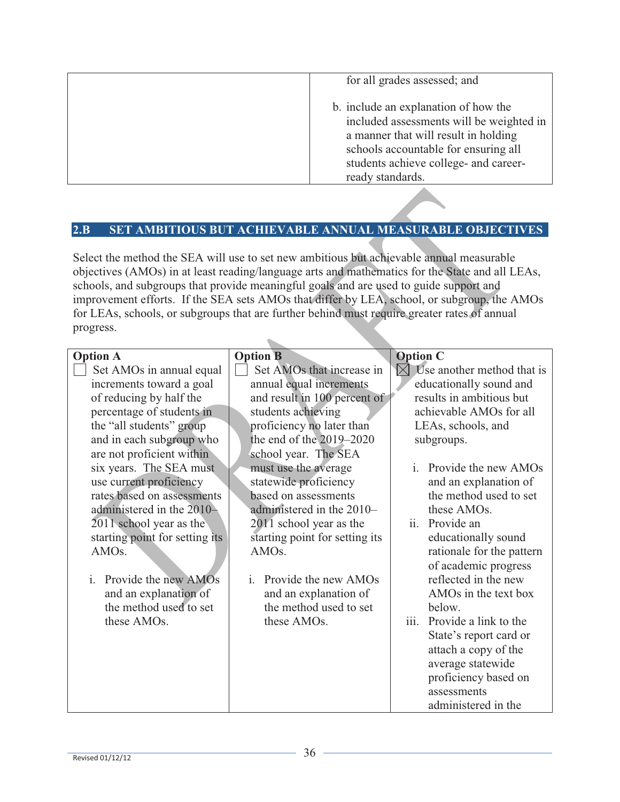| for all grades assessed; and                                                                                                                                                                                                  |
|-------------------------------------------------------------------------------------------------------------------------------------------------------------------------------------------------------------------------------|
| b. include an explanation of how the<br>included assessments will be weighted in<br>a manner that will result in holding<br>schools accountable for ensuring all<br>students achieve college- and career-<br>ready standards. |

# **2.B SET AMBITIOUS BUT ACHIEVABLE ANNUAL MEASURABLE OBJECTIVES**

Select the method the SEA will use to set new ambitious but achievable annual measurable objectives (AMOs) in at least reading/language arts and mathematics for the State and all LEAs, schools, and subgroups that provide meaningful goals and are used to guide support and improvement efforts. If the SEA sets AMOs that differ by LEA, school, or subgroup, the AMOs for LEAs, schools, or subgroups that are further behind must require greater rates of annual progress.

| <b>Option A</b>                | <b>Option B</b>                      | <b>Option C</b>                         |
|--------------------------------|--------------------------------------|-----------------------------------------|
| Set AMOs in annual equal       | Set AMOs that increase in            | Use another method that is<br>$\bowtie$ |
| increments toward a goal       | annual equal increments              | educationally sound and                 |
| of reducing by half the        | and result in 100 percent of         | results in ambitious but                |
| percentage of students in      | students achieving                   | achievable AMOs for all                 |
| the "all students" group       | proficiency no later than            | LEAs, schools, and                      |
| and in each subgroup who       | the end of the $2019 - 2020$         | subgroups.                              |
| are not proficient within      | school year. The SEA                 |                                         |
| six years. The SEA must        | must use the average                 | <i>i.</i> Provide the new AMOs          |
| use current proficiency        | statewide proficiency                | and an explanation of                   |
| rates based on assessments     | based on assessments                 | the method used to set                  |
| administered in the 2010-      | administered in the 2010-            | these AMOs.                             |
| 2011 school year as the        | 2011 school year as the              | ii. Provide an                          |
| starting point for setting its | starting point for setting its       | educationally sound                     |
| AMO <sub>s</sub> .             | AMO <sub>s</sub> .                   | rationale for the pattern               |
|                                |                                      | of academic progress                    |
| i. Provide the new $AMOs$      | Provide the new AMOs<br>$\mathbf{i}$ | reflected in the new                    |
| and an explanation of          | and an explanation of                | AMO <sub>s</sub> in the text box        |
| the method used to set         | the method used to set               | below.                                  |
| these AMOs.                    | these AMOs.                          | iii.<br>Provide a link to the           |
|                                |                                      | State's report card or                  |
|                                |                                      | attach a copy of the                    |
|                                |                                      | average statewide                       |
|                                |                                      | proficiency based on                    |
|                                |                                      | assessments                             |
|                                |                                      | administered in the                     |
|                                |                                      |                                         |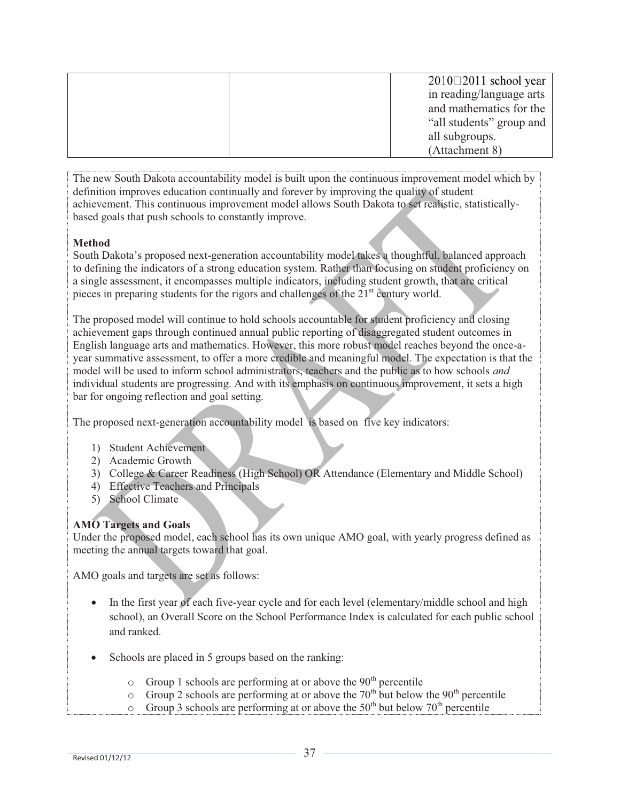|  | $2010 \square 2011$ school year |
|--|---------------------------------|
|  | in reading/language arts        |
|  | and mathematics for the         |
|  | "all students" group and        |
|  | all subgroups.                  |
|  | (Attachment 8)                  |

The new South Dakota accountability model is built upon the continuous improvement model which by definition improves education continually and forever by improving the quality of student achievement. This continuous improvement model allows South Dakota to set realistic, statisticallybased goals that push schools to constantly improve.

## **Method**

South Dakota's proposed next-generation accountability model takes a thoughtful, balanced approach to defining the indicators of a strong education system. Rather than focusing on student proficiency on a single assessment, it encompasses multiple indicators, including student growth, that are critical pieces in preparing students for the rigors and challenges of the  $21<sup>st</sup>$  century world.

The proposed model will continue to hold schools accountable for student proficiency and closing achievement gaps through continued annual public reporting of disaggregated student outcomes in English language arts and mathematics. However, this more robust model reaches beyond the once-ayear summative assessment, to offer a more credible and meaningful model. The expectation is that the model will be used to inform school administrators, teachers and the public as to how schools *and* individual students are progressing. And with its emphasis on continuous improvement, it sets a high bar for ongoing reflection and goal setting.

The proposed next-generation accountability model is based on five key indicators:

- 1) Student Achievement
- 2) Academic Growth
- 3) College & Career Readiness (High School) OR Attendance (Elementary and Middle School)
- 4) Effective Teachers and Principals
- 5) School Climate

# **AMO Targets and Goals**

Under the proposed model, each school has its own unique AMO goal, with yearly progress defined as meeting the annual targets toward that goal.

AMO goals and targets are set as follows:

- In the first year of each five-year cycle and for each level (elementary/middle school and high school), an Overall Score on the School Performance Index is calculated for each public school and ranked.
- Schools are placed in 5 groups based on the ranking:
	- $\circ$  Group 1 schools are performing at or above the 90<sup>th</sup> percentile
	- $\circ$  Group 2 schools are performing at or above the 70<sup>th</sup> but below the 90<sup>th</sup> percentile
	- $\circ$  Group 3 schools are performing at or above the 50<sup>th</sup> but below 70<sup>th</sup> percentile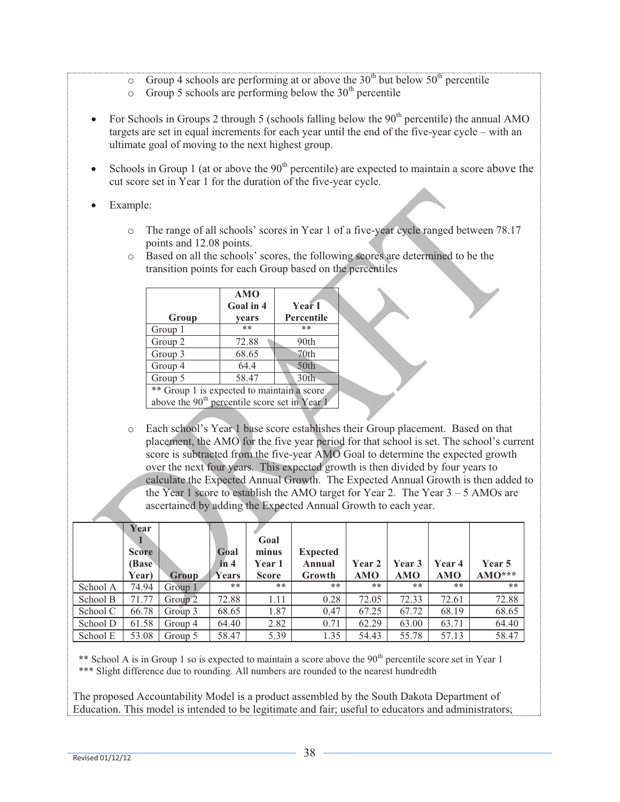- $\circ$  Group 4 schools are performing at or above the 30<sup>th</sup> but below 50<sup>th</sup> percentile
- $\circ$  Group 5 schools are performing below the 30<sup>th</sup> percentile
- For Schools in Groups 2 through 5 (schools falling below the  $90<sup>th</sup>$  percentile) the annual AMO targets are set in equal increments for each year until the end of the five-year cycle – with an ultimate goal of moving to the next highest group.
- Schools in Group 1 (at or above the  $90<sup>th</sup>$  percentile) are expected to maintain a score above the cut score set in Year 1 for the duration of the five-year cycle.
- Example:
	- o The range of all schools' scores in Year 1 of a five-year cycle ranged between 78.17 points and 12.08 points.
	- o Based on all the schools' scores, the following scores are determined to be the transition points for each Group based on the percentiles

| Group                                      | <b>AMO</b><br>Goal in 4<br>years | Year I<br><b>Percentile</b> |  |  |  |  |
|--------------------------------------------|----------------------------------|-----------------------------|--|--|--|--|
| Group 1                                    | $**$                             | **                          |  |  |  |  |
| Group 2                                    | 72.88                            | 90th                        |  |  |  |  |
| Group 3                                    | 68.65                            | 70th                        |  |  |  |  |
| Group 4                                    | 64.4                             | 50th                        |  |  |  |  |
| Group 5                                    | 58.47                            | 30th                        |  |  |  |  |
| ** Group 1 is expected to maintain a score |                                  |                             |  |  |  |  |

above the  $90<sup>th</sup>$  percentile score set in Year 1

o Each school's Year 1 base score establishes their Group placement. Based on that placement, the AMO for the five year period for that school is set. The school's current score is subtracted from the five-year AMO Goal to determine the expected growth over the next four years. This expected growth is then divided by four years to calculate the Expected Annual Growth. The Expected Annual Growth is then added to the Year 1 score to establish the AMO target for Year 2. The Year  $3 - 5$  AMOs are ascertained by adding the Expected Annual Growth to each year.

|          | Year<br><b>Score</b><br><b>Base</b><br>Year) | Group   | Goal<br>in 4<br>Years | Goal<br>minus<br>Year 1<br><b>Score</b> | <b>Expected</b><br>Annual<br>Growth | Year 2<br><b>AMO</b> | <b>Year 3</b><br><b>AMO</b> | Year 4<br><b>AMO</b> | Year 5<br>$AMO***$ |
|----------|----------------------------------------------|---------|-----------------------|-----------------------------------------|-------------------------------------|----------------------|-----------------------------|----------------------|--------------------|
| School A | 74.94                                        | Group 1 | **                    | **                                      | **                                  | **                   | $***$                       | **                   | **                 |
| School B | 71.77                                        | Group 2 | 72.88                 | 1.11                                    | 0.28                                | 72.05                | 72.33                       | 72.61                | 72.88              |
| School C | 66.78                                        | Group 3 | 68.65                 | 1.87                                    | 0.47                                | 67.25                | 67.72                       | 68.19                | 68.65              |
| School D | 61.58                                        | Group 4 | 64.40                 | 2.82                                    | 0.71                                | 62.29                | 63.00                       | 63.71                | 64.40              |
| School E | 53.08                                        | Group 5 | 58.47                 | 5.39                                    | 1.35                                | 54.43                | 55.78                       | 57.13                | 58.47              |

\*\* School A is in Group 1 so is expected to maintain a score above the  $90<sup>th</sup>$  percentile score set in Year 1 \*\*\* Slight difference due to rounding. All numbers are rounded to the nearest hundredth

The proposed Accountability Model is a product assembled by the South Dakota Department of Education. This model is intended to be legitimate and fair; useful to educators and administrators;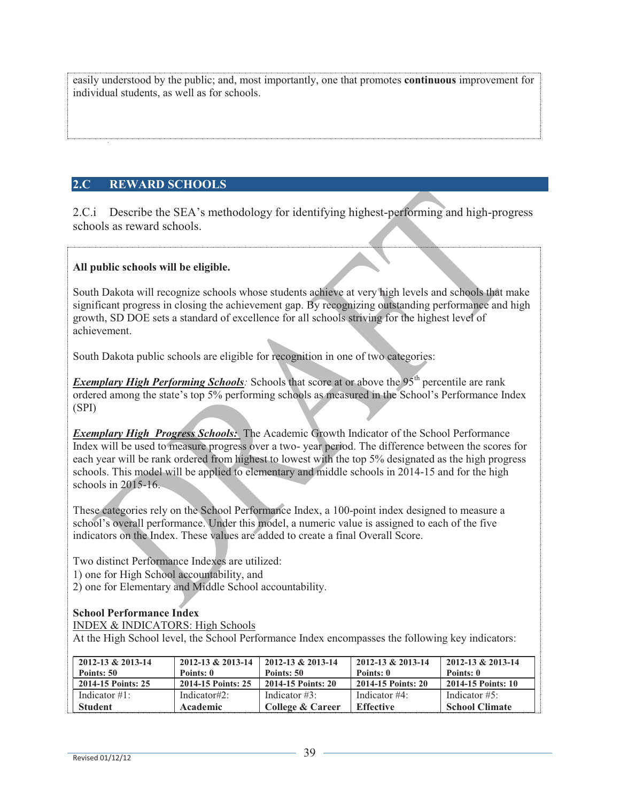easily understood by the public; and, most importantly, one that promotes **continuous** improvement for individual students, as well as for schools.

# **2.C REWARD SCHOOLS**

2.C.i Describe the SEA's methodology for identifying highest-performing and high-progress schools as reward schools.

## **All public schools will be eligible.**

South Dakota will recognize schools whose students achieve at very high levels and schools that make significant progress in closing the achievement gap. By recognizing outstanding performance and high growth, SD DOE sets a standard of excellence for all schools striving for the highest level of achievement.

South Dakota public schools are eligible for recognition in one of two categories:

*Exemplary High Performing Schools*: Schools that score at or above the 95<sup>th</sup> percentile are rank ordered among the state's top 5% performing schools as measured in the School's Performance Index (SPI)

**Exemplary High Progress Schools:** The Academic Growth Indicator of the School Performance Index will be used to measure progress over a two- year period. The difference between the scores for each year will be rank ordered from highest to lowest with the top 5% designated as the high progress schools. This model will be applied to elementary and middle schools in 2014-15 and for the high schools in 2015-16.

These categories rely on the School Performance Index, a 100-point index designed to measure a school's overall performance. Under this model, a numeric value is assigned to each of the five indicators on the Index. These values are added to create a final Overall Score.

Two distinct Performance Indexes are utilized:

1) one for High School accountability, and

2) one for Elementary and Middle School accountability.

# **School Performance Index**

INDEX & INDICATORS: High Schools

At the High School level, the School Performance Index encompasses the following key indicators:

| $2012 - 13 & 2013 - 14$ | $2012 - 13 & 2013 - 14$ | 2012-13 & 2013-14  | $2012 - 13 & 2013 - 14$ | $2012 - 13 & 2013 - 14$ |
|-------------------------|-------------------------|--------------------|-------------------------|-------------------------|
| Points: 50              | Points: 0               | Points: 50         | Points: 0               | Points: 0               |
| 2014-15 Points: 25      | 2014-15 Points: 25      | 2014-15 Points: 20 | 2014-15 Points: 20      | 2014-15 Points: 10      |
| Indicator $\#1$ :       | Indicator#2:            | Indicator $\#3$ :  | Indicator $#4$ :        | Indicator $#5$ :        |
| <b>Student</b>          | Academic                | College & Career   | Effective               | <b>School Climate</b>   |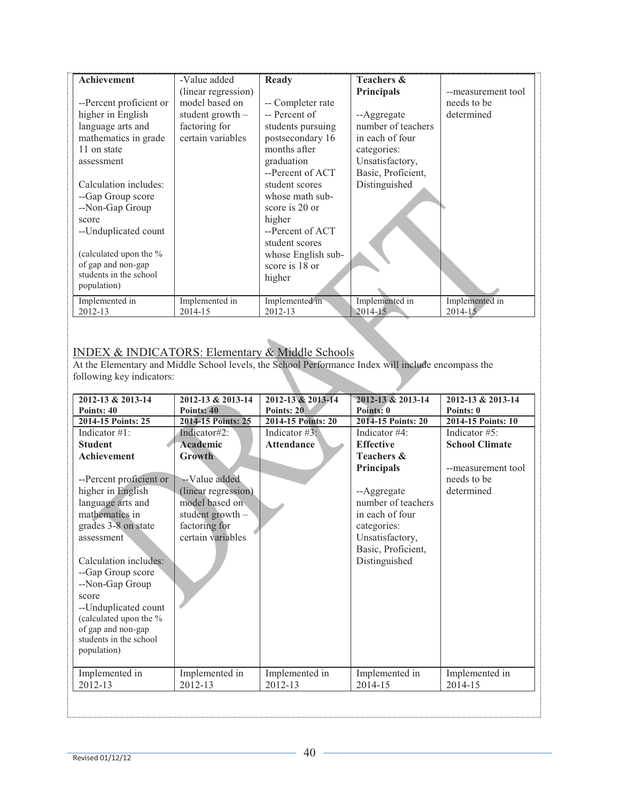| <b>Achievement</b>      | -Value added        | Ready              | <b>Teachers &amp;</b> |                    |
|-------------------------|---------------------|--------------------|-----------------------|--------------------|
|                         | (linear regression) |                    | <b>Principals</b>     | --measurement tool |
| --Percent proficient or | model based on      | -- Completer rate  |                       | needs to be        |
| higher in English       | student growth $-$  | -- Percent of      | --Aggregate           | determined         |
| language arts and       | factoring for       | students pursuing  | number of teachers    |                    |
| mathematics in grade    | certain variables   | postsecondary 16   | in each of four       |                    |
| 11 on state             |                     | months after       | categories:           |                    |
| assessment              |                     | graduation         | Unsatisfactory,       |                    |
|                         |                     | --Percent of ACT   | Basic, Proficient,    |                    |
| Calculation includes:   |                     | student scores     | Distinguished         |                    |
| --Gap Group score       |                     | whose math sub-    |                       |                    |
| --Non-Gap Group         |                     | score is 20 or     |                       |                    |
| score                   |                     | higher             |                       |                    |
| --Unduplicated count    |                     | --Percent of ACT   |                       |                    |
|                         |                     | student scores     |                       |                    |
| (calculated upon the %  |                     | whose English sub- |                       |                    |
| of gap and non-gap      |                     | score is 18 or     |                       |                    |
| students in the school  |                     | higher             |                       |                    |
| population)             |                     |                    |                       |                    |
| Implemented in          | Implemented in      | Implemented in     | Implemented in        | Implemented in     |
| 2012-13                 | 2014-15             | 2012-13            | $2014 - 15$           | $2014 - 15$        |

# INDEX & INDICATORS: Elementary & Middle Schools

At the Elementary and Middle School levels, the School Performance Index will include encompass the following key indicators:

| 2012-13 & 2013-14       | 2012-13 & 2013-14   | 2012-13 & 2013-14  | 2012-13 & 2013-14     | 2012-13 & 2013-14     |
|-------------------------|---------------------|--------------------|-----------------------|-----------------------|
| Points: 40              | Points: 40          | Points: 20         | Points: 0             | Points: 0             |
| 2014-15 Points: 25      | 2014-15 Points: 25  | 2014-15 Points: 20 | 2014-15 Points: 20    | 2014-15 Points: 10    |
| Indicator $#1$ :        | Indicator#2:        | Indicator #3:      | Indicator #4:         | Indicator $#5$ :      |
| <b>Student</b>          | Academic            | <b>Attendance</b>  | <b>Effective</b>      | <b>School Climate</b> |
| Achievement             | <b>Growth</b>       |                    | <b>Teachers &amp;</b> |                       |
|                         |                     |                    | <b>Principals</b>     | --measurement tool    |
| --Percent proficient or | --Value added       |                    |                       | needs to be           |
| higher in English       | (linear regression) |                    | --Aggregate           | determined            |
| language arts and       | model based on      |                    | number of teachers    |                       |
| mathematics in          | student growth $-$  |                    | in each of four       |                       |
| grades 3-8 on state     | factoring for       |                    | categories:           |                       |
| assessment              | certain variables   |                    | Unsatisfactory,       |                       |
|                         |                     |                    | Basic, Proficient,    |                       |
| Calculation includes:   |                     |                    | Distinguished         |                       |
| --Gap Group score       |                     |                    |                       |                       |
| --Non-Gap Group         |                     |                    |                       |                       |
| score                   |                     |                    |                       |                       |
| --Unduplicated count    |                     |                    |                       |                       |
| (calculated upon the %  |                     |                    |                       |                       |
| of gap and non-gap      |                     |                    |                       |                       |
| students in the school  |                     |                    |                       |                       |
| population)             |                     |                    |                       |                       |
| Implemented in          | Implemented in      | Implemented in     | Implemented in        | Implemented in        |
| 2012-13                 | 2012-13             | 2012-13            | 2014-15               | 2014-15               |
|                         |                     |                    |                       |                       |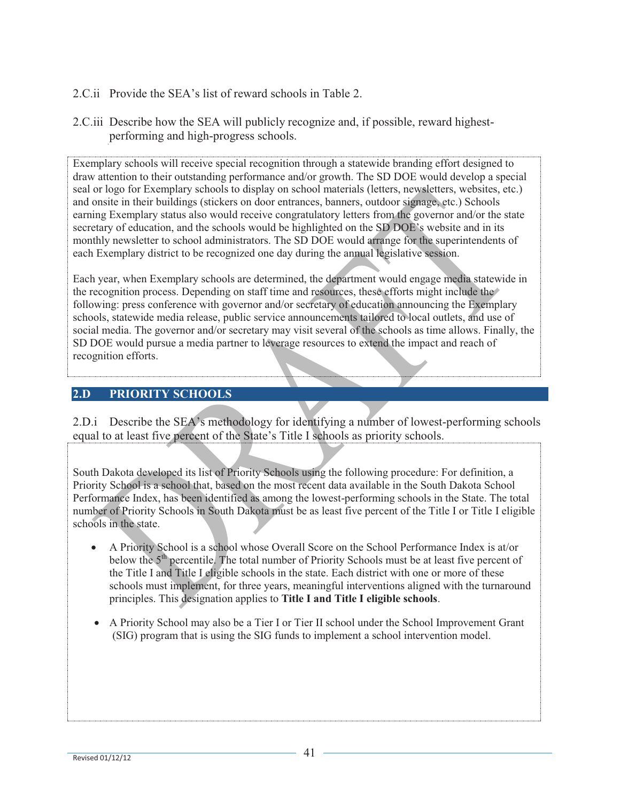- 2.C.ii Provide the SEA's list of reward schools in Table 2.
- 2.C.iii Describe how the SEA will publicly recognize and, if possible, reward highestperforming and high-progress schools.

Exemplary schools will receive special recognition through a statewide branding effort designed to draw attention to their outstanding performance and/or growth. The SD DOE would develop a special seal or logo for Exemplary schools to display on school materials (letters, newsletters, websites, etc.) and onsite in their buildings (stickers on door entrances, banners, outdoor signage, etc.) Schools earning Exemplary status also would receive congratulatory letters from the governor and/or the state secretary of education, and the schools would be highlighted on the SD DOE's website and in its monthly newsletter to school administrators. The SD DOE would arrange for the superintendents of each Exemplary district to be recognized one day during the annual legislative session.

Each year, when Exemplary schools are determined, the department would engage media statewide in the recognition process. Depending on staff time and resources, these efforts might include the following: press conference with governor and/or secretary of education announcing the Exemplary schools, statewide media release, public service announcements tailored to local outlets, and use of social media. The governor and/or secretary may visit several of the schools as time allows. Finally, the SD DOE would pursue a media partner to leverage resources to extend the impact and reach of recognition efforts.

## **2.D PRIORITY SCHOOLS**

2.D.i Describe the SEA's methodology for identifying a number of lowest-performing schools equal to at least five percent of the State's Title I schools as priority schools.

South Dakota developed its list of Priority Schools using the following procedure: For definition, a Priority School is a school that, based on the most recent data available in the South Dakota School Performance Index, has been identified as among the lowest-performing schools in the State. The total number of Priority Schools in South Dakota must be as least five percent of the Title I or Title I eligible schools in the state.

- A Priority School is a school whose Overall Score on the School Performance Index is at/or below the 5<sup>th</sup> percentile. The total number of Priority Schools must be at least five percent of the Title I and Title I eligible schools in the state. Each district with one or more of these schools must implement, for three years, meaningful interventions aligned with the turnaround principles. This designation applies to **Title I and Title I eligible schools**.
- A Priority School may also be a Tier I or Tier II school under the School Improvement Grant (SIG) program that is using the SIG funds to implement a school intervention model.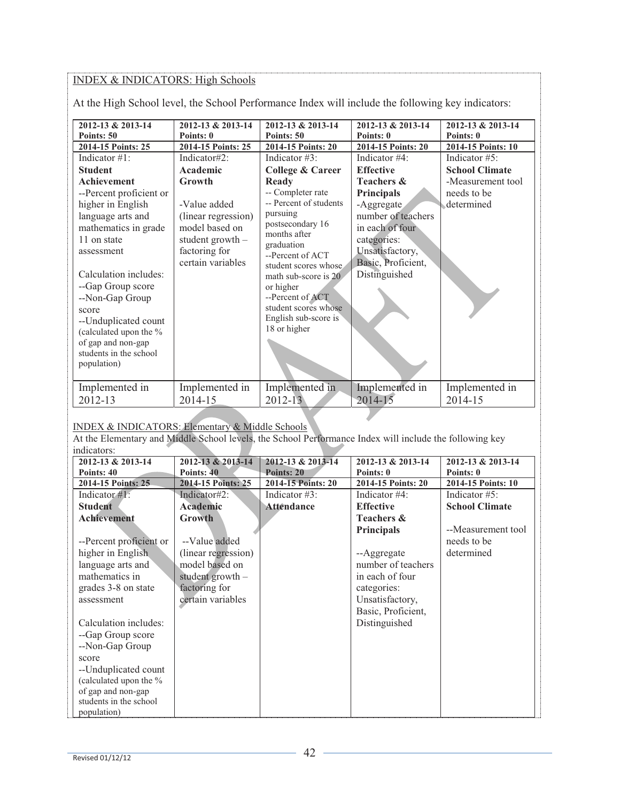## INDEX & INDICATORS: High Schools

At the High School level, the School Performance Index will include the following key indicators:

| <b>School Climate</b><br>Academic<br><b>College &amp; Career</b><br><b>Effective</b><br><b>Student</b><br>-Measurement tool<br><b>Achievement</b><br><b>Teachers &amp;</b><br>Growth<br>Ready<br>-- Completer rate<br>needs to be<br>--Percent proficient or<br><b>Principals</b><br>-- Percent of students<br>-Value added<br>determined<br>higher in English<br>-Aggregate<br>pursuing<br>number of teachers<br>language arts and<br>(linear regression)<br>postsecondary 16<br>model based on<br>mathematics in grade<br>in each of four<br>months after<br>11 on state<br>student growth $-$<br>categories:<br>graduation<br>factoring for<br>Unsatisfactory,<br>assessment<br>--Percent of ACT<br>certain variables<br>Basic, Proficient,<br>student scores whose.<br>Calculation includes:<br>Distinguished<br>math sub-score is 20<br>--Gap Group score<br>or higher<br>--Percent of ACT<br>--Non-Gap Group<br>student scores whose<br>score<br>English sub-score is<br>--Unduplicated count<br>18 or higher<br>(calculated upon the %<br>of gap and non-gap<br>students in the school<br>population)<br>Implemented in<br>Implemented in<br>Implemented in<br>Implemented in<br>Implemented in | 2012-13 & 2013-14<br>Points: 50<br>2014-15 Points: 25 | 2012-13 & 2013-14<br>Points: 0<br>2014-15 Points: 25 | 2012-13 & 2013-14<br>Points: 50<br>2014-15 Points: 20 | 2012-13 & 2013-14<br>Points: 0<br>2014-15 Points: 20 | 2012-13 & 2013-14<br>Points: 0<br>2014-15 Points: 10 |
|--------------------------------------------------------------------------------------------------------------------------------------------------------------------------------------------------------------------------------------------------------------------------------------------------------------------------------------------------------------------------------------------------------------------------------------------------------------------------------------------------------------------------------------------------------------------------------------------------------------------------------------------------------------------------------------------------------------------------------------------------------------------------------------------------------------------------------------------------------------------------------------------------------------------------------------------------------------------------------------------------------------------------------------------------------------------------------------------------------------------------------------------------------------------------------------------------------|-------------------------------------------------------|------------------------------------------------------|-------------------------------------------------------|------------------------------------------------------|------------------------------------------------------|
|                                                                                                                                                                                                                                                                                                                                                                                                                                                                                                                                                                                                                                                                                                                                                                                                                                                                                                                                                                                                                                                                                                                                                                                                        | Indicator $#1$ :                                      | Indicator#2:                                         | Indicator $\#3$ :                                     | Indicator #4:                                        | Indicator #5:                                        |
|                                                                                                                                                                                                                                                                                                                                                                                                                                                                                                                                                                                                                                                                                                                                                                                                                                                                                                                                                                                                                                                                                                                                                                                                        |                                                       |                                                      |                                                       |                                                      |                                                      |
|                                                                                                                                                                                                                                                                                                                                                                                                                                                                                                                                                                                                                                                                                                                                                                                                                                                                                                                                                                                                                                                                                                                                                                                                        | 2012-13                                               | 2014-15                                              | $2012 - 13$                                           | 2014-15                                              | 2014-15                                              |

#### INDEX & INDICATORS: Elementary & Middle Schools

At the Elementary and Middle School levels, the School Performance Index will include the following key indicators:

| 2012-13 & 2013-14       | 2012-13 & 2013-14   | 2012-13 & 2013-14  | 2012-13 & 2013-14     | 2012-13 & 2013-14     |
|-------------------------|---------------------|--------------------|-----------------------|-----------------------|
| Points: 40              | Points: 40          | Points: 20         | Points: 0             | Points: 0             |
| 2014-15 Points: 25      | 2014-15 Points: 25  | 2014-15 Points: 20 | 2014-15 Points: 20    | 2014-15 Points: 10    |
| Indicator $#1$ :        | Indicator#2:        | Indicator $#3$ :   | Indicator $#4$ :      | Indicator $#5$ :      |
| <b>Student</b>          | Academic            | Attêndance         | <b>Effective</b>      | <b>School Climate</b> |
| <b>Achievement</b>      | <b>Growth</b>       |                    | <b>Teachers &amp;</b> |                       |
|                         |                     |                    | <b>Principals</b>     | --Measurement tool    |
| --Percent proficient or | --Value added       |                    |                       | needs to be           |
| higher in English       | (linear regression) |                    | --Aggregate           | determined            |
| language arts and       | model based on      |                    | number of teachers    |                       |
| mathematics in          | student growth $-$  |                    | in each of four       |                       |
| grades 3-8 on state     | factoring for       |                    | categories:           |                       |
| assessment              | certain variables   |                    | Unsatisfactory,       |                       |
|                         |                     |                    | Basic, Proficient,    |                       |
| Calculation includes:   |                     |                    | Distinguished         |                       |
| --Gap Group score       |                     |                    |                       |                       |
| --Non-Gap Group         |                     |                    |                       |                       |
| score                   |                     |                    |                       |                       |
| --Unduplicated count    |                     |                    |                       |                       |
| (calculated upon the %  |                     |                    |                       |                       |
| of gap and non-gap      |                     |                    |                       |                       |
| students in the school  |                     |                    |                       |                       |
| population)             |                     |                    |                       |                       |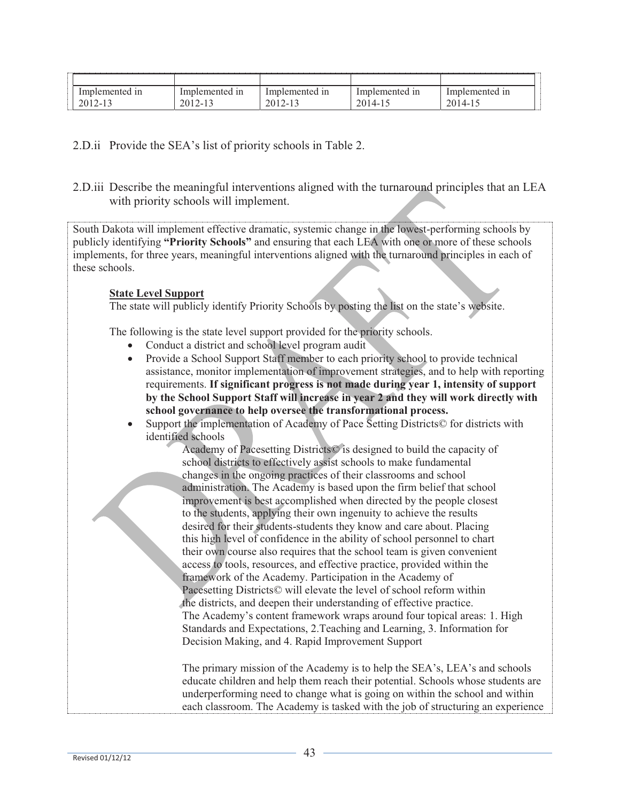| ----------------------------                   |                                               |                                                                  |                                   |                          |
|------------------------------------------------|-----------------------------------------------|------------------------------------------------------------------|-----------------------------------|--------------------------|
| . .<br>1n<br>lemented                          | $\cdot$<br>111<br>1122<br>uemer:<br>ntec<br>ш | . .<br>111<br>lmr<br>Jemer<br>er.<br>-                           | Im <sup>r</sup><br>1n<br>lemented | 1n<br>.<br>.ntec<br>emen |
| 201<br>$\sim$<br>$\overline{\phantom{0}}$<br>. | 20<br>$\overline{\phantom{0}}$<br><br>-       | ◠<br>ZV.<br>$\overline{\phantom{0}}$<br>$\overline{\phantom{0}}$ | ∩∩<br><u>_</u>                    | $\cap$<br>-4             |

# 2.D.ii Provide the SEA's list of priority schools in Table 2.

2.D.iii Describe the meaningful interventions aligned with the turnaround principles that an LEA with priority schools will implement.

South Dakota will implement effective dramatic, systemic change in the lowest-performing schools by publicly identifying **"Priority Schools"** and ensuring that each LEA with one or more of these schools implements, for three years, meaningful interventions aligned with the turnaround principles in each of these schools.

#### **State Level Support**

The state will publicly identify Priority Schools by posting the list on the state's website.

The following is the state level support provided for the priority schools.

- Conduct a district and school level program audit
- Provide a School Support Staff member to each priority school to provide technical assistance, monitor implementation of improvement strategies, and to help with reporting requirements. **If significant progress is not made during year 1, intensity of support by the School Support Staff will increase in year 2 and they will work directly with school governance to help oversee the transformational process.**
- Support the implementation of Academy of Pace Setting Districts© for districts with identified schools

Academy of Pacesetting Districts© is designed to build the capacity of school districts to effectively assist schools to make fundamental changes in the ongoing practices of their classrooms and school administration. The Academy is based upon the firm belief that school improvement is best accomplished when directed by the people closest to the students, applying their own ingenuity to achieve the results desired for their students-students they know and care about. Placing this high level of confidence in the ability of school personnel to chart their own course also requires that the school team is given convenient access to tools, resources, and effective practice, provided within the framework of the Academy. Participation in the Academy of Pacesetting Districts© will elevate the level of school reform within the districts, and deepen their understanding of effective practice. The Academy's content framework wraps around four topical areas: 1. High Standards and Expectations, 2.Teaching and Learning, 3. Information for Decision Making, and 4. Rapid Improvement Support

The primary mission of the Academy is to help the SEA's, LEA's and schools educate children and help them reach their potential. Schools whose students are underperforming need to change what is going on within the school and within each classroom. The Academy is tasked with the job of structuring an experience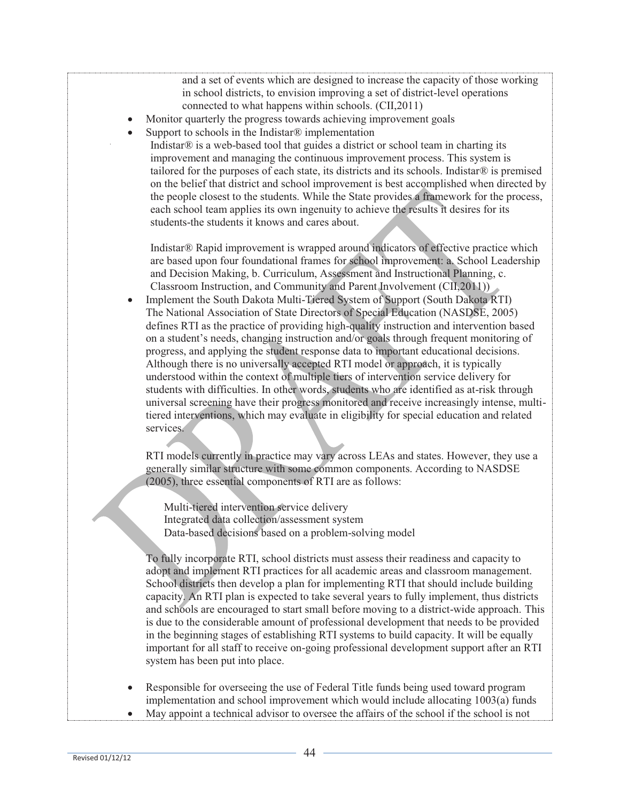and a set of events which are designed to increase the capacity of those working in school districts, to envision improving a set of district-level operations connected to what happens within schools. (CII,2011)

- Monitor quarterly the progress towards achieving improvement goals
- Support to schools in the Indistar<sup>®</sup> implementation

Indistar® is a web-based tool that guides a district or school team in charting its improvement and managing the continuous improvement process. This system is tailored for the purposes of each state, its districts and its schools. Indistar $\mathcal{R}$  is premised on the belief that district and school improvement is best accomplished when directed by the people closest to the students. While the State provides a framework for the process, each school team applies its own ingenuity to achieve the results it desires for its students-the students it knows and cares about.

Indistar® Rapid improvement is wrapped around indicators of effective practice which are based upon four foundational frames for school improvement: a. School Leadership and Decision Making, b. Curriculum, Assessment and Instructional Planning, c. Classroom Instruction, and Community and Parent Involvement (CII,2011))

• Implement the South Dakota Multi-Tiered System of Support (South Dakota RTI) The National Association of State Directors of Special Education (NASDSE, 2005) defines RTI as the practice of providing high-quality instruction and intervention based on a student's needs, changing instruction and/or goals through frequent monitoring of progress, and applying the student response data to important educational decisions. Although there is no universally accepted RTI model or approach, it is typically understood within the context of multiple tiers of intervention service delivery for students with difficulties. In other words, students who are identified as at-risk through universal screening have their progress monitored and receive increasingly intense, multitiered interventions, which may evaluate in eligibility for special education and related services.

RTI models currently in practice may vary across LEAs and states. However, they use a generally similar structure with some common components. According to NASDSE (2005), three essential components of RTI are as follows:

Multi-tiered intervention service delivery Integrated data collection/assessment system Data-based decisions based on a problem-solving model

To fully incorporate RTI, school districts must assess their readiness and capacity to adopt and implement RTI practices for all academic areas and classroom management. School districts then develop a plan for implementing RTI that should include building capacity. An RTI plan is expected to take several years to fully implement, thus districts and schools are encouraged to start small before moving to a district-wide approach. This is due to the considerable amount of professional development that needs to be provided in the beginning stages of establishing RTI systems to build capacity. It will be equally important for all staff to receive on-going professional development support after an RTI system has been put into place.

- Responsible for overseeing the use of Federal Title funds being used toward program implementation and school improvement which would include allocating 1003(a) funds
- May appoint a technical advisor to oversee the affairs of the school if the school is not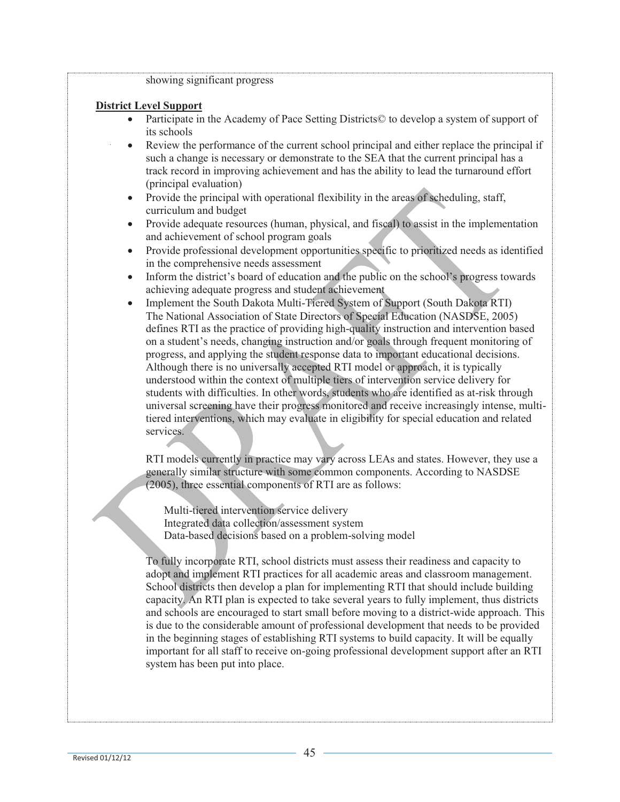#### showing significant progress

#### **District Level Support**

- Participate in the Academy of Pace Setting Districts© to develop a system of support of its schools
- Review the performance of the current school principal and either replace the principal if such a change is necessary or demonstrate to the SEA that the current principal has a track record in improving achievement and has the ability to lead the turnaround effort (principal evaluation)
- Provide the principal with operational flexibility in the areas of scheduling, staff, curriculum and budget
- Provide adequate resources (human, physical, and fiscal) to assist in the implementation and achievement of school program goals
- Provide professional development opportunities specific to prioritized needs as identified in the comprehensive needs assessment
- Inform the district's board of education and the public on the school's progress towards achieving adequate progress and student achievement
- Implement the South Dakota Multi-Tiered System of Support (South Dakota RTI) The National Association of State Directors of Special Education (NASDSE, 2005) defines RTI as the practice of providing high-quality instruction and intervention based on a student's needs, changing instruction and/or goals through frequent monitoring of progress, and applying the student response data to important educational decisions. Although there is no universally accepted RTI model or approach, it is typically understood within the context of multiple tiers of intervention service delivery for students with difficulties. In other words, students who are identified as at-risk through universal screening have their progress monitored and receive increasingly intense, multitiered interventions, which may evaluate in eligibility for special education and related services.

RTI models currently in practice may vary across LEAs and states. However, they use a generally similar structure with some common components. According to NASDSE (2005), three essential components of RTI are as follows:

Multi-tiered intervention service delivery Integrated data collection/assessment system Data-based decisions based on a problem-solving model

To fully incorporate RTI, school districts must assess their readiness and capacity to adopt and implement RTI practices for all academic areas and classroom management. School districts then develop a plan for implementing RTI that should include building capacity. An RTI plan is expected to take several years to fully implement, thus districts and schools are encouraged to start small before moving to a district-wide approach. This is due to the considerable amount of professional development that needs to be provided in the beginning stages of establishing RTI systems to build capacity. It will be equally important for all staff to receive on-going professional development support after an RTI system has been put into place.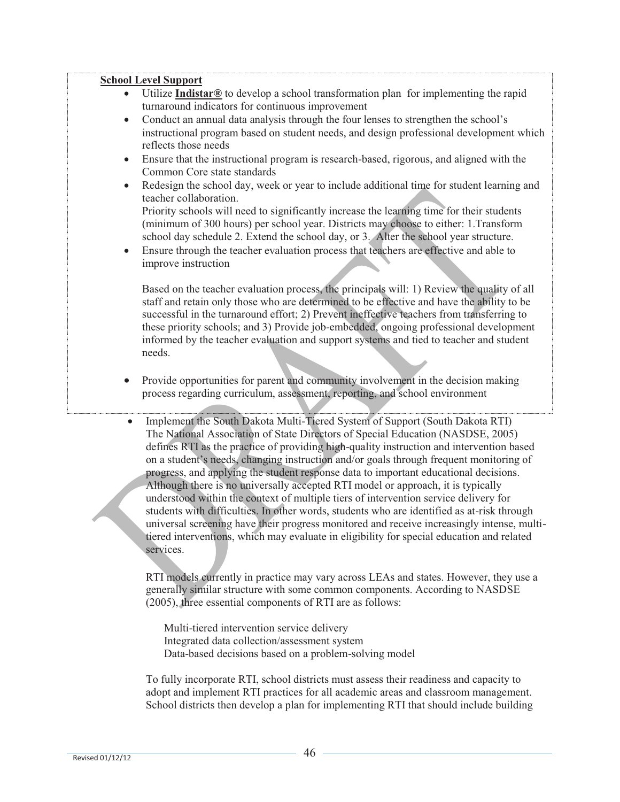#### **School Level Support**

- Utilize **Indistar®** to develop a school transformation plan for implementing the rapid turnaround indicators for continuous improvement
- Conduct an annual data analysis through the four lenses to strengthen the school's instructional program based on student needs, and design professional development which reflects those needs
- Ensure that the instructional program is research-based, rigorous, and aligned with the Common Core state standards
- Redesign the school day, week or year to include additional time for student learning and teacher collaboration.

Priority schools will need to significantly increase the learning time for their students (minimum of 300 hours) per school year. Districts may choose to either: 1.Transform school day schedule 2. Extend the school day, or 3. Alter the school year structure.

 Ensure through the teacher evaluation process that teachers are effective and able to improve instruction

Based on the teacher evaluation process, the principals will: 1) Review the quality of all staff and retain only those who are determined to be effective and have the ability to be successful in the turnaround effort; 2) Prevent ineffective teachers from transferring to these priority schools; and 3) Provide job-embedded, ongoing professional development informed by the teacher evaluation and support systems and tied to teacher and student needs.

- Provide opportunities for parent and community involvement in the decision making process regarding curriculum, assessment, reporting, and school environment
- Implement the South Dakota Multi-Tiered System of Support (South Dakota RTI) The National Association of State Directors of Special Education (NASDSE, 2005) defines RTI as the practice of providing high-quality instruction and intervention based on a student's needs, changing instruction and/or goals through frequent monitoring of progress, and applying the student response data to important educational decisions. Although there is no universally accepted RTI model or approach, it is typically understood within the context of multiple tiers of intervention service delivery for students with difficulties. In other words, students who are identified as at-risk through universal screening have their progress monitored and receive increasingly intense, multitiered interventions, which may evaluate in eligibility for special education and related services.

RTI models currently in practice may vary across LEAs and states. However, they use a generally similar structure with some common components. According to NASDSE (2005), three essential components of RTI are as follows:

Multi-tiered intervention service delivery Integrated data collection/assessment system Data-based decisions based on a problem-solving model

To fully incorporate RTI, school districts must assess their readiness and capacity to adopt and implement RTI practices for all academic areas and classroom management. School districts then develop a plan for implementing RTI that should include building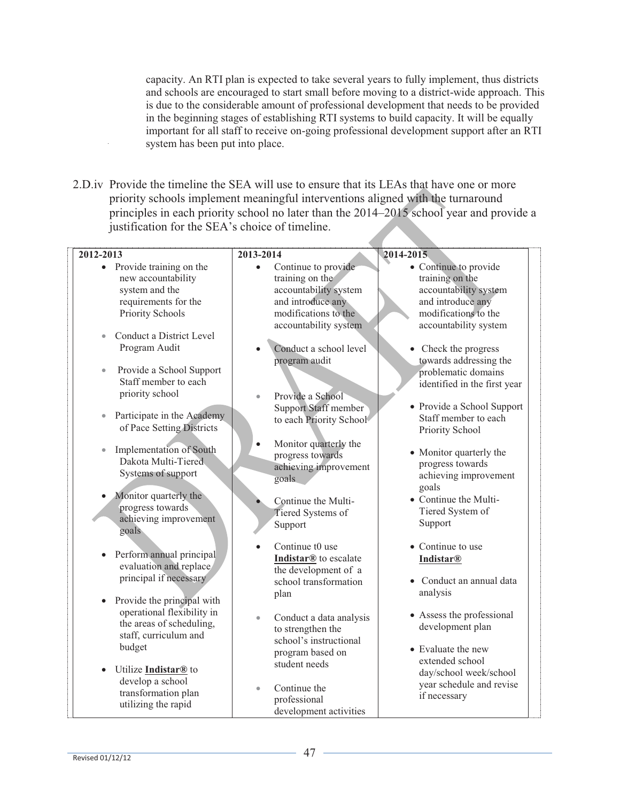capacity. An RTI plan is expected to take several years to fully implement, thus districts and schools are encouraged to start small before moving to a district-wide approach. This is due to the considerable amount of professional development that needs to be provided in the beginning stages of establishing RTI systems to build capacity. It will be equally important for all staff to receive on-going professional development support after an RTI system has been put into place.

2.D.iv Provide the timeline the SEA will use to ensure that its LEAs that have one or more priority schools implement meaningful interventions aligned with the turnaround principles in each priority school no later than the 2014–2015 school year and provide a justification for the SEA's choice of timeline.

| 2012-2013                                                                                                                                                        | 2013-2014                                                                                                                 | 2014-2015                                                                                                                                                    |
|------------------------------------------------------------------------------------------------------------------------------------------------------------------|---------------------------------------------------------------------------------------------------------------------------|--------------------------------------------------------------------------------------------------------------------------------------------------------------|
| • Provide training on the<br>new accountability<br>system and the<br>requirements for the<br>Priority Schools                                                    | Continue to provide<br>$\bullet$<br>training on the<br>accountability system<br>and introduce any<br>modifications to the | • Continue to provide<br>training on the<br>accountability system<br>and introduce any<br>modifications to the                                               |
| Conduct a District Level<br>$\bullet$<br>Program Audit<br>Provide a School Support<br>$\bullet$<br>Staff member to each<br>priority school                       | accountability system<br>Conduct a school level<br>program audit<br>Provide a School<br><b>Support Staff member</b>       | accountability system<br>• Check the progress<br>towards addressing the<br>problematic domains<br>identified in the first year<br>• Provide a School Support |
| Participate in the Academy<br>$\bullet$<br>of Pace Setting Districts<br><b>Implementation of South</b><br>$\bullet$<br>Dakota Multi-Tiered<br>Systems of support | to each Priority School<br>Monitor quarterly the<br>progress towards<br>achieving improvement                             | Staff member to each<br>Priority School<br>• Monitor quarterly the<br>progress towards                                                                       |
| Monitor quarterly the<br>progress towards<br>achieving improvement<br>goals                                                                                      | goals<br>Continue the Multi-<br>Tiered Systems of<br>Support                                                              | achieving improvement<br>goals<br>• Continue the Multi-<br>Tiered System of<br>Support                                                                       |
| Perform annual principal<br>evaluation and replace<br>principal if necessary<br>Provide the principal with<br>$\bullet$                                          | Continue t0 use<br>Indistar <sup>®</sup> to escalate<br>the development of a<br>school transformation<br>plan             | • Continue to use<br><b>Indistar®</b><br>Conduct an annual data<br>analysis                                                                                  |
| operational flexibility in<br>the areas of scheduling,<br>staff, curriculum and<br>budget                                                                        | Conduct a data analysis<br>$\bullet$<br>to strengthen the<br>school's instructional<br>program based on<br>student needs  | • Assess the professional<br>development plan<br>• Evaluate the new<br>extended school                                                                       |
| Utilize <i>Indistar®</i> to<br>$\bullet$<br>develop a school<br>transformation plan<br>utilizing the rapid                                                       | Continue the<br>$\bullet$<br>professional<br>development activities                                                       | day/school week/school<br>year schedule and revise<br>if necessary                                                                                           |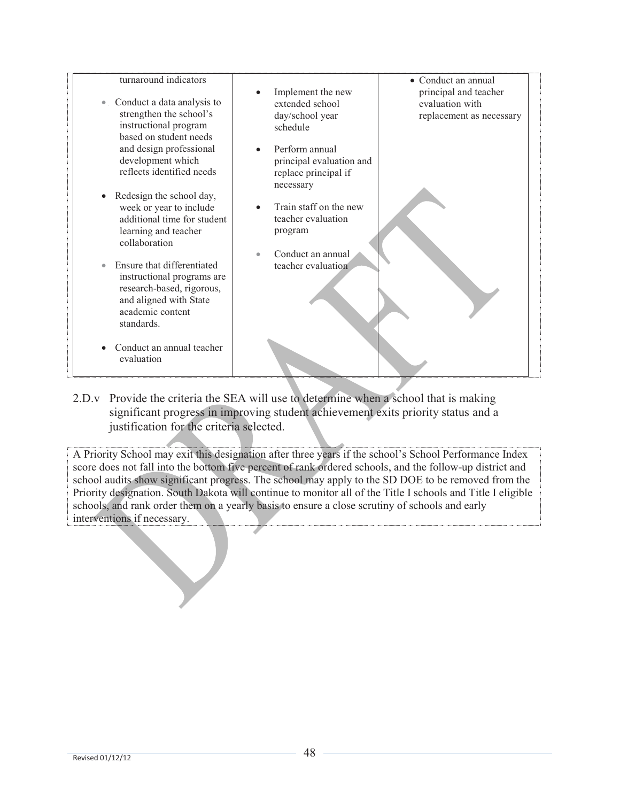| turnaround indicators                                  |                                | • Conduct an annual      |
|--------------------------------------------------------|--------------------------------|--------------------------|
|                                                        | Implement the new<br>$\bullet$ | principal and teacher    |
| Conduct a data analysis to<br>$\bullet$                | extended school                | evaluation with          |
| strengthen the school's                                | day/school year                | replacement as necessary |
| instructional program                                  | schedule                       |                          |
| based on student needs                                 |                                |                          |
| and design professional                                | Perform annual                 |                          |
| development which<br>reflects identified needs         | principal evaluation and       |                          |
|                                                        | replace principal if           |                          |
|                                                        | necessary                      |                          |
| Redesign the school day,                               | Train staff on the new         |                          |
| week or year to include<br>additional time for student | teacher evaluation             |                          |
| learning and teacher                                   | program                        |                          |
| collaboration                                          |                                |                          |
|                                                        | Conduct an annual              |                          |
| Ensure that differentiated                             | teacher evaluation             |                          |
| instructional programs are                             |                                |                          |
| research-based, rigorous,                              |                                |                          |
| and aligned with State                                 |                                |                          |
| academic content                                       |                                |                          |
| standards.                                             |                                |                          |
|                                                        |                                |                          |
| Conduct an annual teacher                              |                                |                          |
| evaluation                                             |                                |                          |
|                                                        |                                |                          |

2.D.v Provide the criteria the SEA will use to determine when a school that is making significant progress in improving student achievement exits priority status and a justification for the criteria selected.

A Priority School may exit this designation after three years if the school's School Performance Index score does not fall into the bottom five percent of rank ordered schools, and the follow-up district and school audits show significant progress. The school may apply to the SD DOE to be removed from the Priority designation. South Dakota will continue to monitor all of the Title I schools and Title I eligible schools, and rank order them on a yearly basis to ensure a close scrutiny of schools and early interventions if necessary.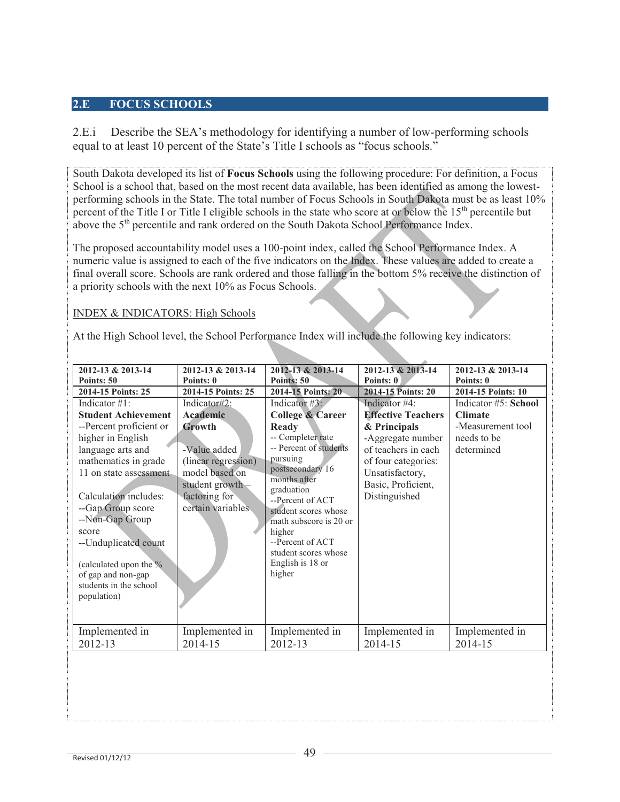### **2.E FOCUS SCHOOLS**

2.E.i Describe the SEA's methodology for identifying a number of low-performing schools equal to at least 10 percent of the State's Title I schools as "focus schools."

South Dakota developed its list of **Focus Schools** using the following procedure: For definition, a Focus School is a school that, based on the most recent data available, has been identified as among the lowestperforming schools in the State. The total number of Focus Schools in South Dakota must be as least 10% percent of the Title I or Title I eligible schools in the state who score at or below the 15<sup>th</sup> percentile but above the 5<sup>th</sup> percentile and rank ordered on the South Dakota School Performance Index.

The proposed accountability model uses a 100-point index, called the School Performance Index. A numeric value is assigned to each of the five indicators on the Index. These values are added to create a final overall score. Schools are rank ordered and those falling in the bottom 5% receive the distinction of a priority schools with the next 10% as Focus Schools.

#### INDEX & INDICATORS: High Schools

At the High School level, the School Performance Index will include the following key indicators:

| 2012-13 & 2013-14          | 2012-13 & 2013-14   | 2012-13 & 2013-14                        | 2012-13 & 2013-14         | 2012-13 & 2013-14    |
|----------------------------|---------------------|------------------------------------------|---------------------------|----------------------|
| Points: 50                 | Points: 0           | Points: 50                               | Points: 0                 | Points: 0            |
| 2014-15 Points: 25         | 2014-15 Points: 25  | 2014-15 Points: 20                       | 2014-15 Points: 20        | 2014-15 Points: 10   |
| Indicator $#1$ :           | Indicator#2:        | Indicator #3:                            | Indicator #4:             | Indicator #5: School |
| <b>Student Achievement</b> | <b>Academic</b>     | <b>College &amp; Career</b>              | <b>Effective Teachers</b> | <b>Climate</b>       |
| --Percent proficient or    | Growth              | Ready                                    | & Principals              | -Measurement tool    |
| higher in English          |                     | -- Completer rate                        | -Aggregate number         | needs to be          |
| language arts and          | -Value added        | -- Percent of students                   | of teachers in each       | determined           |
| mathematics in grade       | (linear regression) | pursuing                                 | of four categories:       |                      |
| 11 on state assessment     | model based on      | postsecondary 16<br>months after         | Unsatisfactory,           |                      |
|                            | student growth $-$  | graduation                               | Basic, Proficient,        |                      |
| Calculation includes:      | factoring for       | --Percent of ACT                         | Distinguished             |                      |
| --Gap Group score          | certain variables   | student scores whose                     |                           |                      |
| --Non-Gap Group            |                     | math subscore is 20 or                   |                           |                      |
| score                      |                     | higher                                   |                           |                      |
| --Unduplicated count       |                     | --Percent of ACT<br>student scores whose |                           |                      |
| (calculated upon the %     |                     | English is 18 or                         |                           |                      |
| of gap and non-gap         |                     | higher                                   |                           |                      |
| students in the school     |                     |                                          |                           |                      |
| population)                |                     |                                          |                           |                      |
|                            |                     |                                          |                           |                      |
|                            |                     |                                          |                           |                      |
| Implemented in             | Implemented in      | Implemented in                           | Implemented in            | Implemented in       |
| 2012-13                    | 2014-15             | 2012-13                                  | 2014-15                   | 2014-15              |
|                            |                     |                                          |                           |                      |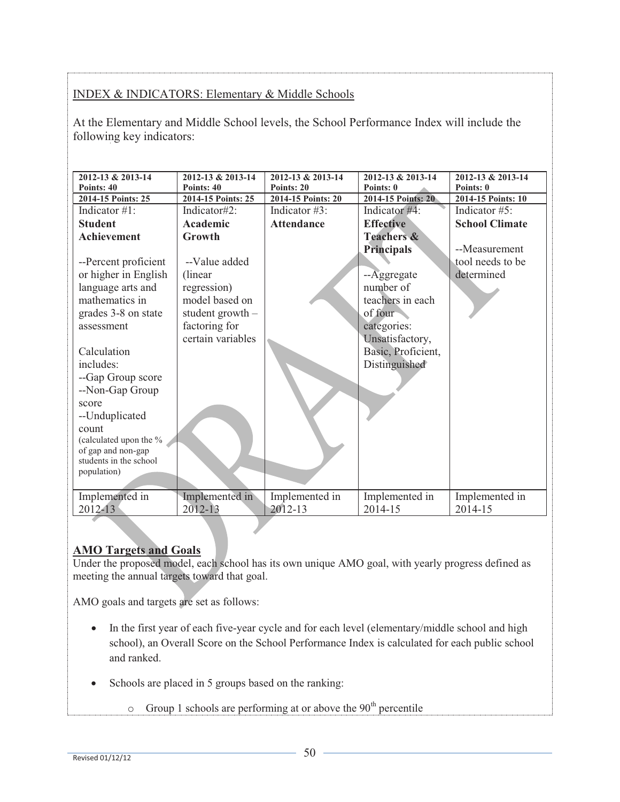# INDEX & INDICATORS: Elementary & Middle Schools

At the Elementary and Middle School levels, the School Performance Index will include the following key indicators:

| 2012-13 & 2013-14<br>Points: 40       | 2012-13 & 2013-14<br>Points: 40 | 2012-13 & 2013-14<br>Points: 20 | 2012-13 & 2013-14<br>Points: 0 | 2012-13 & 2013-14<br>Points: 0 |
|---------------------------------------|---------------------------------|---------------------------------|--------------------------------|--------------------------------|
| 2014-15 Points: 25                    | 2014-15 Points: 25              | 2014-15 Points: 20              | 2014-15 Points: 20             | 2014-15 Points: 10             |
| Indicator $\#1$ :                     | Indicator#2:                    | Indicator $#3$ :                | Indicator #4:                  | Indicator $#5$ :               |
| <b>Student</b>                        | <b>Academic</b>                 | <b>Attendance</b>               | <b>Effective</b>               | <b>School Climate</b>          |
| <b>Achievement</b>                    | Growth                          |                                 | <b>Teachers &amp;</b>          |                                |
|                                       |                                 |                                 | <b>Principals</b>              | --Measurement                  |
| --Percent proficient                  | --Value added                   |                                 |                                | tool needs to be               |
| or higher in English                  | (linear)                        |                                 | $-A$ ggregate                  | determined                     |
| language arts and                     | regression)                     |                                 | number of                      |                                |
| mathematics in                        | model based on                  |                                 | teachers in each               |                                |
| grades 3-8 on state                   | student growth $-$              |                                 | of four                        |                                |
| assessment                            | factoring for                   |                                 | categories:                    |                                |
|                                       | certain variables               |                                 | Unsatisfactory,                |                                |
| Calculation                           |                                 |                                 | Basic, Proficient,             |                                |
| includes:                             |                                 |                                 | Distinguished                  |                                |
| --Gap Group score                     |                                 |                                 |                                |                                |
| --Non-Gap Group                       |                                 |                                 |                                |                                |
| score                                 |                                 |                                 |                                |                                |
| --Unduplicated                        |                                 |                                 |                                |                                |
| count                                 |                                 |                                 |                                |                                |
| (calculated upon the %                |                                 |                                 |                                |                                |
| of gap and non-gap                    |                                 |                                 |                                |                                |
| students in the school<br>population) |                                 |                                 |                                |                                |
|                                       |                                 |                                 |                                |                                |
| Implemented in                        | Implemented in                  | Implemented in                  | Implemented in                 | Implemented in                 |
| 2012-13                               | 2012-13                         | 2012-13                         | 2014-15                        | 2014-15                        |
|                                       |                                 |                                 |                                |                                |

# **AMO Targets and Goals**

Under the proposed model, each school has its own unique AMO goal, with yearly progress defined as meeting the annual targets toward that goal.

AMO goals and targets are set as follows:

- In the first year of each five-year cycle and for each level (elementary/middle school and high school), an Overall Score on the School Performance Index is calculated for each public school and ranked.
- Schools are placed in 5 groups based on the ranking:
	- $\circ$  Group 1 schools are performing at or above the 90<sup>th</sup> percentile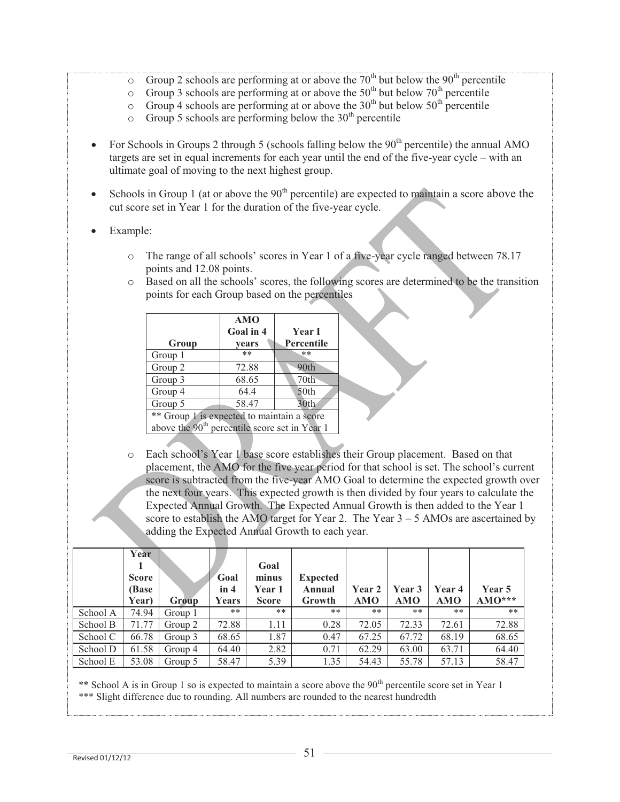- Group 2 schools are performing at or above the 70<sup>th</sup> but below the 90<sup>th</sup> percentile
- $\circ$  Group 3 schools are performing at or above the 50<sup>th</sup> but below 70<sup>th</sup> percentile
- $\circ$  Group 4 schools are performing at or above the 30<sup>th</sup> but below 50<sup>th</sup> percentile
- $\circ$  Group 5 schools are performing below the 30<sup>th</sup> percentile
- For Schools in Groups 2 through 5 (schools falling below the  $90<sup>th</sup>$  percentile) the annual AMO targets are set in equal increments for each year until the end of the five-year cycle – with an ultimate goal of moving to the next highest group.
- Schools in Group 1 (at or above the  $90<sup>th</sup>$  percentile) are expected to maintain a score above the cut score set in Year 1 for the duration of the five-year cycle.
- Example:
	- o The range of all schools' scores in Year 1 of a five-year cycle ranged between 78.17 points and 12.08 points.
	- o Based on all the schools' scores, the following scores are determined to be the transition points for each Group based on the percentiles

| Group                                                     | AMO<br>Goal in 4<br>vears | <b>Year I</b><br>Percentile |  |  |  |
|-----------------------------------------------------------|---------------------------|-----------------------------|--|--|--|
| Group 1                                                   | $**$                      | **                          |  |  |  |
| Group 2                                                   | 72.88                     | 90th                        |  |  |  |
| Group 3                                                   | 68.65                     | 70th                        |  |  |  |
| 50th<br>64.4<br>Group 4                                   |                           |                             |  |  |  |
| 58.47<br>30th<br>Group 5                                  |                           |                             |  |  |  |
| ** Group 1 is expected to maintain a score                |                           |                             |  |  |  |
| above the 90 <sup>th</sup> percentile score set in Year 1 |                           |                             |  |  |  |

o Each school's Year 1 base score establishes their Group placement. Based on that placement, the AMO for the five year period for that school is set. The school's current score is subtracted from the five-year AMO Goal to determine the expected growth over the next four years. This expected growth is then divided by four years to calculate the Expected Annual Growth. The Expected Annual Growth is then added to the Year 1 score to establish the AMO target for Year 2. The Year  $3 - 5$  AMOs are ascertained by adding the Expected Annual Growth to each year.

|          | Year<br><b>Score</b><br>(Base<br>Year) | Group   | Goal<br>in 4<br>Years | Goal<br>minus<br>Year 1<br><b>Score</b> | <b>Expected</b><br>Annual<br>Growth | Year 2<br><b>AMO</b> | Year 3<br><b>AMO</b> | Year 4<br>AMO | Year 5<br>$AMO***$ |
|----------|----------------------------------------|---------|-----------------------|-----------------------------------------|-------------------------------------|----------------------|----------------------|---------------|--------------------|
| School A | 74.94                                  | Group 1 | **                    | **                                      | **                                  | **                   | $***$                | **            | $***$              |
| School B | 71.77                                  | Group 2 | 72.88                 | 1.11                                    | 0.28                                | 72.05                | 72.33                | 72.61         | 72.88              |
| School C | 66.78                                  | Group 3 | 68.65                 | 1.87                                    | 0.47                                | 67.25                | 67.72                | 68.19         | 68.65              |
| School D | 61.58                                  | Group 4 | 64.40                 | 2.82                                    | 0.71                                | 62.29                | 63.00                | 63.71         | 64.40              |
| School E | 53.08                                  | Group 5 | 58.47                 | 5.39                                    | 1.35                                | 54.43                | 55.78                | 57.13         | 58.47              |

\*\* School A is in Group 1 so is expected to maintain a score above the 90<sup>th</sup> percentile score set in Year 1 \*\*\* Slight difference due to rounding. All numbers are rounded to the nearest hundredth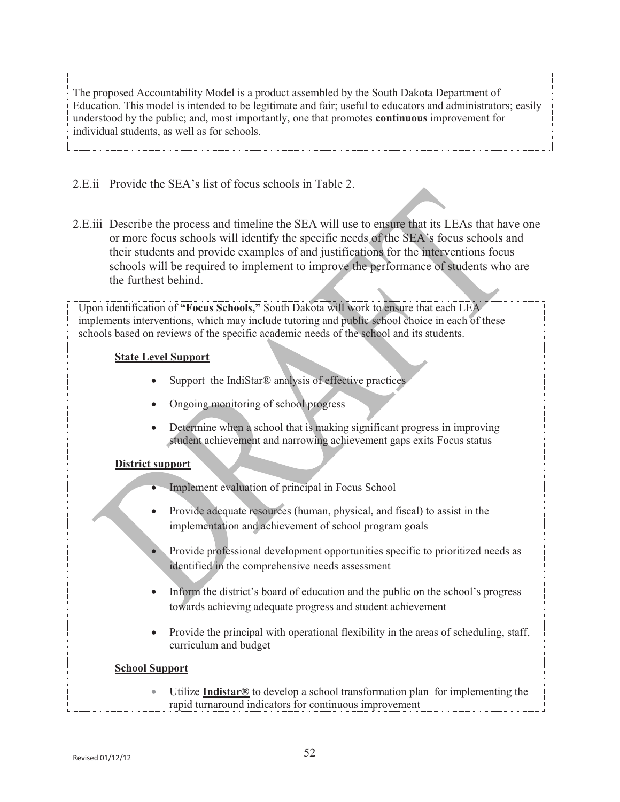The proposed Accountability Model is a product assembled by the South Dakota Department of Education. This model is intended to be legitimate and fair; useful to educators and administrators; easily understood by the public; and, most importantly, one that promotes **continuous** improvement for individual students, as well as for schools.

2.E.ii Provide the SEA's list of focus schools in Table 2.

2.E.iii Describe the process and timeline the SEA will use to ensure that its LEAs that have one or more focus schools will identify the specific needs of the SEA's focus schools and their students and provide examples of and justifications for the interventions focus schools will be required to implement to improve the performance of students who are the furthest behind.

Upon identification of **"Focus Schools,"** South Dakota will work to ensure that each LEA implements interventions, which may include tutoring and public school choice in each of these schools based on reviews of the specific academic needs of the school and its students.

# **State Level Support**

- Support the IndiStar® analysis of effective practices
- Ongoing monitoring of school progress
- Determine when a school that is making significant progress in improving student achievement and narrowing achievement gaps exits Focus status

# **District support**

- Implement evaluation of principal in Focus School
- Provide adequate resources (human, physical, and fiscal) to assist in the implementation and achievement of school program goals
- Provide professional development opportunities specific to prioritized needs as identified in the comprehensive needs assessment
- Inform the district's board of education and the public on the school's progress towards achieving adequate progress and student achievement
- Provide the principal with operational flexibility in the areas of scheduling, staff, curriculum and budget

# **School Support**

 Utilize **Indistar®** to develop a school transformation plan for implementing the rapid turnaround indicators for continuous improvement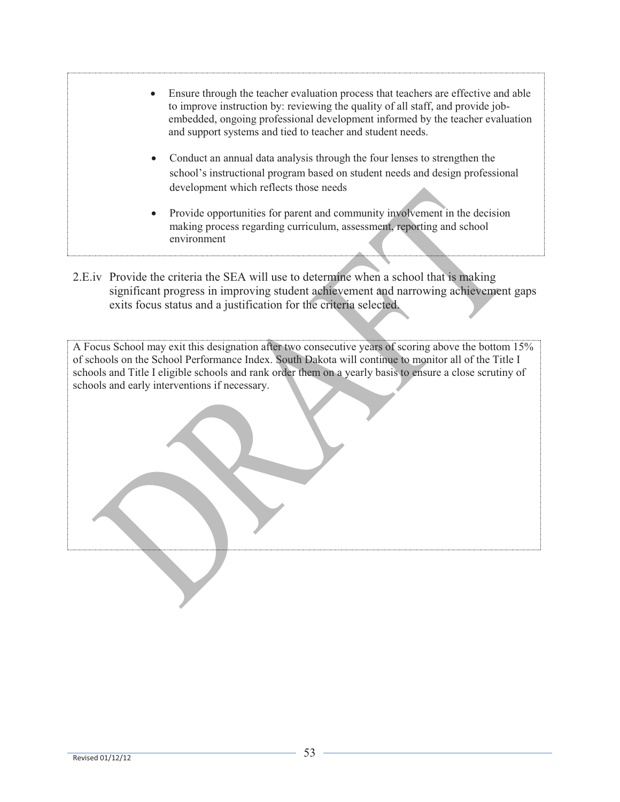- Ensure through the teacher evaluation process that teachers are effective and able to improve instruction by: reviewing the quality of all staff, and provide jobembedded, ongoing professional development informed by the teacher evaluation and support systems and tied to teacher and student needs. Conduct an annual data analysis through the four lenses to strengthen the school's instructional program based on student needs and design professional development which reflects those needs Provide opportunities for parent and community involvement in the decision making process regarding curriculum, assessment, reporting and school environment
- 2.E.iv Provide the criteria the SEA will use to determine when a school that is making significant progress in improving student achievement and narrowing achievement gaps exits focus status and a justification for the criteria selected.

A Focus School may exit this designation after two consecutive years of scoring above the bottom 15% of schools on the School Performance Index. South Dakota will continue to monitor all of the Title I schools and Title I eligible schools and rank order them on a yearly basis to ensure a close scrutiny of schools and early interventions if necessary.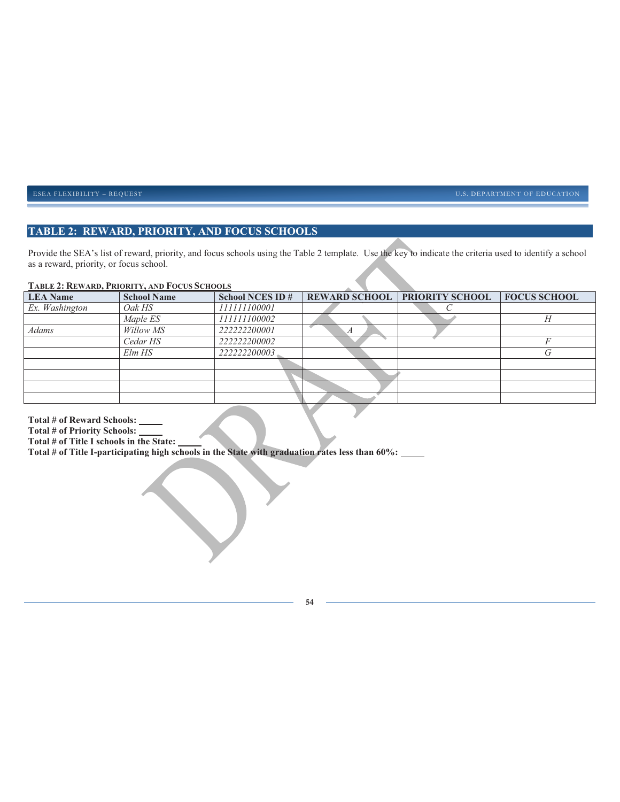ESEA FLEXIBILITY – REQUEST **EXECUTES** ENTERTAINMENT OF EDUCATION

## **TABLE 2: REWARD, PRIORITY, AND FOCUS SCHOOLS**

Provide the SEA's list of reward, priority, and focus schools using the Table 2 template. Use the key to indicate the criteria used to identify a school as a reward, priority, or focus school.

#### **TABLE 2: REWARD, PRIORITY, AND FOCUS SCHOOLS**

| <b>LEA</b> Name | <b>School Name</b> | <b>School NCES ID#</b> |   | <b>REWARD SCHOOL PRIORITY SCHOOL</b> | <b>FOCUS SCHOOL</b> |
|-----------------|--------------------|------------------------|---|--------------------------------------|---------------------|
| Ex. Washington  | Oak HS             | 111111100001           |   |                                      |                     |
|                 | Maple ES           | 111111100002           |   |                                      | Н                   |
| <b>Adams</b>    | Willow MS          | 222222200001           | А |                                      |                     |
|                 | Cedar HS           | 222222200002           |   |                                      |                     |
|                 | $Elm$ $HS$         | 222222200003           |   |                                      | G                   |
|                 |                    |                        |   |                                      |                     |
|                 |                    |                        |   |                                      |                     |
|                 |                    |                        |   |                                      |                     |
|                 |                    |                        |   |                                      |                     |
|                 |                    |                        |   |                                      |                     |

**Total # of Reward Schools:** 

**Total # of Priority Schools:** 

**Total # of Title I schools in the State:** 

**Total # of Title I-participating high schools in the State with graduation rates less than 60%:** 

**54**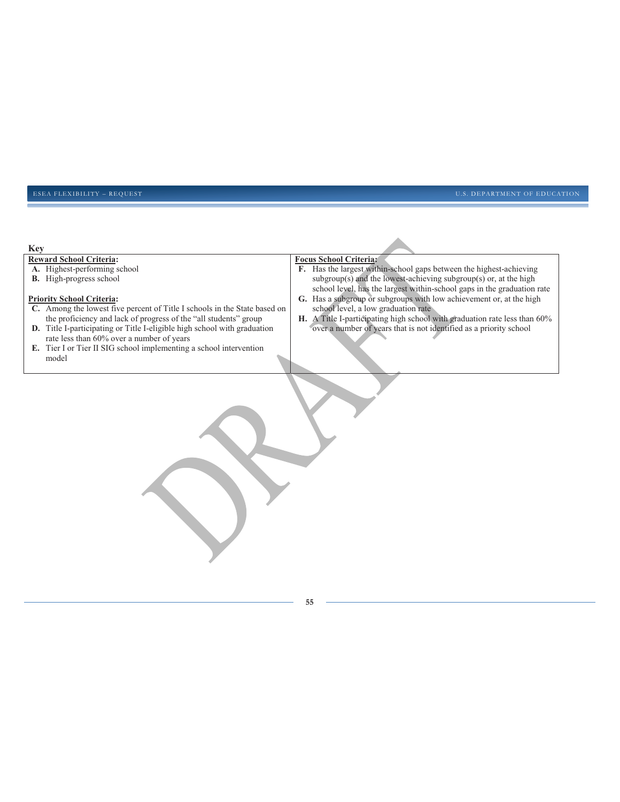#### ESEA FLEXIBILITY – REQUEST **EXECUTES** ENTERTAINMENT OF EDUCATION

| <b>Key</b>                                                                |                                                                           |
|---------------------------------------------------------------------------|---------------------------------------------------------------------------|
| <b>Reward School Criteria:</b>                                            | <b>Focus School Criteria:</b>                                             |
| A. Highest-performing school                                              | F. Has the largest within-school gaps between the highest-achieving       |
| <b>B.</b> High-progress school                                            | $subgroup(s)$ and the lowest-achieving $subgroup(s)$ or, at the high      |
|                                                                           | school level, has the largest within-school gaps in the graduation rate   |
| <b>Priority School Criteria:</b>                                          | G. Has a subgroup or subgroups with low achievement or, at the high       |
| C. Among the lowest five percent of Title I schools in the State based on | school level, a low graduation rate                                       |
| the proficiency and lack of progress of the "all students" group          | H. A Title I-participating high school with graduation rate less than 60% |
| D. Title I-participating or Title I-eligible high school with graduation  | over a number of years that is not identified as a priority school        |
| rate less than 60% over a number of years                                 |                                                                           |
| E. Tier I or Tier II SIG school implementing a school intervention        |                                                                           |
| model                                                                     |                                                                           |
|                                                                           |                                                                           |
|                                                                           |                                                                           |
|                                                                           |                                                                           |
|                                                                           |                                                                           |
|                                                                           |                                                                           |
|                                                                           |                                                                           |
|                                                                           |                                                                           |
|                                                                           |                                                                           |
|                                                                           |                                                                           |
|                                                                           |                                                                           |
|                                                                           |                                                                           |
|                                                                           |                                                                           |
|                                                                           |                                                                           |
|                                                                           |                                                                           |
|                                                                           |                                                                           |
|                                                                           |                                                                           |
|                                                                           |                                                                           |
|                                                                           |                                                                           |
|                                                                           |                                                                           |
|                                                                           |                                                                           |
|                                                                           |                                                                           |
|                                                                           |                                                                           |
|                                                                           |                                                                           |
|                                                                           |                                                                           |
|                                                                           | 55                                                                        |
|                                                                           |                                                                           |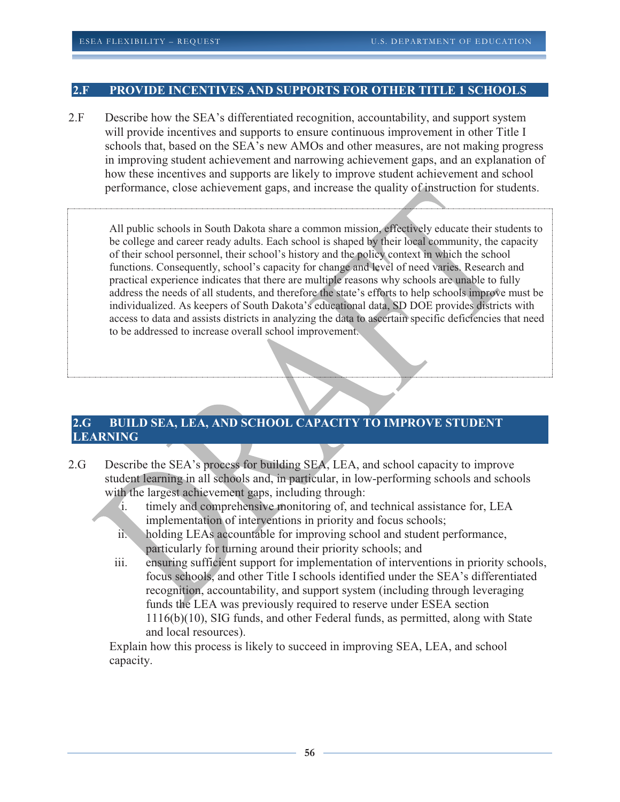## **2.F PROVIDE INCENTIVES AND SUPPORTS FOR OTHER TITLE 1 SCHOOLS**

2.F Describe how the SEA's differentiated recognition, accountability, and support system will provide incentives and supports to ensure continuous improvement in other Title I schools that, based on the SEA's new AMOs and other measures, are not making progress in improving student achievement and narrowing achievement gaps, and an explanation of how these incentives and supports are likely to improve student achievement and school performance, close achievement gaps, and increase the quality of instruction for students.

All public schools in South Dakota share a common mission, effectively educate their students to be college and career ready adults. Each school is shaped by their local community, the capacity of their school personnel, their school's history and the policy context in which the school functions. Consequently, school's capacity for change and level of need varies. Research and practical experience indicates that there are multiple reasons why schools are unable to fully address the needs of all students, and therefore the state's efforts to help schools improve must be individualized. As keepers of South Dakota's educational data, SD DOE provides districts with access to data and assists districts in analyzing the data to ascertain specific deficiencies that need to be addressed to increase overall school improvement.

### **2.G BUILD SEA, LEA, AND SCHOOL CAPACITY TO IMPROVE STUDENT LEARNING**

- 2.G Describe the SEA's process for building SEA, LEA, and school capacity to improve student learning in all schools and, in particular, in low-performing schools and schools with the largest achievement gaps, including through:
	- i. timely and comprehensive monitoring of, and technical assistance for, LEA implementation of interventions in priority and focus schools;
	- ii. holding LEAs accountable for improving school and student performance, particularly for turning around their priority schools; and
	- iii. ensuring sufficient support for implementation of interventions in priority schools, focus schools, and other Title I schools identified under the SEA's differentiated recognition, accountability, and support system (including through leveraging funds the LEA was previously required to reserve under ESEA section 1116(b)(10), SIG funds, and other Federal funds, as permitted, along with State and local resources).

Explain how this process is likely to succeed in improving SEA, LEA, and school capacity.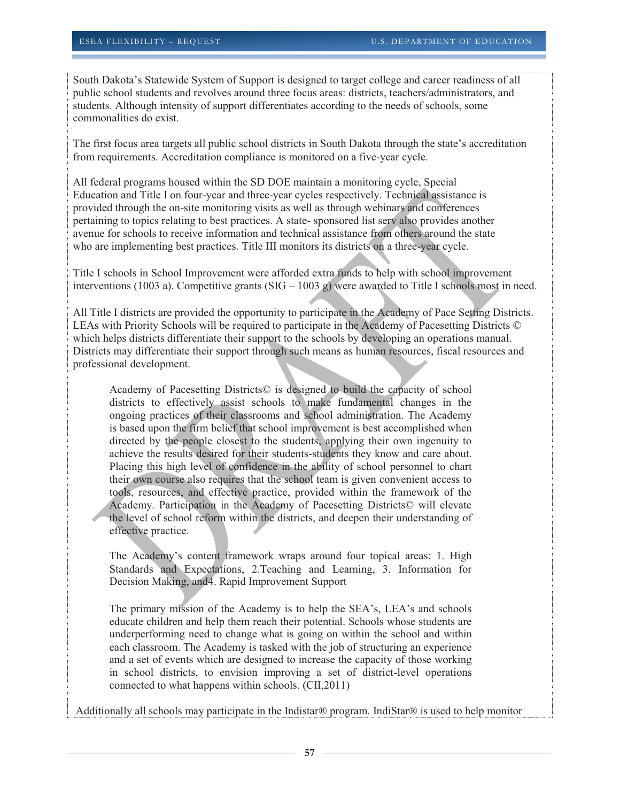South Dakota's Statewide System of Support is designed to target college and career readiness of all public school students and revolves around three focus areas: districts, teachers/administrators, and students. Although intensity of support differentiates according to the needs of schools, some commonalities do exist.

The first focus area targets all public school districts in South Dakota through the state's accreditation from requirements. Accreditation compliance is monitored on a five-year cycle.

All federal programs housed within the SD DOE maintain a monitoring cycle, Special Education and Title I on four-year and three-year cycles respectively. Technical assistance is provided through the on-site monitoring visits as well as through webinars and conferences pertaining to topics relating to best practices. A state- sponsored list serv also provides another avenue for schools to receive information and technical assistance from others around the state who are implementing best practices. Title III monitors its districts on a three-year cycle.

Title I schools in School Improvement were afforded extra funds to help with school improvement interventions (1003 a). Competitive grants (SIG – 1003 g) were awarded to Title I schools most in need.

All Title I districts are provided the opportunity to participate in the Academy of Pace Setting Districts. LEAs with Priority Schools will be required to participate in the Academy of Pacesetting Districts © which helps districts differentiate their support to the schools by developing an operations manual. Districts may differentiate their support through such means as human resources, fiscal resources and professional development.

Academy of Pacesetting Districts© is designed to build the capacity of school districts to effectively assist schools to make fundamental changes in the ongoing practices of their classrooms and school administration. The Academy is based upon the firm belief that school improvement is best accomplished when directed by the people closest to the students, applying their own ingenuity to achieve the results desired for their students-students they know and care about. Placing this high level of confidence in the ability of school personnel to chart their own course also requires that the school team is given convenient access to tools, resources, and effective practice, provided within the framework of the Academy. Participation in the Academy of Pacesetting Districts© will elevate the level of school reform within the districts, and deepen their understanding of effective practice.

The Academy's content framework wraps around four topical areas: 1. High Standards and Expectations, 2.Teaching and Learning, 3. Information for Decision Making, and4. Rapid Improvement Support

The primary mission of the Academy is to help the SEA's, LEA's and schools educate children and help them reach their potential. Schools whose students are underperforming need to change what is going on within the school and within each classroom. The Academy is tasked with the job of structuring an experience and a set of events which are designed to increase the capacity of those working in school districts, to envision improving a set of district-level operations connected to what happens within schools. (CII,2011)

Additionally all schools may participate in the Indistar® program. IndiStar® is used to help monitor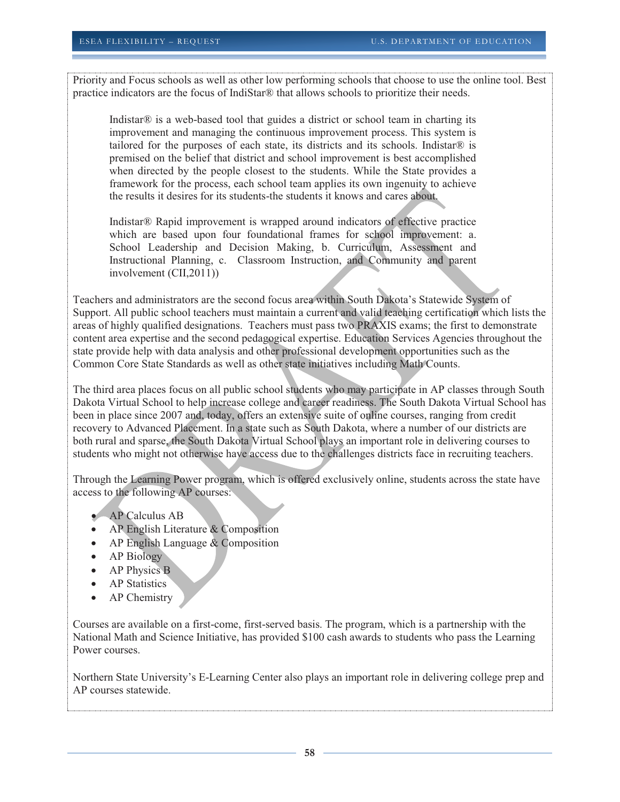Priority and Focus schools as well as other low performing schools that choose to use the online tool. Best practice indicators are the focus of IndiStar® that allows schools to prioritize their needs.

Indistar<sup>®</sup> is a web-based tool that guides a district or school team in charting its improvement and managing the continuous improvement process. This system is tailored for the purposes of each state, its districts and its schools. Indistar® is premised on the belief that district and school improvement is best accomplished when directed by the people closest to the students. While the State provides a framework for the process, each school team applies its own ingenuity to achieve the results it desires for its students-the students it knows and cares about.

Indistar® Rapid improvement is wrapped around indicators of effective practice which are based upon four foundational frames for school improvement: a. School Leadership and Decision Making, b. Curriculum, Assessment and Instructional Planning, c. Classroom Instruction, and Community and parent involvement (CII,2011))

Teachers and administrators are the second focus area within South Dakota's Statewide System of Support. All public school teachers must maintain a current and valid teaching certification which lists the areas of highly qualified designations. Teachers must pass two PRAXIS exams; the first to demonstrate content area expertise and the second pedagogical expertise. Education Services Agencies throughout the state provide help with data analysis and other professional development opportunities such as the Common Core State Standards as well as other state initiatives including Math Counts.

The third area places focus on all public school students who may participate in AP classes through South Dakota Virtual School to help increase college and career readiness. The South Dakota Virtual School has been in place since 2007 and, today, offers an extensive suite of online courses, ranging from credit recovery to Advanced Placement. In a state such as South Dakota, where a number of our districts are both rural and sparse, the South Dakota Virtual School plays an important role in delivering courses to students who might not otherwise have access due to the challenges districts face in recruiting teachers.

Through the Learning Power program, which is offered exclusively online, students across the state have access to the following AP courses:

- **AP Calculus AB**
- AP English Literature & Composition
- AP English Language & Composition
- AP Biology
- AP Physics B
- AP Statistics
- AP Chemistry

Courses are available on a first-come, first-served basis. The program, which is a partnership with the National Math and Science Initiative, has provided \$100 cash awards to students who pass the Learning Power courses.

Northern State University's E-Learning Center also plays an important role in delivering college prep and AP courses statewide.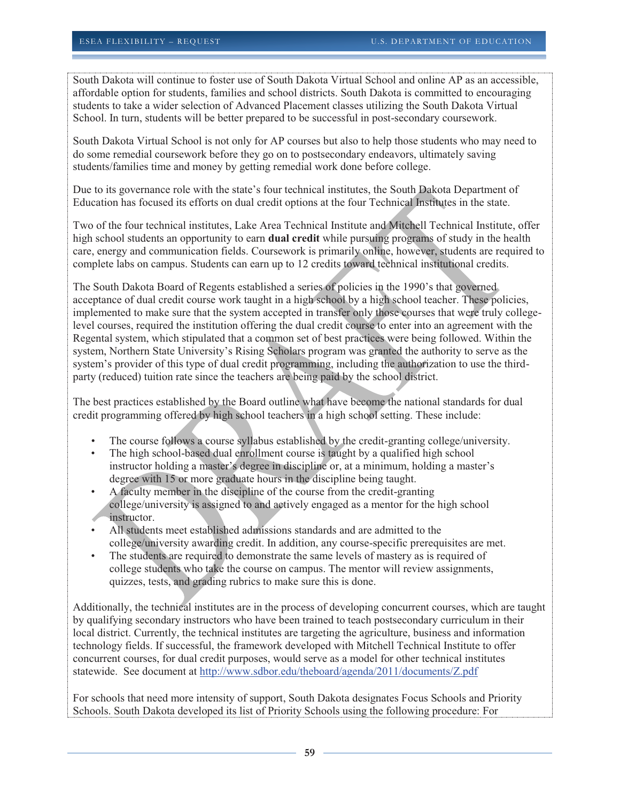South Dakota will continue to foster use of South Dakota Virtual School and online AP as an accessible, affordable option for students, families and school districts. South Dakota is committed to encouraging students to take a wider selection of Advanced Placement classes utilizing the South Dakota Virtual School. In turn, students will be better prepared to be successful in post-secondary coursework.

South Dakota Virtual School is not only for AP courses but also to help those students who may need to do some remedial coursework before they go on to postsecondary endeavors, ultimately saving students/families time and money by getting remedial work done before college.

Due to its governance role with the state's four technical institutes, the South Dakota Department of Education has focused its efforts on dual credit options at the four Technical Institutes in the state.

Two of the four technical institutes, Lake Area Technical Institute and Mitchell Technical Institute, offer high school students an opportunity to earn **dual credit** while pursuing programs of study in the health care, energy and communication fields. Coursework is primarily online, however, students are required to complete labs on campus. Students can earn up to 12 credits toward technical institutional credits.

The South Dakota Board of Regents established a series of policies in the 1990's that governed acceptance of dual credit course work taught in a high school by a high school teacher. These policies, implemented to make sure that the system accepted in transfer only those courses that were truly collegelevel courses, required the institution offering the dual credit course to enter into an agreement with the Regental system, which stipulated that a common set of best practices were being followed. Within the system, Northern State University's Rising Scholars program was granted the authority to serve as the system's provider of this type of dual credit programming, including the authorization to use the thirdparty (reduced) tuition rate since the teachers are being paid by the school district.

The best practices established by the Board outline what have become the national standards for dual credit programming offered by high school teachers in a high school setting. These include:

- The course follows a course syllabus established by the credit-granting college/university.
- The high school-based dual enrollment course is taught by a qualified high school instructor holding a master's degree in discipline or, at a minimum, holding a master's degree with 15 or more graduate hours in the discipline being taught.
- A faculty member in the discipline of the course from the credit-granting college/university is assigned to and actively engaged as a mentor for the high school instructor.
- All students meet established admissions standards and are admitted to the college/university awarding credit. In addition, any course-specific prerequisites are met.
- The students are required to demonstrate the same levels of mastery as is required of college students who take the course on campus. The mentor will review assignments, quizzes, tests, and grading rubrics to make sure this is done.

Additionally, the technical institutes are in the process of developing concurrent courses, which are taught by qualifying secondary instructors who have been trained to teach postsecondary curriculum in their local district. Currently, the technical institutes are targeting the agriculture, business and information technology fields. If successful, the framework developed with Mitchell Technical Institute to offer concurrent courses, for dual credit purposes, would serve as a model for other technical institutes statewide. See document at http://www.sdbor.edu/theboard/agenda/2011/documents/Z.pdf

For schools that need more intensity of support, South Dakota designates Focus Schools and Priority Schools. South Dakota developed its list of Priority Schools using the following procedure: For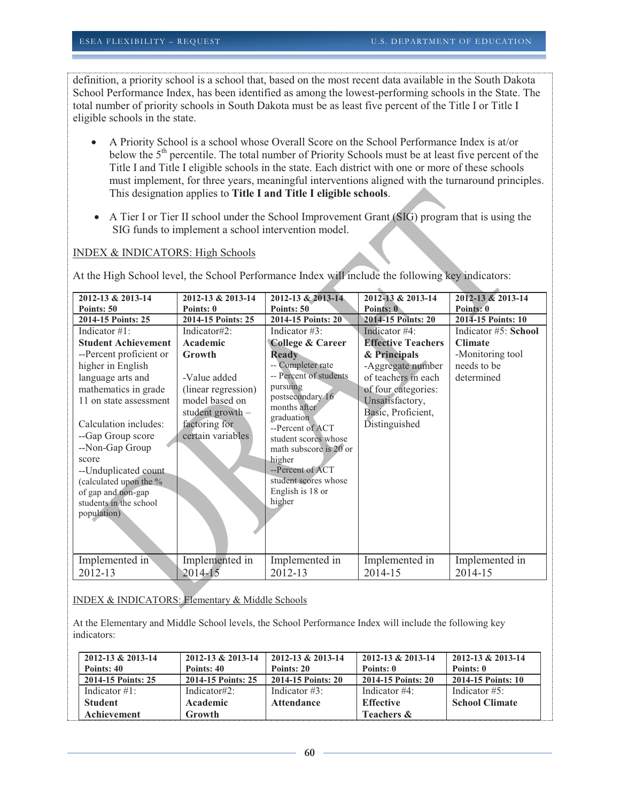definition, a priority school is a school that, based on the most recent data available in the South Dakota School Performance Index, has been identified as among the lowest-performing schools in the State. The total number of priority schools in South Dakota must be as least five percent of the Title I or Title I eligible schools in the state.

- A Priority School is a school whose Overall Score on the School Performance Index is at/or below the 5<sup>th</sup> percentile. The total number of Priority Schools must be at least five percent of the Title I and Title I eligible schools in the state. Each district with one or more of these schools must implement, for three years, meaningful interventions aligned with the turnaround principles. This designation applies to **Title I and Title I eligible schools**.
- A Tier I or Tier II school under the School Improvement Grant (SIG) program that is using the SIG funds to implement a school intervention model.

#### INDEX & INDICATORS: High Schools

At the High School level, the School Performance Index will include the following key indicators:

| 2012-13 & 2013-14          | 2012-13 & 2013-14   | 2012-13 & 2013-14                | 2012-13 & 2013-14         | 2012-13 & 2013-14    |
|----------------------------|---------------------|----------------------------------|---------------------------|----------------------|
| Points: 50                 | Points: 0           | Points: 50                       | Points: 0                 | Points: 0            |
| 2014-15 Points: 25         | 2014-15 Points: 25  | 2014-15 Points: 20               | 2014-15 Points: 20        | 2014-15 Points: 10   |
| Indicator $\#1$ :          | Indicator#2:        | Indicator $#3$ :                 | Indicator #4:             | Indicator #5: School |
| <b>Student Achievement</b> | Academic            | <b>College &amp; Career</b>      | <b>Effective Teachers</b> | <b>Climate</b>       |
| --Percent proficient or    | Growth              | <b>Ready</b>                     | & Principals              | -Monitoring tool     |
| higher in English          |                     | -- Completer rate                | -Aggregate number         | needs to be          |
| language arts and          | -Value added        | -- Percent of students           | of teachers in each       | determined           |
| mathematics in grade       | (linear regression) | pursuing                         | of four categories:       |                      |
| 11 on state assessment     | model based on      | postsecondary 16<br>months after | Unsatisfactory,           |                      |
|                            | student growth -    | graduation                       | Basic, Proficient,        |                      |
| Calculation includes:      | factoring for       | --Percent of ACT                 | Distinguished             |                      |
| --Gap Group score          | certain variables   | student scores whose             |                           |                      |
| --Non-Gap Group            |                     | math subscore is 20 or           |                           |                      |
| score                      |                     | higher                           |                           |                      |
| --Unduplicated count       |                     | --Percent of ACT                 |                           |                      |
| (calculated upon the %     |                     | student scores whose             |                           |                      |
| of gap and non-gap         |                     | English is 18 or                 |                           |                      |
| students in the school     |                     | higher                           |                           |                      |
| population)                |                     |                                  |                           |                      |
|                            |                     |                                  |                           |                      |
|                            |                     |                                  |                           |                      |
| Implemented in             | Implemented in      | Implemented in                   | Implemented in            | Implemented in       |
| 2012-13                    | 2014-15             | 2012-13                          | 2014-15                   | 2014-15              |

#### INDEX & INDICATORS: Elementary & Middle Schools

At the Elementary and Middle School levels, the School Performance Index will include the following key indicators:

| 2012-13 & 2013-14  | $2012 - 13 & 2013 - 14$ | $2012 - 13 & 2013 - 14$ | $2012 - 13 & 2013 - 14$ | $2012 - 13 & 2013 - 14$ |
|--------------------|-------------------------|-------------------------|-------------------------|-------------------------|
| Points: 40         | Points: 40              | Points: 20              | Points: 0               | Points: 0               |
| 2014-15 Points: 25 | 2014-15 Points: 25      | 2014-15 Points: 20      | 2014-15 Points: 20      | 2014-15 Points: 10      |
| Indicator $\#1$ :  | Indicator#2:            | Indicator $\#3$ :       | Indicator $#4$ :        | Indicator $#5$ :        |
| <b>Student</b>     | Academic                | <b>Attendance</b>       | <b>Effective</b>        | <b>School Climate</b>   |
| Achievement        | <b>Growth</b>           |                         | Teachers &              |                         |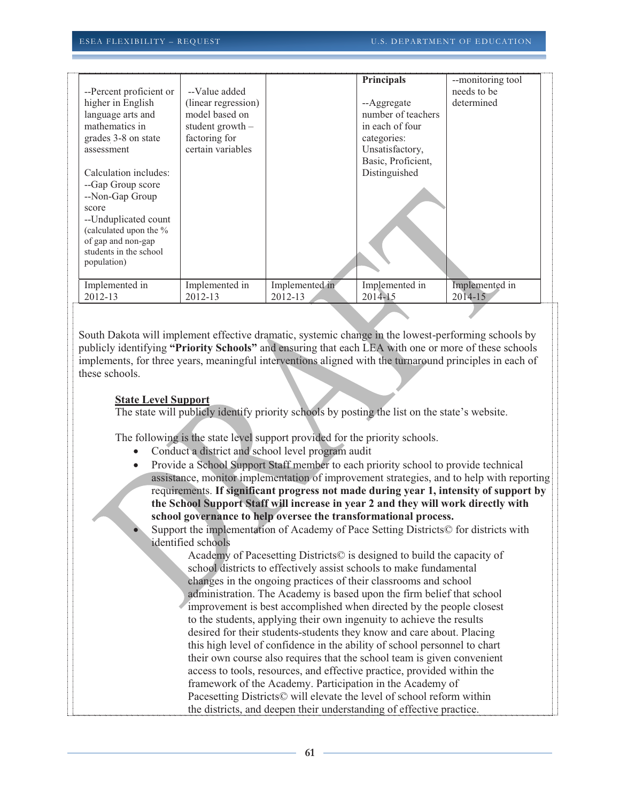| --Percent proficient or<br>higher in English<br>language arts and<br>mathematics in<br>grades 3-8 on state<br>assessment                                                                | --Value added<br>(linear regression)<br>model based on<br>student growth -<br>factoring for<br>certain variables |                | Principals<br>--Aggregate<br>number of teachers<br>in each of four<br>categories:<br>Unsatisfactory, | --monitoring tool<br>needs to be<br>determined |
|-----------------------------------------------------------------------------------------------------------------------------------------------------------------------------------------|------------------------------------------------------------------------------------------------------------------|----------------|------------------------------------------------------------------------------------------------------|------------------------------------------------|
| Calculation includes:<br>--Gap Group score<br>--Non-Gap Group<br>score<br>--Unduplicated count<br>(calculated upon the %<br>of gap and non-gap<br>students in the school<br>population) |                                                                                                                  |                | Basic, Proficient,<br>Distinguished                                                                  |                                                |
| Implemented in                                                                                                                                                                          | Implemented in                                                                                                   | Implemented in | Implemented in                                                                                       | Implemented in                                 |
| 2012-13                                                                                                                                                                                 | 2012-13                                                                                                          | 2012-13        | 2014-15                                                                                              | 2014-15                                        |

South Dakota will implement effective dramatic, systemic change in the lowest-performing schools by publicly identifying **"Priority Schools"** and ensuring that each LEA with one or more of these schools implements, for three years, meaningful interventions aligned with the turnaround principles in each of these schools.

#### **State Level Support**

The state will publicly identify priority schools by posting the list on the state's website.

The following is the state level support provided for the priority schools.

- Conduct a district and school level program audit
- Provide a School Support Staff member to each priority school to provide technical assistance, monitor implementation of improvement strategies, and to help with reporting requirements. **If significant progress not made during year 1, intensity of support by the School Support Staff will increase in year 2 and they will work directly with school governance to help oversee the transformational process.**
- Support the implementation of Academy of Pace Setting Districts© for districts with identified schools

Academy of Pacesetting Districts© is designed to build the capacity of school districts to effectively assist schools to make fundamental changes in the ongoing practices of their classrooms and school administration. The Academy is based upon the firm belief that school improvement is best accomplished when directed by the people closest to the students, applying their own ingenuity to achieve the results desired for their students-students they know and care about. Placing this high level of confidence in the ability of school personnel to chart their own course also requires that the school team is given convenient access to tools, resources, and effective practice, provided within the framework of the Academy. Participation in the Academy of Pacesetting Districts© will elevate the level of school reform within the districts, and deepen their understanding of effective practice.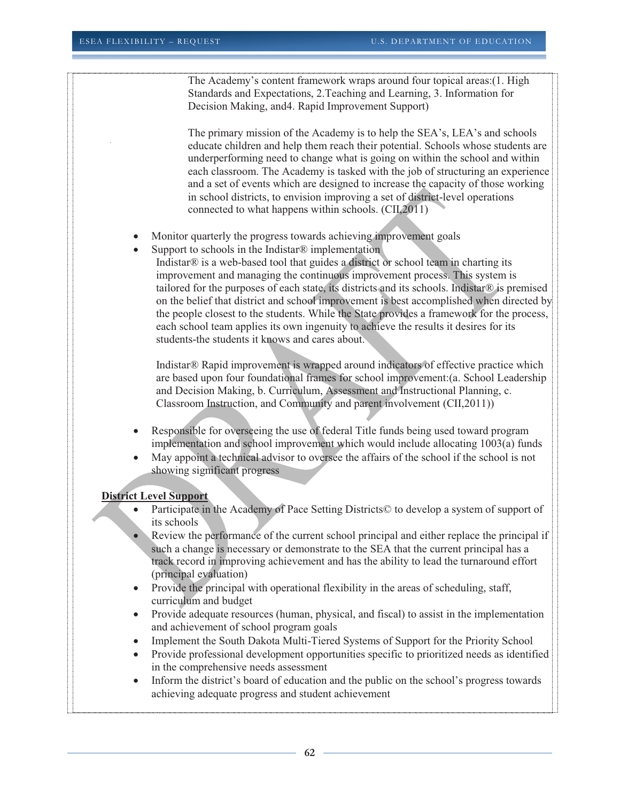The Academy's content framework wraps around four topical areas:(1. High Standards and Expectations, 2.Teaching and Learning, 3. Information for Decision Making, and4. Rapid Improvement Support)

The primary mission of the Academy is to help the SEA's, LEA's and schools educate children and help them reach their potential. Schools whose students are underperforming need to change what is going on within the school and within each classroom. The Academy is tasked with the job of structuring an experience and a set of events which are designed to increase the capacity of those working in school districts, to envision improving a set of district-level operations connected to what happens within schools. (CII,2011)

- Monitor quarterly the progress towards achieving improvement goals
- Support to schools in the Indistar<sup>®</sup> implementation
	- Indistar® is a web-based tool that guides a district or school team in charting its improvement and managing the continuous improvement process. This system is tailored for the purposes of each state, its districts and its schools. Indistar® is premised on the belief that district and school improvement is best accomplished when directed by the people closest to the students. While the State provides a framework for the process, each school team applies its own ingenuity to achieve the results it desires for its students-the students it knows and cares about.

Indistar® Rapid improvement is wrapped around indicators of effective practice which are based upon four foundational frames for school improvement:(a. School Leadership and Decision Making, b. Curriculum, Assessment and Instructional Planning, c. Classroom Instruction, and Community and parent involvement (CII,2011))

- Responsible for overseeing the use of federal Title funds being used toward program implementation and school improvement which would include allocating 1003(a) funds
- May appoint a technical advisor to oversee the affairs of the school if the school is not showing significant progress

#### **District Level Support**

- Participate in the Academy of Pace Setting Districts© to develop a system of support of its schools
- Review the performance of the current school principal and either replace the principal if such a change is necessary or demonstrate to the SEA that the current principal has a track record in improving achievement and has the ability to lead the turnaround effort (principal evaluation)
- Provide the principal with operational flexibility in the areas of scheduling, staff, curriculum and budget
- Provide adequate resources (human, physical, and fiscal) to assist in the implementation and achievement of school program goals
- Implement the South Dakota Multi-Tiered Systems of Support for the Priority School
- Provide professional development opportunities specific to prioritized needs as identified in the comprehensive needs assessment
- Inform the district's board of education and the public on the school's progress towards achieving adequate progress and student achievement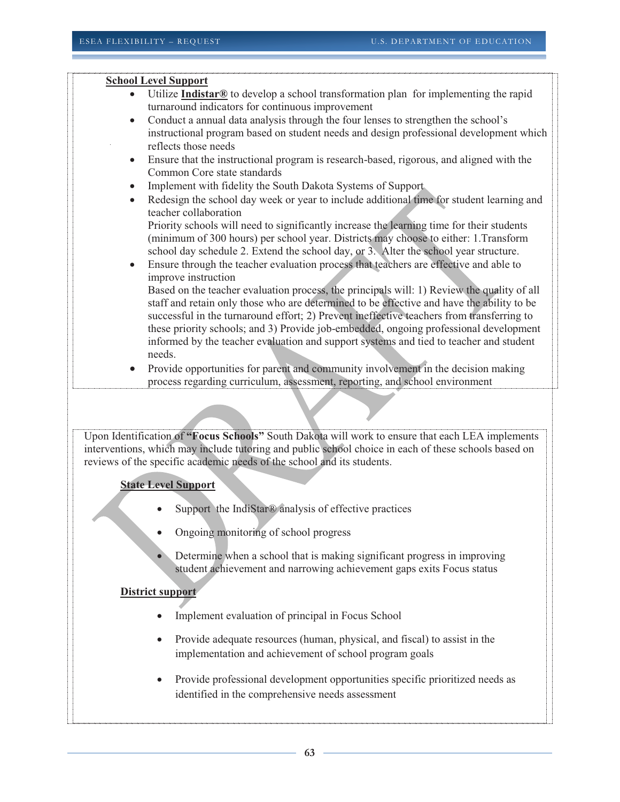### **School Level Support**

- Utilize **Indistar®** to develop a school transformation plan for implementing the rapid turnaround indicators for continuous improvement
- Conduct a annual data analysis through the four lenses to strengthen the school's instructional program based on student needs and design professional development which reflects those needs
- Ensure that the instructional program is research-based, rigorous, and aligned with the Common Core state standards
- Implement with fidelity the South Dakota Systems of Support
- Redesign the school day week or year to include additional time for student learning and teacher collaboration

Priority schools will need to significantly increase the learning time for their students (minimum of 300 hours) per school year. Districts may choose to either: 1.Transform school day schedule 2. Extend the school day, or 3. Alter the school year structure.

 Ensure through the teacher evaluation process that teachers are effective and able to improve instruction

Based on the teacher evaluation process, the principals will: 1) Review the quality of all staff and retain only those who are determined to be effective and have the ability to be successful in the turnaround effort; 2) Prevent ineffective teachers from transferring to these priority schools; and 3) Provide job-embedded, ongoing professional development informed by the teacher evaluation and support systems and tied to teacher and student needs.

 Provide opportunities for parent and community involvement in the decision making process regarding curriculum, assessment, reporting, and school environment

Upon Identification of **"Focus Schools"** South Dakota will work to ensure that each LEA implements interventions, which may include tutoring and public school choice in each of these schools based on reviews of the specific academic needs of the school and its students.

#### **State Level Support**

- Support the IndiStar® analysis of effective practices
- Ongoing monitoring of school progress
- Determine when a school that is making significant progress in improving student achievement and narrowing achievement gaps exits Focus status

#### **District support**

- Implement evaluation of principal in Focus School
- Provide adequate resources (human, physical, and fiscal) to assist in the implementation and achievement of school program goals
- Provide professional development opportunities specific prioritized needs as identified in the comprehensive needs assessment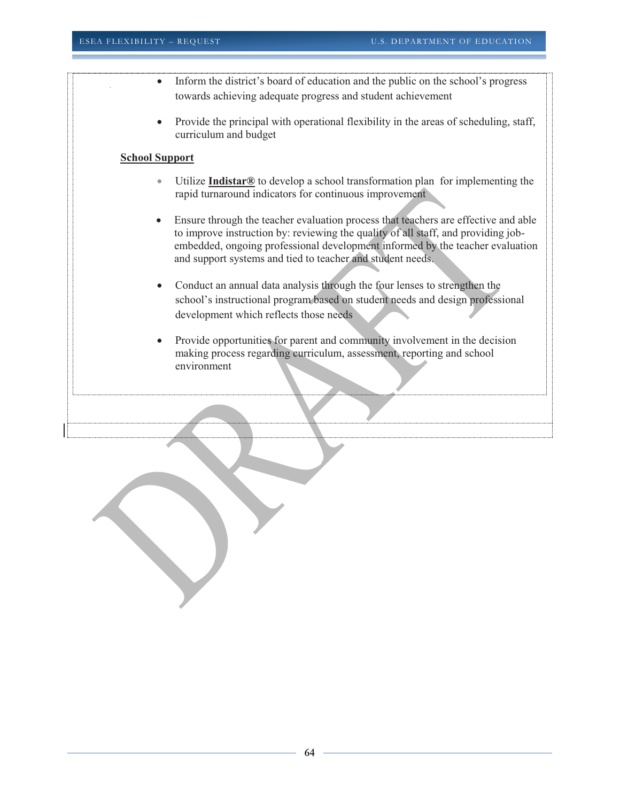- Inform the district's board of education and the public on the school's progress towards achieving adequate progress and student achievement
- Provide the principal with operational flexibility in the areas of scheduling, staff, curriculum and budget

#### **School Support**

- Utilize **Indistar®** to develop a school transformation plan for implementing the rapid turnaround indicators for continuous improvement
- Ensure through the teacher evaluation process that teachers are effective and able to improve instruction by: reviewing the quality of all staff, and providing jobembedded, ongoing professional development informed by the teacher evaluation and support systems and tied to teacher and student needs.
- Conduct an annual data analysis through the four lenses to strengthen the school's instructional program based on student needs and design professional development which reflects those needs
- Provide opportunities for parent and community involvement in the decision making process regarding curriculum, assessment, reporting and school environment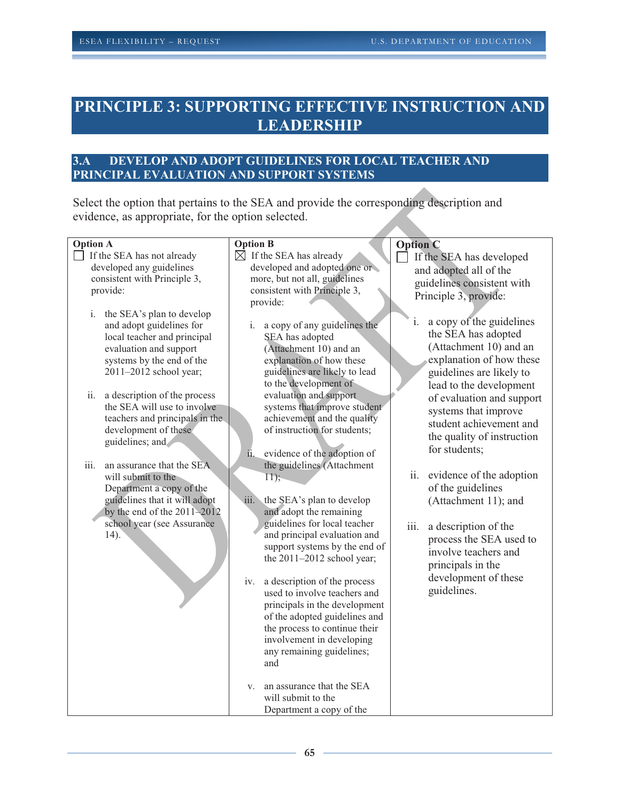# **PRINCIPLE 3: SUPPORTING EFFECTIVE INSTRUCTION AND LEADERSHIP**

## **3.A DEVELOP AND ADOPT GUIDELINES FOR LOCAL TEACHER AND PRINCIPAL EVALUATION AND SUPPORT SYSTEMS**

Select the option that pertains to the SEA and provide the corresponding description and evidence, as appropriate, for the option selected.

| <b>Option A</b>                     | <b>Option B</b>                     | <b>Option C</b>                 |
|-------------------------------------|-------------------------------------|---------------------------------|
| If the SEA has not already          | $\boxtimes$ If the SEA has already  | If the SEA has developed        |
| developed any guidelines            | developed and adopted one or        | and adopted all of the          |
| consistent with Principle 3,        | more, but not all, guidelines       |                                 |
| provide:                            | consistent with Principle 3,        | guidelines consistent with      |
|                                     | provide:                            | Principle 3, provide:           |
| i.<br>the SEA's plan to develop     |                                     |                                 |
| and adopt guidelines for            | a copy of any guidelines the<br>i.  | a copy of the guidelines<br>i.  |
| local teacher and principal         | SEA has adopted                     | the SEA has adopted             |
| evaluation and support              | (Attachment 10) and an              | (Attachment 10) and an          |
| systems by the end of the           | explanation of how these            | explanation of how these        |
| 2011-2012 school year;              | guidelines are likely to lead       | guidelines are likely to        |
|                                     | to the development of               | lead to the development         |
| ii.<br>a description of the process | evaluation and support              | of evaluation and support       |
| the SEA will use to involve         | systems that improve student        | systems that improve            |
| teachers and principals in the      | achievement and the quality         | student achievement and         |
| development of these                | of instruction for students;        | the quality of instruction      |
| guidelines; and                     |                                     |                                 |
|                                     | ii.<br>evidence of the adoption of  | for students;                   |
| iii.<br>an assurance that the SEA   | the guidelines (Attachment          |                                 |
| will submit to the                  | $\overline{11}$ ;                   | ii.<br>evidence of the adoption |
| Department a copy of the            |                                     | of the guidelines               |
| guidelines that it will adopt       | iii.<br>the SEA's plan to develop   | (Attachment 11); and            |
| by the end of the $2011 - 2012$     | and adopt the remaining             |                                 |
| school year (see Assurance          | guidelines for local teacher        | iii.<br>a description of the    |
| $(14)$ .                            | and principal evaluation and        | process the SEA used to         |
|                                     | support systems by the end of       | involve teachers and            |
|                                     | the $2011-2012$ school year;        | principals in the               |
|                                     |                                     | development of these            |
|                                     | a description of the process<br>iv. | guidelines.                     |
|                                     | used to involve teachers and        |                                 |
|                                     | principals in the development       |                                 |
|                                     | of the adopted guidelines and       |                                 |
|                                     | the process to continue their       |                                 |
|                                     | involvement in developing           |                                 |
|                                     | any remaining guidelines;<br>and    |                                 |
|                                     |                                     |                                 |
|                                     | an assurance that the SEA<br>V.     |                                 |
|                                     | will submit to the                  |                                 |
|                                     | Department a copy of the            |                                 |
|                                     |                                     |                                 |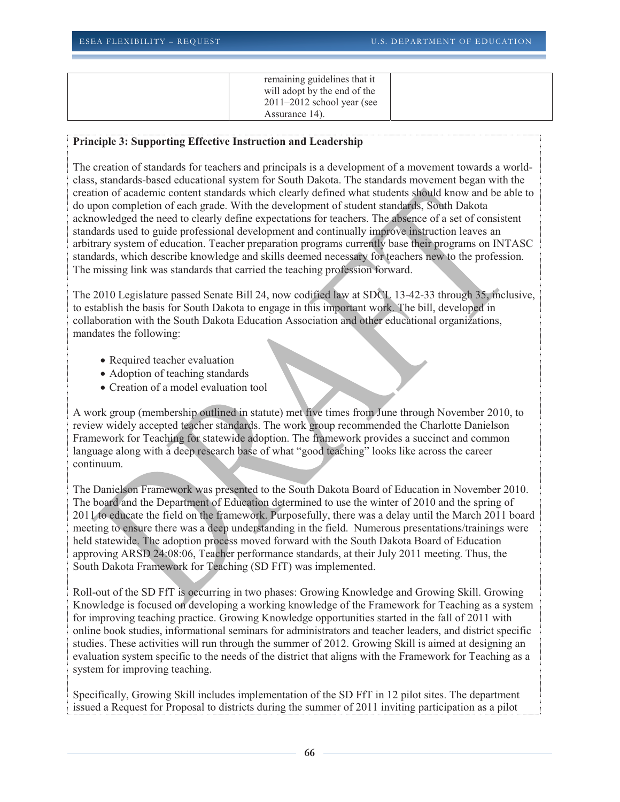| remaining guidelines that it   |  |
|--------------------------------|--|
| will adopt by the end of the   |  |
| $2011 - 2012$ school year (see |  |
| Assurance 14).                 |  |

#### **Principle 3: Supporting Effective Instruction and Leadership**

The creation of standards for teachers and principals is a development of a movement towards a worldclass, standards-based educational system for South Dakota. The standards movement began with the creation of academic content standards which clearly defined what students should know and be able to do upon completion of each grade. With the development of student standards, South Dakota acknowledged the need to clearly define expectations for teachers. The absence of a set of consistent standards used to guide professional development and continually improve instruction leaves an arbitrary system of education. Teacher preparation programs currently base their programs on INTASC standards, which describe knowledge and skills deemed necessary for teachers new to the profession. The missing link was standards that carried the teaching profession forward.

The 2010 Legislature passed Senate Bill 24, now codified law at SDCL 13-42-33 through 35, inclusive, to establish the basis for South Dakota to engage in this important work. The bill, developed in collaboration with the South Dakota Education Association and other educational organizations, mandates the following:

- Required teacher evaluation
- Adoption of teaching standards
- Creation of a model evaluation tool

A work group (membership outlined in statute) met five times from June through November 2010, to review widely accepted teacher standards. The work group recommended the Charlotte Danielson Framework for Teaching for statewide adoption. The framework provides a succinct and common language along with a deep research base of what "good teaching" looks like across the career continuum.

The Danielson Framework was presented to the South Dakota Board of Education in November 2010. The board and the Department of Education determined to use the winter of 2010 and the spring of 2011 to educate the field on the framework. Purposefully, there was a delay until the March 2011 board meeting to ensure there was a deep understanding in the field. Numerous presentations/trainings were held statewide. The adoption process moved forward with the South Dakota Board of Education approving ARSD 24:08:06, Teacher performance standards, at their July 2011 meeting. Thus, the South Dakota Framework for Teaching (SD FfT) was implemented.

Roll-out of the SD FfT is occurring in two phases: Growing Knowledge and Growing Skill. Growing Knowledge is focused on developing a working knowledge of the Framework for Teaching as a system for improving teaching practice. Growing Knowledge opportunities started in the fall of 2011 with online book studies, informational seminars for administrators and teacher leaders, and district specific studies. These activities will run through the summer of 2012. Growing Skill is aimed at designing an evaluation system specific to the needs of the district that aligns with the Framework for Teaching as a system for improving teaching.

Specifically, Growing Skill includes implementation of the SD FfT in 12 pilot sites. The department issued a Request for Proposal to districts during the summer of 2011 inviting participation as a pilot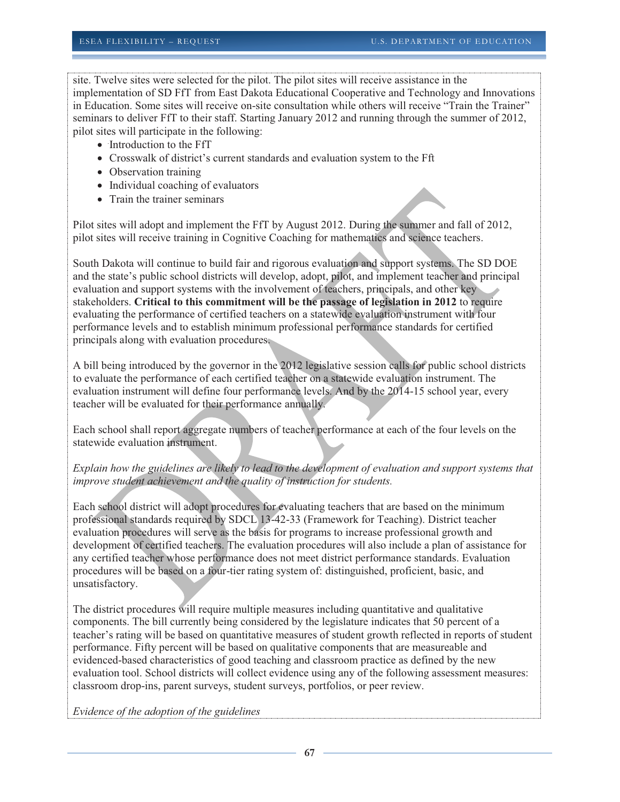site. Twelve sites were selected for the pilot. The pilot sites will receive assistance in the implementation of SD FfT from East Dakota Educational Cooperative and Technology and Innovations in Education. Some sites will receive on-site consultation while others will receive "Train the Trainer" seminars to deliver FfT to their staff. Starting January 2012 and running through the summer of 2012, pilot sites will participate in the following:

- Introduction to the FfT
- Crosswalk of district's current standards and evaluation system to the Fft
- Observation training
- Individual coaching of evaluators
- Train the trainer seminars

Pilot sites will adopt and implement the FfT by August 2012. During the summer and fall of 2012, pilot sites will receive training in Cognitive Coaching for mathematics and science teachers.

South Dakota will continue to build fair and rigorous evaluation and support systems. The SD DOE and the state's public school districts will develop, adopt, pilot, and implement teacher and principal evaluation and support systems with the involvement of teachers, principals, and other key stakeholders. **Critical to this commitment will be the passage of legislation in 2012** to require evaluating the performance of certified teachers on a statewide evaluation instrument with four performance levels and to establish minimum professional performance standards for certified principals along with evaluation procedures.

A bill being introduced by the governor in the 2012 legislative session calls for public school districts to evaluate the performance of each certified teacher on a statewide evaluation instrument. The evaluation instrument will define four performance levels. And by the 2014-15 school year, every teacher will be evaluated for their performance annually.

Each school shall report aggregate numbers of teacher performance at each of the four levels on the statewide evaluation instrument.

## *Explain how the guidelines are likely to lead to the development of evaluation and support systems that improve student achievement and the quality of instruction for students.*

Each school district will adopt procedures for evaluating teachers that are based on the minimum professional standards required by SDCL 13-42-33 (Framework for Teaching). District teacher evaluation procedures will serve as the basis for programs to increase professional growth and development of certified teachers. The evaluation procedures will also include a plan of assistance for any certified teacher whose performance does not meet district performance standards. Evaluation procedures will be based on a four-tier rating system of: distinguished, proficient, basic, and unsatisfactory.

The district procedures will require multiple measures including quantitative and qualitative components. The bill currently being considered by the legislature indicates that 50 percent of a teacher's rating will be based on quantitative measures of student growth reflected in reports of student performance. Fifty percent will be based on qualitative components that are measureable and evidenced-based characteristics of good teaching and classroom practice as defined by the new evaluation tool. School districts will collect evidence using any of the following assessment measures: classroom drop-ins, parent surveys, student surveys, portfolios, or peer review.

*Evidence of the adoption of the guidelines*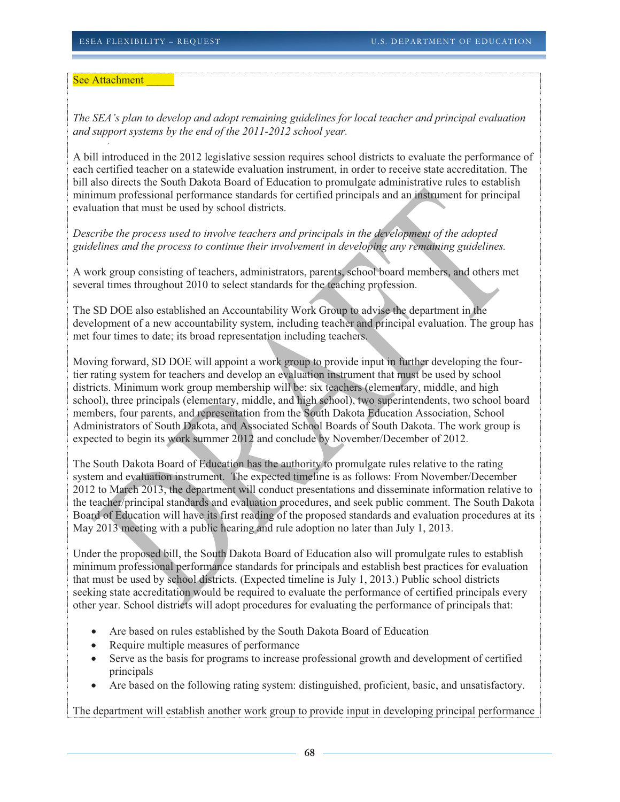See Attachment

*The SEA's plan to develop and adopt remaining guidelines for local teacher and principal evaluation and support systems by the end of the 2011-2012 school year.* 

A bill introduced in the 2012 legislative session requires school districts to evaluate the performance of each certified teacher on a statewide evaluation instrument, in order to receive state accreditation. The bill also directs the South Dakota Board of Education to promulgate administrative rules to establish minimum professional performance standards for certified principals and an instrument for principal evaluation that must be used by school districts.

*Describe the process used to involve teachers and principals in the development of the adopted guidelines and the process to continue their involvement in developing any remaining guidelines.* 

A work group consisting of teachers, administrators, parents, school board members, and others met several times throughout 2010 to select standards for the teaching profession.

The SD DOE also established an Accountability Work Group to advise the department in the development of a new accountability system, including teacher and principal evaluation. The group has met four times to date; its broad representation including teachers.

Moving forward, SD DOE will appoint a work group to provide input in further developing the fourtier rating system for teachers and develop an evaluation instrument that must be used by school districts. Minimum work group membership will be: six teachers (elementary, middle, and high school), three principals (elementary, middle, and high school), two superintendents, two school board members, four parents, and representation from the South Dakota Education Association, School Administrators of South Dakota, and Associated School Boards of South Dakota. The work group is expected to begin its work summer 2012 and conclude by November/December of 2012.

The South Dakota Board of Education has the authority to promulgate rules relative to the rating system and evaluation instrument. The expected timeline is as follows: From November/December 2012 to March 2013, the department will conduct presentations and disseminate information relative to the teacher/principal standards and evaluation procedures, and seek public comment. The South Dakota Board of Education will have its first reading of the proposed standards and evaluation procedures at its May 2013 meeting with a public hearing and rule adoption no later than July 1, 2013.

Under the proposed bill, the South Dakota Board of Education also will promulgate rules to establish minimum professional performance standards for principals and establish best practices for evaluation that must be used by school districts. (Expected timeline is July 1, 2013.) Public school districts seeking state accreditation would be required to evaluate the performance of certified principals every other year. School districts will adopt procedures for evaluating the performance of principals that:

- Are based on rules established by the South Dakota Board of Education
- Require multiple measures of performance
- Serve as the basis for programs to increase professional growth and development of certified principals
- Are based on the following rating system: distinguished, proficient, basic, and unsatisfactory.

The department will establish another work group to provide input in developing principal performance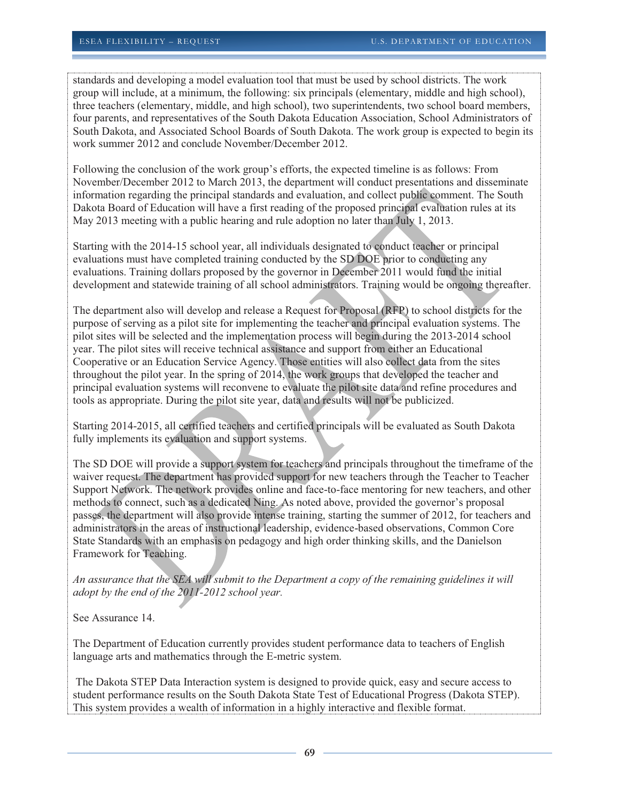standards and developing a model evaluation tool that must be used by school districts. The work group will include, at a minimum, the following: six principals (elementary, middle and high school), three teachers (elementary, middle, and high school), two superintendents, two school board members, four parents, and representatives of the South Dakota Education Association, School Administrators of South Dakota, and Associated School Boards of South Dakota. The work group is expected to begin its work summer 2012 and conclude November/December 2012.

Following the conclusion of the work group's efforts, the expected timeline is as follows: From November/December 2012 to March 2013, the department will conduct presentations and disseminate information regarding the principal standards and evaluation, and collect public comment. The South Dakota Board of Education will have a first reading of the proposed principal evaluation rules at its May 2013 meeting with a public hearing and rule adoption no later than July 1, 2013.

Starting with the 2014-15 school year, all individuals designated to conduct teacher or principal evaluations must have completed training conducted by the SD DOE prior to conducting any evaluations. Training dollars proposed by the governor in December 2011 would fund the initial development and statewide training of all school administrators. Training would be ongoing thereafter.

The department also will develop and release a Request for Proposal (RFP) to school districts for the purpose of serving as a pilot site for implementing the teacher and principal evaluation systems. The pilot sites will be selected and the implementation process will begin during the 2013-2014 school year. The pilot sites will receive technical assistance and support from either an Educational Cooperative or an Education Service Agency. Those entities will also collect data from the sites throughout the pilot year. In the spring of 2014, the work groups that developed the teacher and principal evaluation systems will reconvene to evaluate the pilot site data and refine procedures and tools as appropriate. During the pilot site year, data and results will not be publicized.

Starting 2014-2015, all certified teachers and certified principals will be evaluated as South Dakota fully implements its evaluation and support systems.

The SD DOE will provide a support system for teachers and principals throughout the timeframe of the waiver request. The department has provided support for new teachers through the Teacher to Teacher Support Network. The network provides online and face-to-face mentoring for new teachers, and other methods to connect, such as a dedicated Ning. As noted above, provided the governor's proposal passes, the department will also provide intense training, starting the summer of 2012, for teachers and administrators in the areas of instructional leadership, evidence-based observations, Common Core State Standards with an emphasis on pedagogy and high order thinking skills, and the Danielson Framework for Teaching.

*An assurance that the SEA will submit to the Department a copy of the remaining guidelines it will adopt by the end of the 2011-2012 school year.*

See Assurance 14.

The Department of Education currently provides student performance data to teachers of English language arts and mathematics through the E-metric system.

 The Dakota STEP Data Interaction system is designed to provide quick, easy and secure access to student performance results on the South Dakota State Test of Educational Progress (Dakota STEP). This system provides a wealth of information in a highly interactive and flexible format.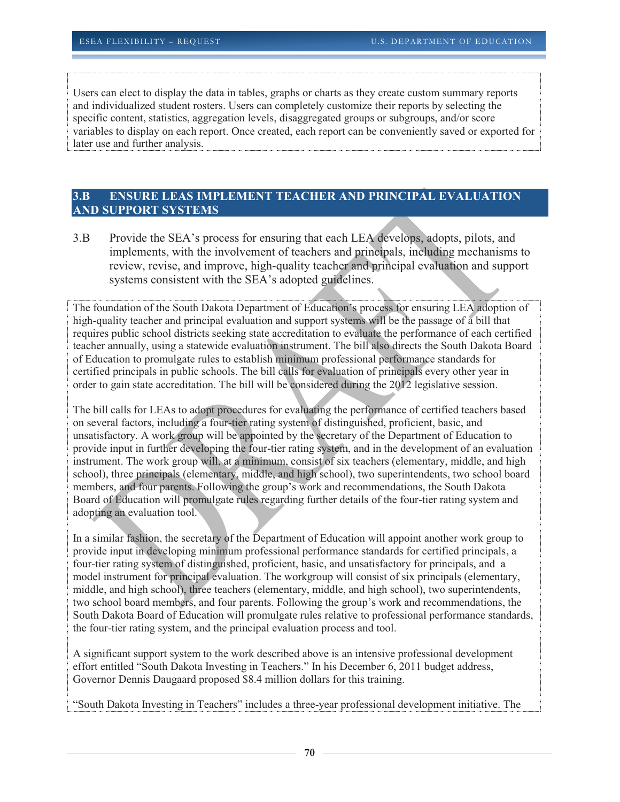Users can elect to display the data in tables, graphs or charts as they create custom summary reports and individualized student rosters. Users can completely customize their reports by selecting the specific content, statistics, aggregation levels, disaggregated groups or subgroups, and/or score variables to display on each report. Once created, each report can be conveniently saved or exported for later use and further analysis.

# **3.B ENSURE LEAS IMPLEMENT TEACHER AND PRINCIPAL EVALUATION AND SUPPORT SYSTEMS**

3.B Provide the SEA's process for ensuring that each LEA develops, adopts, pilots, and implements, with the involvement of teachers and principals, including mechanisms to review, revise, and improve, high-quality teacher and principal evaluation and support systems consistent with the SEA's adopted guidelines.

The foundation of the South Dakota Department of Education's process for ensuring LEA adoption of high-quality teacher and principal evaluation and support systems will be the passage of a bill that requires public school districts seeking state accreditation to evaluate the performance of each certified teacher annually, using a statewide evaluation instrument. The bill also directs the South Dakota Board of Education to promulgate rules to establish minimum professional performance standards for certified principals in public schools. The bill calls for evaluation of principals every other year in order to gain state accreditation. The bill will be considered during the 2012 legislative session.

The bill calls for LEAs to adopt procedures for evaluating the performance of certified teachers based on several factors, including a four-tier rating system of distinguished, proficient, basic, and unsatisfactory. A work group will be appointed by the secretary of the Department of Education to provide input in further developing the four-tier rating system, and in the development of an evaluation instrument. The work group will, at a minimum, consist of six teachers (elementary, middle, and high school), three principals (elementary, middle, and high school), two superintendents, two school board members, and four parents. Following the group's work and recommendations, the South Dakota Board of Education will promulgate rules regarding further details of the four-tier rating system and adopting an evaluation tool.

In a similar fashion, the secretary of the Department of Education will appoint another work group to provide input in developing minimum professional performance standards for certified principals, a four-tier rating system of distinguished, proficient, basic, and unsatisfactory for principals, and a model instrument for principal evaluation. The workgroup will consist of six principals (elementary, middle, and high school), three teachers (elementary, middle, and high school), two superintendents, two school board members, and four parents. Following the group's work and recommendations, the South Dakota Board of Education will promulgate rules relative to professional performance standards, the four-tier rating system, and the principal evaluation process and tool.

A significant support system to the work described above is an intensive professional development effort entitled "South Dakota Investing in Teachers." In his December 6, 2011 budget address, Governor Dennis Daugaard proposed \$8.4 million dollars for this training.

"South Dakota Investing in Teachers" includes a three-year professional development initiative. The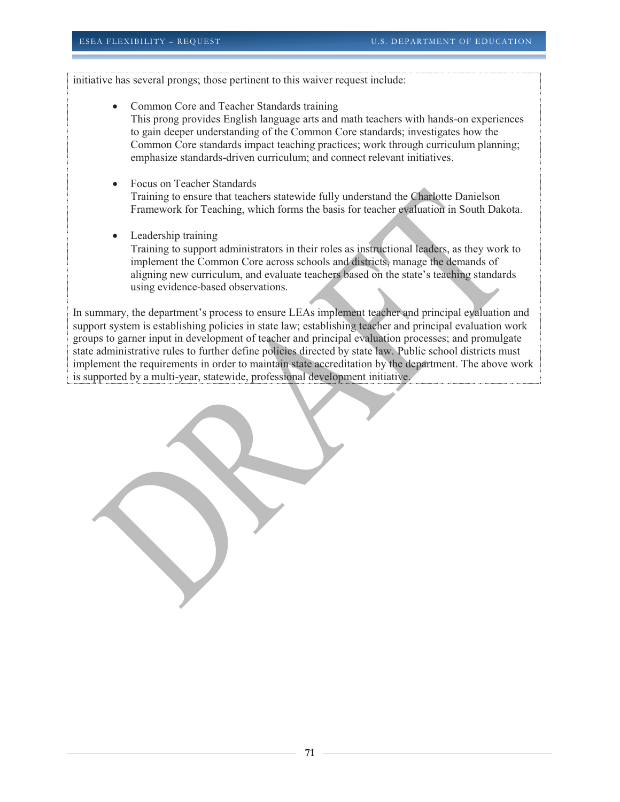initiative has several prongs; those pertinent to this waiver request include:

- Common Core and Teacher Standards training This prong provides English language arts and math teachers with hands-on experiences to gain deeper understanding of the Common Core standards; investigates how the Common Core standards impact teaching practices; work through curriculum planning; emphasize standards-driven curriculum; and connect relevant initiatives.
- Focus on Teacher Standards Training to ensure that teachers statewide fully understand the Charlotte Danielson Framework for Teaching, which forms the basis for teacher evaluation in South Dakota.
- Leadership training

Training to support administrators in their roles as instructional leaders, as they work to implement the Common Core across schools and districts, manage the demands of aligning new curriculum, and evaluate teachers based on the state's teaching standards using evidence-based observations.

In summary, the department's process to ensure LEAs implement teacher and principal evaluation and support system is establishing policies in state law; establishing teacher and principal evaluation work groups to garner input in development of teacher and principal evaluation processes; and promulgate state administrative rules to further define policies directed by state law. Public school districts must implement the requirements in order to maintain state accreditation by the department. The above work is supported by a multi-year, statewide, professional development initiative.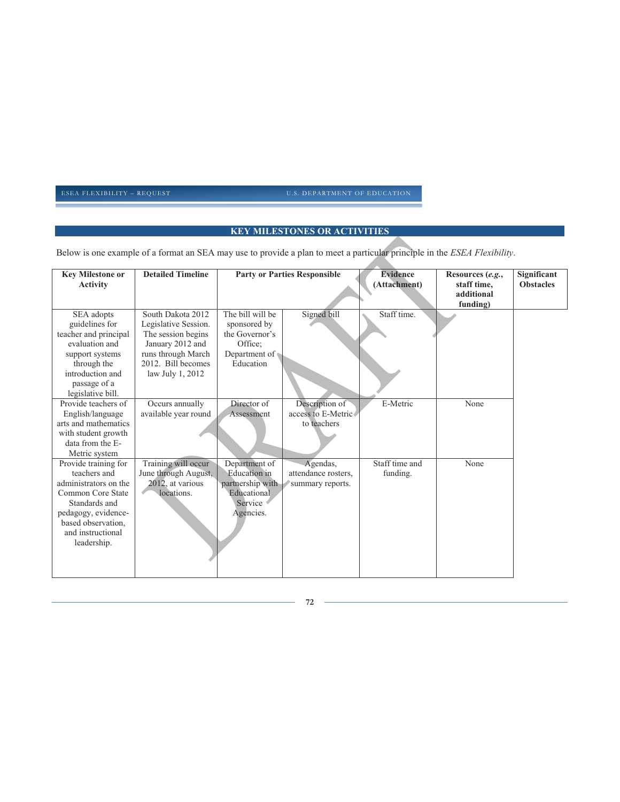# **KEY MILESTONES OR ACTIVITIES**

Below is one example of a format an SEA may use to provide a plan to meet a particular principle in the *ESEA Flexibility*.

| <b>Key Milestone or</b><br><b>Activity</b>                                                                                                                                           | <b>Detailed Timeline</b>                                                                                                                            |                                                                                                 | <b>Party or Parties Responsible</b>                 | <b>Evidence</b><br>(Attachment) | Resources (e.g.,<br>staff time,<br>additional<br>funding) | Significant<br><b>Obstacles</b> |
|--------------------------------------------------------------------------------------------------------------------------------------------------------------------------------------|-----------------------------------------------------------------------------------------------------------------------------------------------------|-------------------------------------------------------------------------------------------------|-----------------------------------------------------|---------------------------------|-----------------------------------------------------------|---------------------------------|
| SEA adopts<br>guidelines for<br>teacher and principal<br>evaluation and<br>support systems<br>through the<br>introduction and<br>passage of a<br>legislative bill.                   | South Dakota 2012<br>Legislative Session.<br>The session begins<br>January 2012 and<br>runs through March<br>2012. Bill becomes<br>law July 1, 2012 | The bill will be<br>sponsored by<br>the Governor's<br>Office:<br>Department of<br>Education     | Signed bill                                         | Staff time.                     |                                                           |                                 |
| Provide teachers of<br>English/language<br>arts and mathematics<br>with student growth<br>data from the E-<br>Metric system                                                          | Occurs annually<br>available year round                                                                                                             | Director of<br>Assessment                                                                       | Description of<br>access to E-Metric<br>to teachers | E-Metric                        | None                                                      |                                 |
| Provide training for<br>teachers and<br>administrators on the<br>Common Core State<br>Standards and<br>pedagogy, evidence-<br>based observation,<br>and instructional<br>leadership. | Training will occur<br>June through August,<br>2012, at various<br>locations.                                                                       | Department of<br><b>Education</b> in<br>partnership with<br>Educational<br>Service<br>Agencies. | Agendas,<br>attendance rosters,<br>summary reports. | Staff time and<br>funding.      | None                                                      |                                 |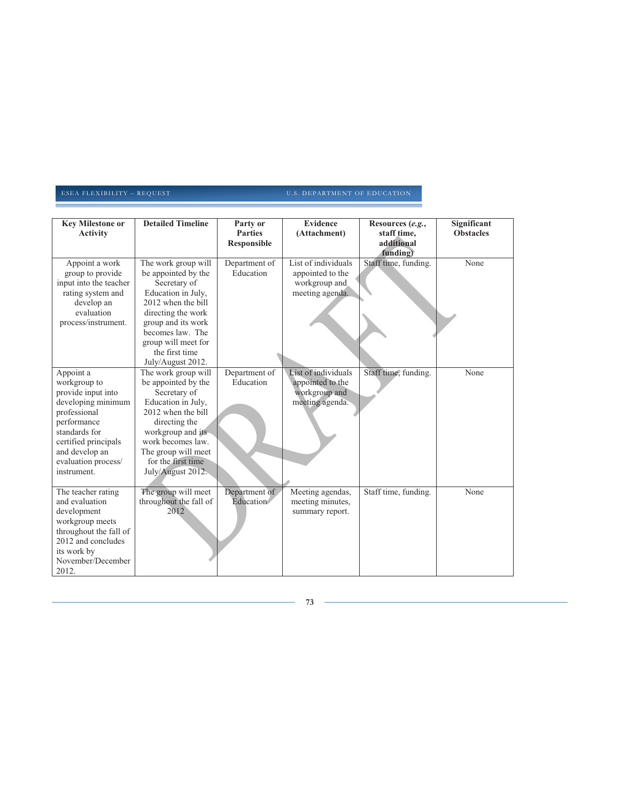| <b>Key Milestone or</b><br><b>Activity</b>                                                                                                                                                            | <b>Detailed Timeline</b>                                                                                                                                                                                                             | Party or<br><b>Parties</b><br><b>Responsible</b> | <b>Evidence</b><br>(Attachment)                                             | Resources (e.g.,<br>staff time,<br>additional<br>funding) | Significant<br><b>Obstacles</b> |
|-------------------------------------------------------------------------------------------------------------------------------------------------------------------------------------------------------|--------------------------------------------------------------------------------------------------------------------------------------------------------------------------------------------------------------------------------------|--------------------------------------------------|-----------------------------------------------------------------------------|-----------------------------------------------------------|---------------------------------|
| Appoint a work<br>group to provide<br>input into the teacher<br>rating system and<br>develop an<br>evaluation<br>process/instrument.                                                                  | The work group will<br>be appointed by the<br>Secretary of<br>Education in July,<br>2012 when the bill<br>directing the work<br>group and its work<br>becomes law. The<br>group will meet for<br>the first time<br>July/August 2012. | Department of<br>Education                       | List of individuals<br>appointed to the<br>workgroup and<br>meeting agenda. | Staff time, funding.                                      | None                            |
| Appoint a<br>workgroup to<br>provide input into<br>developing minimum<br>professional<br>performance<br>standards for<br>certified principals<br>and develop an<br>evaluation process/<br>instrument. | The work group will<br>be appointed by the<br>Secretary of<br>Education in July,<br>2012 when the bill<br>directing the<br>workgroup and its<br>work becomes law.<br>The group will meet<br>for the first time<br>July/August 2012.  | Department of<br>Education                       | List of individuals<br>appointed to the<br>workgroup and<br>meeting agenda. | Staff time, funding.                                      | None                            |
| The teacher rating<br>and evaluation<br>development<br>workgroup meets<br>throughout the fall of<br>2012 and concludes<br>its work by<br>November/December<br>2012.                                   | The group will meet<br>throughout the fall of<br>2012                                                                                                                                                                                | Department of<br>Education                       | Meeting agendas,<br>meeting minutes,<br>summary report.                     | Staff time, funding.                                      | None                            |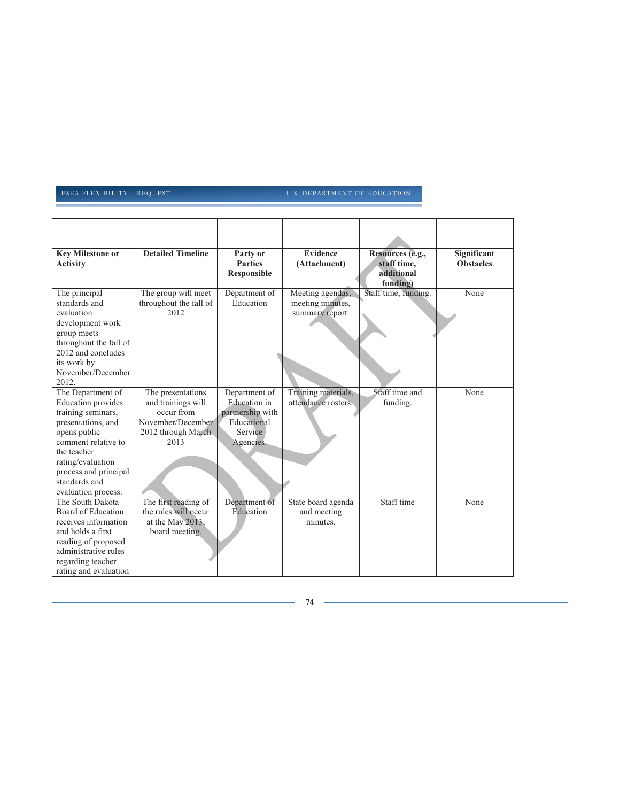| <b>Key Milestone or</b><br><b>Activity</b>                                                                                                                                                                                             | <b>Detailed Timeline</b>                                                                                 | Party or<br><b>Parties</b><br><b>Responsible</b>                                         | <b>Evidence</b><br>(Attachment)                         | Resources (e.g.,<br>staff time,<br>additional<br>funding) | Significant<br><b>Obstacles</b> |
|----------------------------------------------------------------------------------------------------------------------------------------------------------------------------------------------------------------------------------------|----------------------------------------------------------------------------------------------------------|------------------------------------------------------------------------------------------|---------------------------------------------------------|-----------------------------------------------------------|---------------------------------|
| The principal<br>standards and<br>evaluation<br>development work<br>group meets<br>throughout the fall of<br>2012 and concludes<br>its work by<br>November/December<br>2012.                                                           | The group will meet<br>throughout the fall of<br>2012                                                    | Department of<br>Education                                                               | Meeting agendas,<br>meeting minutes,<br>summary report. | Staff time, funding.                                      | None                            |
| The Department of<br><b>Education</b> provides<br>training seminars,<br>presentations, and<br>opens public<br>comment relative to<br>the teacher<br>rating/evaluation<br>process and principal<br>standards and<br>evaluation process. | The presentations<br>and trainings will<br>occur from<br>November/December<br>2012 through March<br>2013 | Department of<br>Education in<br>partnership with<br>Educational<br>Service<br>Agencies. | Training materials,<br>attendance rosters.              | Staff time and<br>funding.                                | None                            |
| The South Dakota<br>Board of Education<br>receives information<br>and holds a first<br>reading of proposed<br>administrative rules<br>regarding teacher<br>rating and evaluation                                                       | The first reading of<br>the rules will occur<br>at the May 2013,<br>board meeting.                       | Department of<br>Education                                                               | State board agenda<br>and meeting<br>minutes.           | Staff time                                                | None                            |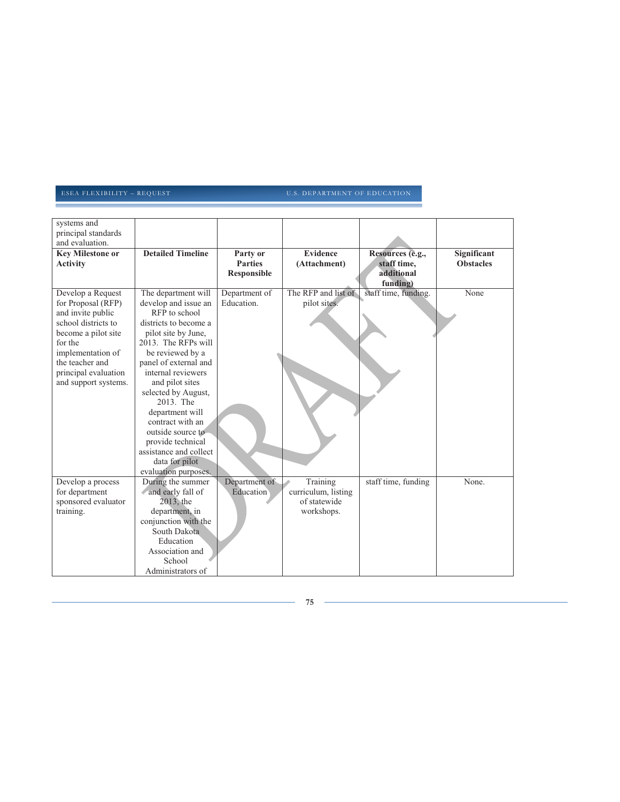| systems and<br>principal standards                                                                                                                                                                            |                                                                                                                                                                                                                                                                                                                                                                                                                    |                                                  |                                                               |                                                           |                                 |
|---------------------------------------------------------------------------------------------------------------------------------------------------------------------------------------------------------------|--------------------------------------------------------------------------------------------------------------------------------------------------------------------------------------------------------------------------------------------------------------------------------------------------------------------------------------------------------------------------------------------------------------------|--------------------------------------------------|---------------------------------------------------------------|-----------------------------------------------------------|---------------------------------|
| and evaluation.<br><b>Key Milestone or</b><br><b>Activity</b>                                                                                                                                                 | <b>Detailed Timeline</b>                                                                                                                                                                                                                                                                                                                                                                                           | Party or<br><b>Parties</b><br><b>Responsible</b> | <b>Evidence</b><br>(Attachment)                               | Resources (e.g.,<br>staff time,<br>additional<br>funding) | Significant<br><b>Obstacles</b> |
| Develop a Request<br>for Proposal (RFP)<br>and invite public<br>school districts to<br>become a pilot site<br>for the<br>implementation of<br>the teacher and<br>principal evaluation<br>and support systems. | The department will<br>develop and issue an<br>RFP to school<br>districts to become a<br>pilot site by June,<br>2013. The RFPs will<br>be reviewed by a<br>panel of external and<br>internal reviewers<br>and pilot sites<br>selected by August,<br>2013. The<br>department will<br>contract with an<br>outside source to<br>provide technical<br>assistance and collect<br>data for pilot<br>evaluation purposes. | Department of<br>Education.                      | The RFP and list of<br>pilot sites.                           | staff time, funding.                                      | None                            |
| Develop a process<br>for department<br>sponsored evaluator<br>training.                                                                                                                                       | During the summer<br>and early fall of<br>2013, the<br>department, in<br>conjunction with the<br>South Dakota<br>Education<br>Association and<br>School<br>Administrators of                                                                                                                                                                                                                                       | Department of<br>Education                       | Training<br>curriculum, listing<br>of statewide<br>workshops. | staff time, funding                                       | None.                           |

**75**

 $\sim$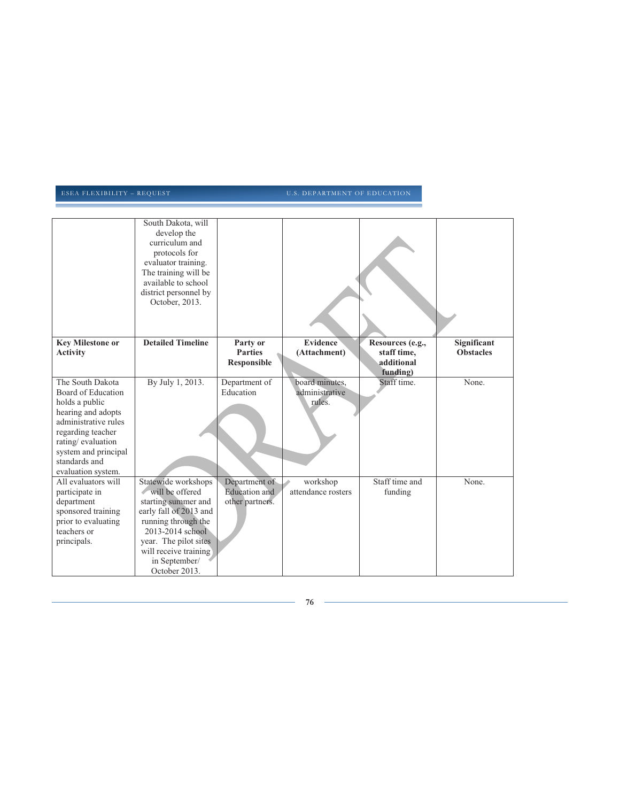|                                                                                                                                                                                                                 | South Dakota, will<br>develop the<br>curriculum and<br>protocols for<br>evaluator training.<br>The training will be<br>available to school<br>district personnel by                                                    |                                                          |                                            |                                                           |                                 |
|-----------------------------------------------------------------------------------------------------------------------------------------------------------------------------------------------------------------|------------------------------------------------------------------------------------------------------------------------------------------------------------------------------------------------------------------------|----------------------------------------------------------|--------------------------------------------|-----------------------------------------------------------|---------------------------------|
|                                                                                                                                                                                                                 | October, 2013.                                                                                                                                                                                                         |                                                          |                                            |                                                           |                                 |
| <b>Key Milestone or</b><br><b>Activity</b>                                                                                                                                                                      | <b>Detailed Timeline</b>                                                                                                                                                                                               | Party or<br><b>Parties</b><br>Responsible                | Evidence<br>(Attachment)                   | Resources (e.g.,<br>staff time,<br>additional<br>funding) | Significant<br><b>Obstacles</b> |
| The South Dakota<br>Board of Education<br>holds a public<br>hearing and adopts<br>administrative rules<br>regarding teacher<br>rating/evaluation<br>system and principal<br>standards and<br>evaluation system. | By July 1, 2013.                                                                                                                                                                                                       | Department of<br>Education                               | board minutes,<br>administrative<br>rules. | Staff time.                                               | None.                           |
| All evaluators will<br>participate in<br>department<br>sponsored training<br>prior to evaluating<br>teachers or<br>principals.                                                                                  | Statewide workshops<br>will be offered<br>starting summer and<br>early fall of 2013 and<br>running through the<br>2013-2014 school<br>year. The pilot sites<br>will receive training<br>in September/<br>October 2013. | Department of<br><b>Education</b> and<br>other partners. | workshop<br>attendance rosters             | Staff time and<br>funding                                 | None.                           |

**76**

÷,